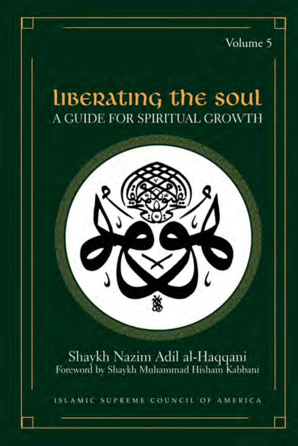#### Volume 5

#### **LIBERATING the soul** A GUIDE FOR SPIRITUAL GROWTH



### Shaykh Nazim Adil al-Haqqani<br>Foreword by Shaykh Muhammad Hisham Kabbani

ISLAMIC SUPREME COUNCIL OF AMERICA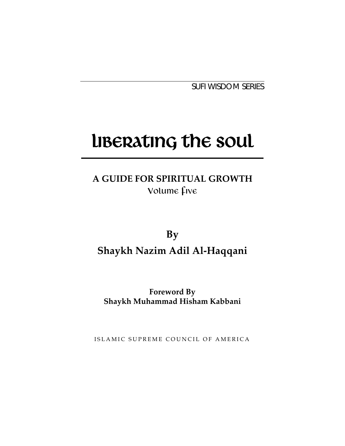SUFI WISDOM SERIES

## LIBERATING The soul

## **A GUIDE FOR SPIRITUAL GROWTH**  VOLUME FIVE

## **By Shaykh Nazim Adil Al-Haqqani**

**Foreword By Shaykh Muhammad Hisham Kabbani** 

ISLAMIC SUPREME COUNCIL OF AMERICA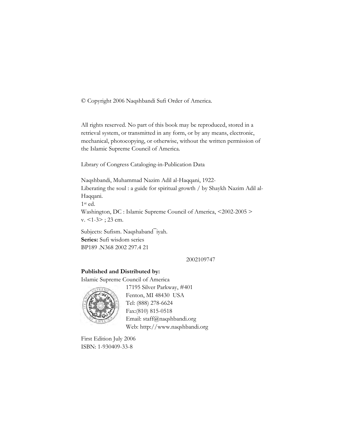© Copyright 2006 Naqshbandi Sufi Order of America.

All rights reserved. No part of this book may be reproduced, stored in a retrieval system, or transmitted in any form, or by any means, electronic, mechanical, photocopying, or otherwise, without the written permission of the Islamic Supreme Council of America.

Library of Congress Cataloging-in-Publication Data

Naqshbandi, Muhammad Nazim Adil al-Haqqani, 1922- Liberating the soul : a guide for spiritual growth / by Shaykh Nazim Adil al-Haqqani. 1st ed. Washington, DC : Islamic Supreme Council of America, <2002-2005 > v. <1-3> ; 23 cm.

Subjects: Sufism. Naqshaband¯iyah. **Series:** Sufi wisdom series BP189 .N368 2002 297.4 21

2002109747

#### **Published and Distributed by:**

Islamic Supreme Council of America



17195 Silver Parkway, #401 Fenton, MI 48430 USA Tel: (888) 278-6624 Fax:(810) 815-0518 Email: staff@naqshbandi.org Web: http://www.naqshbandi.org

First Edition July 2006 ISBN: 1-930409-33-8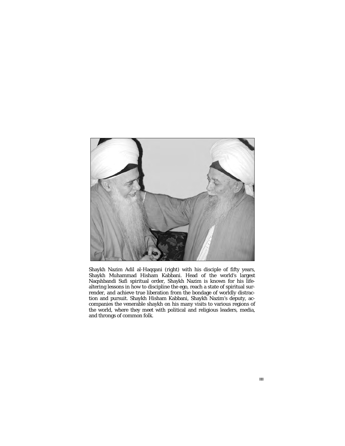

Shaykh Nazim Adil al-Haqqani (right) with his disciple of fifty years, Shaykh Muhammad Hisham Kabbani. Head of the world's largest Naqshbandi Sufi spiritual order, Shaykh Nazim is known for his lifealtering lessons in how to discipline the ego, reach a state of spiritual surrender, and achieve true liberation from the bondage of worldly distraction and pursuit. Shaykh Hisham Kabbani, Shaykh Nazim's deputy, accompanies the venerable shaykh on his many visits to various regions of the world, where they meet with political and religious leaders, media, and throngs of common folk.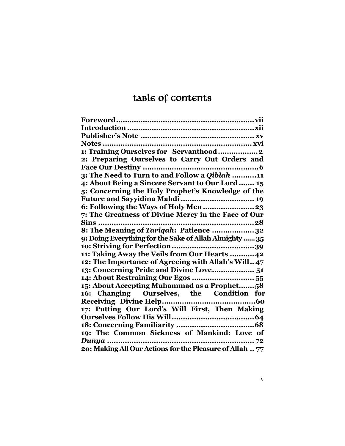## table of contents

| 1: Training Ourselves for Servanthood2                   |
|----------------------------------------------------------|
| 2: Preparing Ourselves to Carry Out Orders and           |
|                                                          |
| 3: The Need to Turn to and Follow a <i>Qiblah</i> 11     |
| 4: About Being a Sincere Servant to Our Lord  15         |
| 5: Concerning the Holy Prophet's Knowledge of the        |
| Future and Sayyidina Mahdi  19                           |
| 6: Following the Ways of Holy Men  23                    |
| 7: The Greatness of Divine Mercy in the Face of Our      |
|                                                          |
| 8: The Meaning of Tariqah: Patience 32                   |
| 9: Doing Everything for the Sake of Allah Almighty  35   |
|                                                          |
| 11: Taking Away the Veils from Our Hearts  42            |
| 12: The Importance of Agreeing with Allah's Will 47      |
| 13: Concerning Pride and Divine Love 51                  |
|                                                          |
| 15: About Accepting Muhammad as a Prophet 58             |
| 16: Changing Ourselves, the Condition for                |
|                                                          |
| 17: Putting Our Lord's Will First, Then Making           |
|                                                          |
|                                                          |
| 19: The Common Sickness of Mankind: Love of              |
|                                                          |
| 20: Making All Our Actions for the Pleasure of Allah  77 |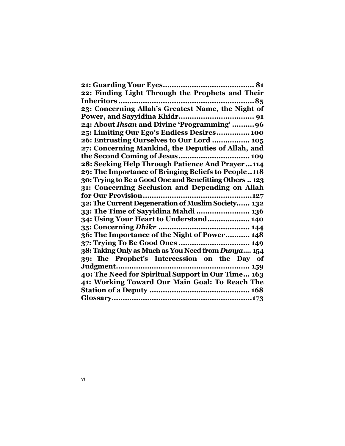| 22: Finding Light Through the Prophets and Their        |
|---------------------------------------------------------|
|                                                         |
| 23: Concerning Allah's Greatest Name, the Night of      |
|                                                         |
| 24: About Ihsan and Divine 'Programming'  96            |
| 25: Limiting Our Ego's Endless Desires 100              |
| 26: Entrusting Ourselves to Our Lord  105               |
| 27: Concerning Mankind, the Deputies of Allah, and      |
|                                                         |
| 28: Seeking Help Through Patience And Prayer114         |
| 29: The Importance of Bringing Beliefs to People118     |
| 30: Trying to Be a Good One and Benefitting Others  123 |
| 31: Concerning Seclusion and Depending on Allah         |
|                                                         |
| 32: The Current Degeneration of Muslim Society 132      |
| 33: The Time of Sayyidina Mahdi  136                    |
| 34: Using Your Heart to Understand 140                  |
|                                                         |
| 36: The Importance of the Night of Power 148            |
| 37: Trying To Be Good Ones  149                         |
| 38: Taking Only as Much as You Need from Dunya 154      |
| 39: The Prophet's Intercession on the Day of            |
|                                                         |
| 40: The Need for Spiritual Support in Our Time 163      |
| 41: Working Toward Our Main Goal: To Reach The          |
|                                                         |
|                                                         |
|                                                         |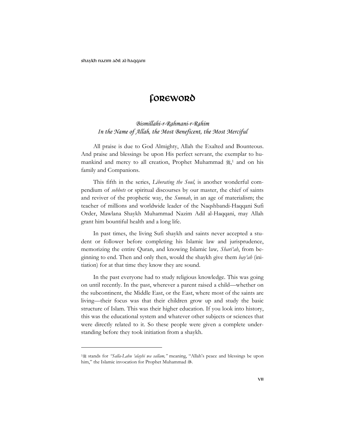<u>.</u>

### FOREWORD

*Bismillahi-r-Rahmani-r-Rahim In the Name of Allah, the Most Beneficent, the Most Merciful* 

All praise is due to God Almighty, Allah the Exalted and Bounteous. And praise and blessings be upon His perfect servant, the exemplar to humankind and mercy to all creation, Prophet Muhammad ,<sup>4</sup>,<sup>1</sup> and on his family and Companions.

This fifth in the series, *Liberating the Soul,* is another wonderful compendium of *sohbets* or spiritual discourses by our master, the chief of saints and reviver of the prophetic way, the *Sunnah*, in an age of materialism; the teacher of millions and worldwide leader of the Naqshbandi-Haqqani Sufi Order, Mawlana Shaykh Muhammad Nazim Adil al-Haqqani, may Allah grant him bountiful health and a long life.

In past times, the living Sufi shaykh and saints never accepted a student or follower before completing his Islamic law and jurisprudence, memorizing the entire Quran, and knowing Islamic law*, Shari'ah*, from beginning to end. Then and only then, would the shaykh give them *bay'ah* (initiation) for at that time they know they are sound.

In the past everyone had to study religious knowledge. This was going on until recently. In the past, wherever a parent raised a child—whether on the subcontinent, the Middle East, or the East, where most of the saints are living—their focus was that their children grow up and study the basic structure of Islam. This was their higher education. If you look into history, this was the educational system and whatever other subjects or sciences that were directly related to it. So these people were given a complete understanding before they took initiation from a shaykh.

<sup>&</sup>lt;sup>1</sup> stands for *"Salla-Lahu 'alayhi wa sallam*," meaning, "Allah's peace and blessings be upon him," the Islamic invocation for Prophet Muhammad .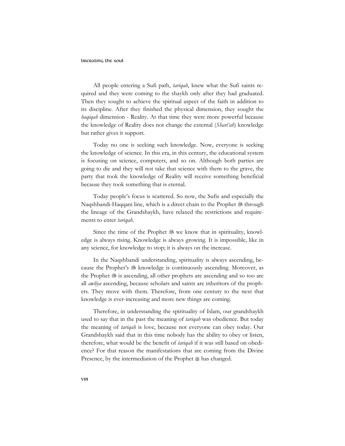All people entering a Sufi path, *tariqah*, knew what the Sufi saints required and they were coming to the shaykh only after they had graduated. Then they sought to achieve the spiritual aspect of the faith in addition to its discipline. After they finished the physical dimension, they sought the *haqiqah* dimension - Reality. At that time they were more powerful because the knowledge of Reality does not change the external (*Shari'ah*) knowledge but rather gives it support.

Today no one is seeking such knowledge. Now, everyone is seeking the knowledge of science. In this era, in this century, the educational system is focusing on science, computers, and so on. Although both parties are going to die and they will not take that science with them to the grave, the party that took the knowledge of Reality will receive something beneficial because they took something that is eternal.

Today people's focus is scattered. So now, the Sufis and especially the Naqshbandi-Haqqani line, which is a direct chain to the Prophet & through the lineage of the Grandshaykh, have relaxed the restrictions and requirements to enter *tariqah*.

Since the time of the Prophet <sup>38</sup> we know that in spirituality, knowledge is always rising. Knowledge is always growing. It is impossible, like in any science, for knowledge to stop; it is always on the increase.

In the Naqshbandi understanding, spirituality is always ascending, because the Prophet's  $\mathcal{L}$  knowledge is continuously ascending. Moreover, as the Prophet is ascending, all other prophets are ascending and so too are all *awliya* ascending, because scholars and saints are inheritors of the prophets. They move with them. Therefore, from one centuty to the next that knowledge is ever-increasing and more new things are coming.

Therefore, in understanding the spirituality of Islam, our grandshaykh used to say that in the past the meaning of *tariqah* was obedience. But today the meaning of *tariqah* is love, because not everyone can obey today. Our Grandshaykh said that in this time nobody has the ability to obey or listen, therefore, what would be the benefit of *tariqah* if it was still based on obedience? For that reason the manifestations that are coming from the Divine Presence, by the intermediation of the Prophet & has changed.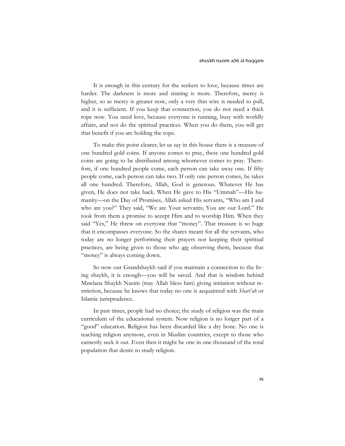It is enough in this century for the seekers to love, because times are harder. The darkness is more and sinning is more. Therefore, mercy is higher, so as mercy is greater now, only a very thin wire is needed to pull, and it is sufficient. If you keep that connection, you do not need a thick rope now. You need love, because everyone is running, busy with worldly affairs, and not do the spiritual practices. When you do them, you will get that benefit if you are holding the rope.

To make this point clearer, let us say in this house there is a treasure of one hundred gold coins. If anyone comes to pray, these one hundred gold coins are going to be distributed among whomever comes to pray. Therefore, if one hundred people come, each person can take away one. If fifty people come, each person can take two. If only one person comes, he takes all one hundred. Therefore, Allah, God is generous. Whatever He has given, He does not take back. When He gave to His "Ummah"—His humanity—on the Day of Promises, Allah asked His servants, "Who am I and who are you?" They said, "We are Your servants; You are our Lord." He took from them a promise to accept Him and to worship Him. When they said "Yes," He threw on everyone that "money". That treasure is so huge that it encompasses everyone. So the shares meant for all the servants, who today are no longer performing their prayers nor keeping their spiritual practices, are being given to those who are observing them, because that "money" is always coming down.

So now our Grandshaykh said if you maintain a connection to the living shaykh, it is enough—you will be saved. And that is wisdom behind Mawlana Shaykh Nazim (may Allah bless him) giving initiation without restriction, because he knows that today no one is acquainted with *Shari'ah* or Islamic jurisprudence.

In past times, people had no choice; the study of religion was the main curriculum of the educational system. Now religion is no longer part of a "good" education. Religion has been discarded like a dry bone. No one is teaching religion anymore, even in Muslim countries, except to those who earnestly seek it out. Even then it might be one in one thousand of the total population that desire to study religion.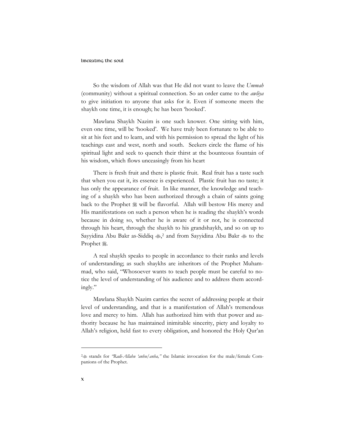So the wisdom of Allah was that He did not want to leave the *Ummah* (community) without a spiritual connection. So an order came to the *awliya* to give initiation to anyone that asks for it. Even if someone meets the shaykh one time, it is enough; he has been 'hooked'.

Mawlana Shaykh Nazim is one such knower. One sitting with him, even one time, will be 'hooked'. We have truly been fortunate to be able to sit at his feet and to learn, and with his permission to spread the light of his teachings east and west, north and south. Seekers circle the flame of his spiritual light and seek to quench their thirst at the bounteous fountain of his wisdom, which flows unceasingly from his heart

There is fresh fruit and there is plastic fruit. Real fruit has a taste such that when you eat it, its essence is experienced. Plastic fruit has no taste; it has only the appearance of fruit. In like manner, the knowledge and teaching of a shaykh who has been authorized through a chain of saints going back to the Prophet  $\frac{4}{36}$  will be flavorful. Allah will bestow His mercy and His manifestations on such a person when he is reading the shaykh's words because in doing so, whether he is aware of it or not, he is connected through his heart, through the shaykh to his grandshaykh, and so on up to Sayyidina Abu Bakr as-Siddiq  $\clubsuit$ , and from Sayyidina Abu Bakr  $\spadesuit$  to the Prophet ...

A real shaykh speaks to people in accordance to their ranks and levels of understanding; as such shaykhs are inheritors of the Prophet Muhammad, who said, "Whosoever wants to teach people must be careful to notice the level of understanding of his audience and to address them accordingly."

Mawlana Shaykh Nazim carries the secret of addressing people at their level of understanding, and that is a manifestation of Allah's tremendous love and mercy to him. Allah has authorized him with that power and authority because he has maintained inimitable sincerity, piety and loyalty to Allah's religion, held fast to every obligation, and honored the Holy Qur'an

<sup>2</sup> stands for *"Radi-Allahu 'anhu/anha,"* the Islamic invocation for the male/female Companions of the Prophet.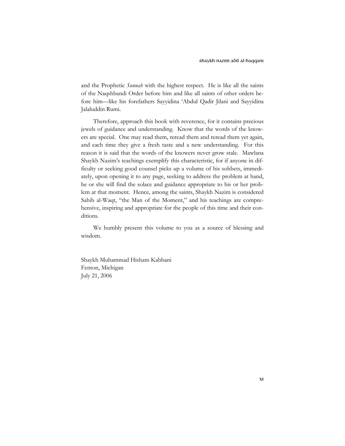and the Prophetic *Sunnah* with the highest respect. He is like all the saints of the Naqshbandi Order before him and like all saints of other orders before him—like his forefathers Sayyidina 'Abdul Qadir Jilani and Sayyidina Jalaluddin Rumi.

Therefore, approach this book with reverence, for it contains precious jewels of guidance and understanding. Know that the words of the knowers are special. One may read them, reread them and reread them yet again, and each time they give a fresh taste and a new understanding. For this reason it is said that the words of the knowers never grow stale. Mawlana Shaykh Nazim's teachings exemplify this characteristic, for if anyone in difficulty or seeking good counsel picks up a volume of his sohbets, immediately, upon opening it to any page, seeking to address the problem at hand, he or she will find the solace and guidance appropriate to his or her problem at that moment. Hence, among the saints, Shaykh Nazim is considered Sahib al-Waqt, "the Man of the Moment," and his teachings are comprehensive, inspiring and appropriate for the people of this time and their conditions.

We humbly present this volume to you as a source of blessing and wisdom.

Shaykh Muhammad Hisham Kabbani Fenton, Michigan July 21, 2006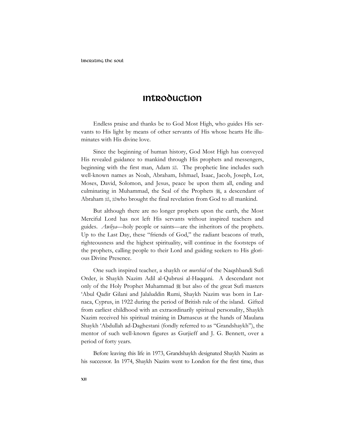#### INTRODUCTION

Endless praise and thanks be to God Most High, who guides His servants to His light by means of other servants of His whose hearts He illuminates with His divine love.

Since the beginning of human history, God Most High has conveyed His revealed guidance to mankind through His prophets and messengers, beginning with the first man, Adam  $\frac{1}{60}$ . The prophetic line includes such well-known names as Noah, Abraham, Ishmael, Isaac, Jacob, Joseph, Lot, Moses, David, Solomon, and Jesus, peace be upon them all, ending and culminating in Muhammad, the Seal of the Prophets , a descendant of Abraham  $\ddot{\mathcal{E}}$ ,  $\ddot{\mathcal{E}}$  who brought the final revelation from God to all mankind.

But although there are no longer prophets upon the earth, the Most Merciful Lord has not left His servants without inspired teachers and guides. *Awliya*—holy people or saints—are the inheritors of the prophets. Up to the Last Day, these "friends of God," the radiant beacons of truth, righteousness and the highest spirituality, will continue in the footsteps of the prophets, calling people to their Lord and guiding seekers to His glorious Divine Presence.

One such inspired teacher, a shaykh or *murshid* of the Naqshbandi Sufi Order, is Shaykh Nazim Adil al-Qubrusi al-Haqqani. A descendant not only of the Holy Prophet Muhammad  $*$  but also of the great Sufi masters 'Abul Qadir Gilani and Jalaluddin Rumi, Shaykh Nazim was born in Larnaca, Cyprus, in 1922 during the period of British rule of the island. Gifted from earliest childhood with an extraordinarily spiritual personality, Shaykh Nazim received his spiritual training in Damascus at the hands of Maulana Shaykh 'Abdullah ad-Daghestani (fondly referred to as "Grandshaykh"), the mentor of such well-known figures as Gurjieff and J. G. Bennett, over a period of forty years.

Before leaving this life in 1973, Grandshaykh designated Shaykh Nazim as his successor. In 1974, Shaykh Nazim went to London for the first time, thus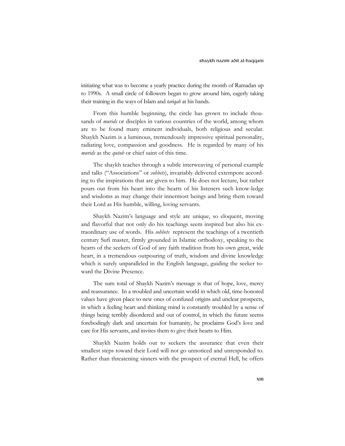initiating what was to become a yearly practice during the month of Ramadan up to 1990s. A small circle of followers began to grow around him, eagerly taking their training in the ways of Islam and *tariqah* at his hands.

From this humble beginning, the circle has grown to include thousands of *murids* or disciples in various countries of the world, among whom are to be found many eminent individuals, both religious and secular. Shaykh Nazim is a luminous, tremendously impressive spiritual personality, radiating love, compassion and goodness. He is regarded by many of his *murids* as the *qutub* or chief saint of this time.

The shaykh teaches through a subtle interweaving of personal example and talks ("Associations" or *sohbets*), invariably delivered extempore according to the inspirations that are given to him. He does not lecture, but rather pours out from his heart into the hearts of his listeners such know-ledge and wisdoms as may change their innermost beings and bring them toward their Lord as His humble, willing, loving servants.

Shaykh Nazim's language and style are unique, so eloquent, moving and flavorful that not only do his teachings seem inspired but also his extraordinary use of words. His *sohbets* represent the teachings of a twentieth century Sufi master, firmly grounded in Islamic orthodoxy, speaking to the hearts of the seekers of God of any faith tradition from his own great, wide heart, in a tremendous outpouring of truth, wisdom and divine knowledge which is surely unparalleled in the English language, guiding the seeker toward the Divine Presence.

The sum total of Shaykh Nazim's message is that of hope, love, mercy and reassurance. In a troubled and uncertain world in which old, time-honored values have given place to new ones of confused origins and unclear prospects, in which a feeling heart and thinking mind is constantly troubled by a sense of things being terribly disordered and out of control, in which the future seems forebodingly dark and uncertain for humanity, he proclaims God's love and care for His servants, and invites them to give their hearts to Him.

Shaykh Nazim holds out to seekers the assurance that even their smallest steps toward their Lord will not go unnoticed and unresponded to. Rather than threatening sinners with the prospect of eternal Hell, he offers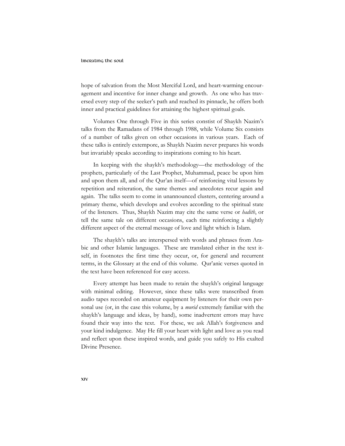hope of salvation from the Most Merciful Lord, and heart-warming encouragement and incentive for inner change and growth. As one who has traversed every step of the seeker's path and reached its pinnacle, he offers both inner and practical guidelines for attaining the highest spiritual goals.

Volumes One through Five in this series constist of Shaykh Nazim's talks from the Ramadans of 1984 through 1988, while Volume Six consists of a number of talks given on other occasions in various years. Each of these talks is entirely extempore, as Shaykh Nazim never prepares his words but invariably speaks according to inspirations coming to his heart.

In keeping with the shaykh's methodology—the methodology of the prophets, particularly of the Last Prophet, Muhammad, peace be upon him and upon them all, and of the Qur'an itself—of reinforcing vital lessons by repetition and reiteration, the same themes and anecdotes recur again and again. The talks seem to come in unannounced clusters, centering around a primary theme, which develops and evolves according to the spiritual state of the listeners. Thus, Shaykh Nazim may cite the same verse or *hadith*, or tell the same tale on different occasions, each time reinforcing a slightly different aspect of the eternal message of love and light which is Islam.

The shaykh's talks are interspersed with words and phrases from Arabic and other Islamic languages. These are translated either in the text itself, in footnotes the first time they occur, or, for general and recurrent terms, in the Glossary at the end of this volume. Qur'anic verses quoted in the text have been referenced for easy access.

Every attempt has been made to retain the shaykh's original language with minimal editing. However, since these talks were transcribed from audio tapes recorded on amateur equipment by listeners for their own personal use (or, in the case this volume, by a *murid* extremely familiar with the shaykh's language and ideas, by hand), some inadvertent errors may have found their way into the text. For these, we ask Allah's forgiveness and your kind indulgence. May He fill your heart with light and love as you read and reflect upon these inspired words, and guide you safely to His exalted Divine Presence.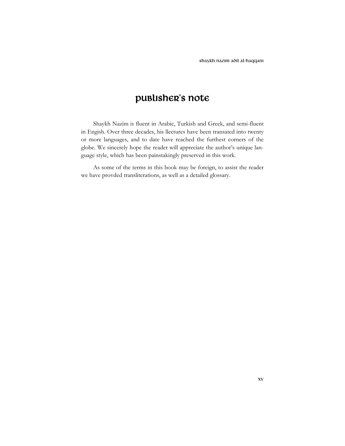### publisher's note

Shaykh Nazim is fluent in Arabic, Turkish and Greek, and semi-fluent in Engish. Over three decades, his llectures have been transated into twenty or more languages, and to date have reached the furthest corners of the globe. We sincerely hope the reader will appreciate the author's unique language style, which has been painstakingly preserved in this work.

As some of the terms in this book may be foreign, to assist the reader we have provded transliterations, as well as a detailed glossary.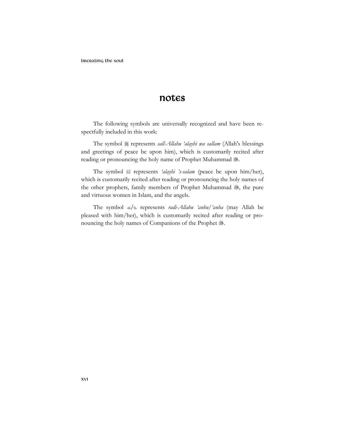#### notes

The following symbols are universally recognized and have been respectfully included in this work:

The symbol  $\frac{4}{36}$  represents *sall-Allahu 'alayhi wa sallam* (Allah's blessings and greetings of peace be upon him), which is customarily recited after reading or pronouncing the holy name of Prophet Muhammad .

The symbol  $\frac{1}{60}$  represents 'alayhi 's-salam (peace be upon him/her), which is customarily recited after reading or pronouncing the holy names of the other prophets, family members of Prophet Muhammad . the pure and virtuous women in Islam, and the angels.

The symbol  $\frac{1}{\sqrt{2}}$  represents *radi-Allahu 'anhu|'anha* (may Allah be pleased with him/her), which is customarily recited after reading or pronouncing the holy names of Companions of the Prophet ...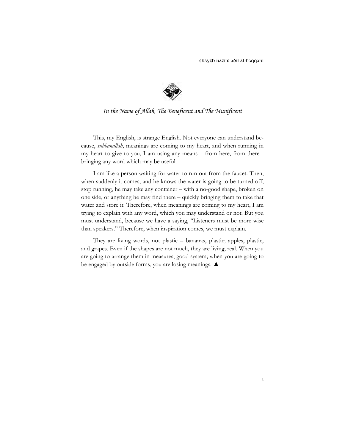1



#### *In the Name of Allah, The Beneficent and The Munificent*

This, my English, is strange English. Not everyone can understand because, *subhanallah*, meanings are coming to my heart, and when running in my heart to give to you, I am using any means – from here, from there bringing any word which may be useful.

I am like a person waiting for water to run out from the faucet. Then, when suddenly it comes, and he knows the water is going to be turned off, stop running, he may take any container – with a no-good shape, broken on one side, or anything he may find there – quickly bringing them to take that water and store it. Therefore, when meanings are coming to my heart, I am trying to explain with any word, which you may understand or not. But you must understand, because we have a saying, "Listeners must be more wise than speakers." Therefore, when inspiration comes, we must explain.

They are living words, not plastic – bananas, plastic; apples, plastic, and grapes. Even if the shapes are not much, they are living, real. When you are going to arrange them in measures, good system; when you are going to be engaged by outside forms, you are losing meanings. ▲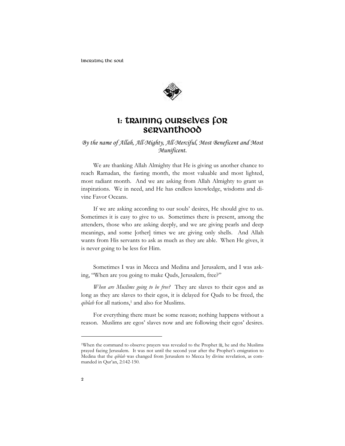

### 1: TRAINING OURSELVES FOR servanthood

#### *By the name of Allah, All-Mighty, All-Merciful, Most Beneficent and Most Munificent.*

We are thanking Allah Almighty that He is giving us another chance to reach Ramadan, the fasting month, the most valuable and most lighted, most radiant month. And we are asking from Allah Almighty to grant us inspirations. We in need, and He has endless knowledge, wisdoms and divine Favor Oceans.

If we are asking according to our souls' desires, He should give to us. Sometimes it is easy to give to us. Sometimes there is present, among the attenders, those who are asking deeply, and we are giving pearls and deep meanings, and some [other] times we are giving only shells. And Allah wants from His servants to ask as much as they are able. When He gives, it is never going to be less for Him.

Sometimes I was in Mecca and Medina and Jerusalem, and I was asking, "When are you going to make Quds, Jerusalem, free?"

*When are Muslims going to be free?* They are slaves to their egos and as long as they are slaves to their egos, it is delayed for Quds to be freed, the *qiblah* for all nations,<sup>1</sup> and also for Muslims.

For everything there must be some reason; nothing happens without a reason. Muslims are egos' slaves now and are following their egos' desires.

<sup>&</sup>lt;sup>1</sup>When the command to observe prayers was revealed to the Prophet  $\frac{4}{36}$ , he and the Muslims prayed facing Jerusalem. It was not until the second year after the Prophet's emigration to Medina that the *qiblah* was changed from Jerusalem to Mecca by divine revelation, as commanded in Qur'an, 2:142-150.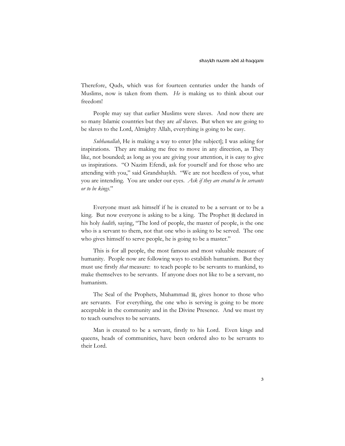Therefore, Quds, which was for fourteen centuries under the hands of Muslims, now is taken from them. *He* is making us to think about our freedom!

People may say that earlier Muslims were slaves. And now there are so many Islamic countries but they are *all* slaves. But when we are going to be slaves to the Lord, Almighty Allah, everything is going to be easy.

*Subhanallah*, He is making a way to enter [the subject]; I was asking for inspirations. They are making me free to move in any direction, as They like, not bounded; as long as you are giving your attention, it is easy to give us inspirations. "O Nazim Efendi, ask for yourself and for those who are attending with you," said Grandshaykh. "We are not heedless of you, what you are intending. You are under our eyes. *Ask if they are created to be servants or to be kings*."

Everyone must ask himself if he is created to be a servant or to be a king. But now everyone is asking to be a king. The Prophet . declared in his holy *hadith,* saying, "The lord of people, the master of people, is the one who is a servant to them, not that one who is asking to be served. The one who gives himself to serve people, he is going to be a master."

This is for all people, the most famous and most valuable measure of humanity. People now are following ways to establish humanism. But they must use firstly *that* measure: to teach people to be servants to mankind, to make themselves to be servants. If anyone does not like to be a servant, no humanism.

The Seal of the Prophets, Muhammad , gives honor to those who are servants. For everything, the one who is serving is going to be more acceptable in the community and in the Divine Presence. And we must try to teach ourselves to be servants.

Man is created to be a servant, firstly to his Lord. Even kings and queens, heads of communities, have been ordered also to be servants to their Lord.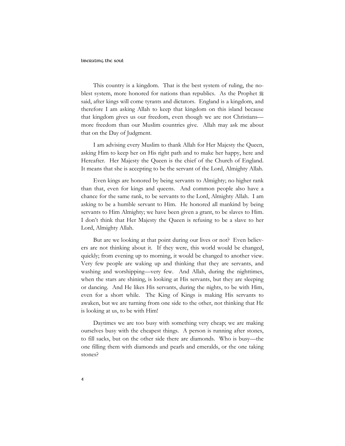This country is a kingdom. That is the best system of ruling, the noblest system, more honored for nations than republics. As the Prophet said, after kings will come tyrants and dictators. England is a kingdom, and therefore I am asking Allah to keep that kingdom on this island because that kingdom gives us our freedom, even though we are not Christians more freedom than our Muslim countries give. Allah may ask me about that on the Day of Judgment.

I am advising every Muslim to thank Allah for Her Majesty the Queen, asking Him to keep her on His right path and to make her happy, here and Hereafter. Her Majesty the Queen is the chief of the Church of England. It means that she is accepting to be the servant of the Lord, Almighty Allah.

Even kings are honored by being servants to Almighty; no higher rank than that, even for kings and queens. And common people also have a chance for the same rank, to be servants to the Lord, Almighty Allah. I am asking to be a humble servant to Him. He honored all mankind by being servants to Him Almighty; we have been given a grant, to be slaves to Him. I don't think that Her Majesty the Queen is refusing to be a slave to her Lord, Almighty Allah.

But are we looking at that point during our lives or not? Even believers are not thinking about it. If they were, this world would be changed, quickly; from evening up to morning, it would be changed to another view. Very few people are waking up and thinking that they are servants, and washing and worshipping—very few. And Allah, during the nighttimes, when the stars are shining, is looking at His servants, but they are sleeping or dancing. And He likes His servants, during the nights, to be with Him, even for a short while. The King of Kings is making His servants to awaken, but we are turning from one side to the other, not thinking that He is looking at us, to be with Him!

Daytimes we are too busy with something very cheap; we are making ourselves busy with the cheapest things. A person is running after stones, to fill sacks, but on the other side there are diamonds. Who is busy—the one filling them with diamonds and pearls and emeralds, or the one taking stones?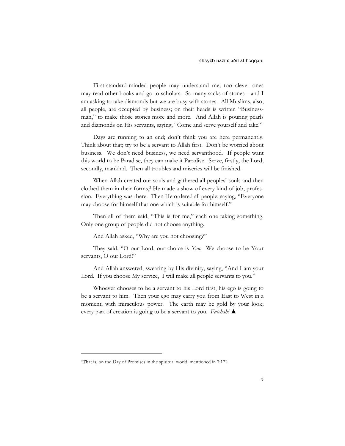First-standard-minded people may understand me; too clever ones may read other books and go to scholars. So many sacks of stones—and I am asking to take diamonds but we are busy with stones. All Muslims, also, all people, are occupied by business; on their heads is written "Businessman," to make those stones more and more. And Allah is pouring pearls and diamonds on His servants, saying, "Come and serve yourself and take!"

Days are running to an end; don't think you are here permanently. Think about that; try to be a servant to Allah first. Don't be worried about business. We don't need business, we need servanthood. If people want this world to be Paradise, they can make it Paradise. Serve, firstly, the Lord; secondly, mankind. Then all troubles and miseries will be finished.

When Allah created our souls and gathered all peoples' souls and then clothed them in their forms,<sup>2</sup> He made a show of every kind of job, profession. Everything was there. Then He ordered all people, saying, "Everyone may choose for himself that one which is suitable for himself."

Then all of them said, "This is for me," each one taking something. Only one group of people did not choose anything.

And Allah asked, "Why are you not choosing?"

They said, "O our Lord, our choice is *You*. We choose to be Your servants, O our Lord!"

And Allah answered, swearing by His divinity, saying, "And I am your Lord. If you choose My service, I will make all people servants to you."

Whoever chooses to be a servant to his Lord first, his ego is going to be a servant to him. Then your ego may carry you from East to West in a moment, with miraculous power. The earth may be gold by your look; every part of creation is going to be a servant to you. *Fatehah! ▲*

<sup>2</sup>That is, on the Day of Promises in the spiritual world, mentioned in 7:172.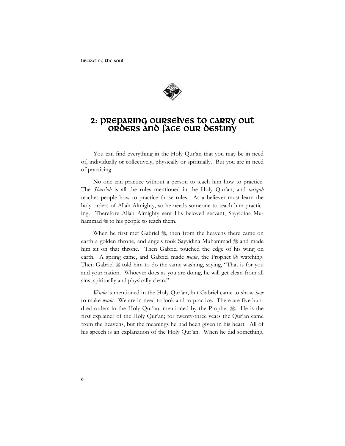

## 2: preparing ourselves to carry out<br>orders and face our destiny

You can find everything in the Holy Qur'an that you may be in need of, individually or collectively, physically or spiritually. But you are in need of practicing.

No one can practice without a person to teach him how to practice. The *Shari'ah* is all the rules mentioned in the Holy Qur'an, and *tariqah* teaches people how to practice those rules. As a believer must learn the holy orders of Allah Almighty, so he needs someone to teach him practicing. Therefore Allah Almighty sent His beloved servant, Sayyidina Muhammad  $\frac{1}{20}$  to his people to teach them.

When he first met Gabriel , then from the heavens there came on earth a golden throne, and angels took Sayyidina Muhammad 囊 and made him sit on that throne. Then Gabriel touched the edge of his wing on earth. A spring came, and Gabriel made *wudu*, the Prophet <sup>38</sup> watching. Then Gabriel  $\frac{1}{20}$  told him to do the same washing, saying, "That is for you and your nation. Whoever does as you are doing, he will get clean from all sins, spiritually and physically clean."

*Wudu* is mentioned in the Holy Qur'an, but Gabriel came to show *how*  to make *wudu*. We are in need to look and to practice. There are five hundred orders in the Holy Qur'an, mentioned by the Prophet  $\frac{16}{36}$ . He is the first explainer of the Holy Qur'an; for twenty-three years the Qur'an came from the heavens, but the meanings he had been given in his heart. All of his speech is an explanation of the Holy Qur'an. When he did something,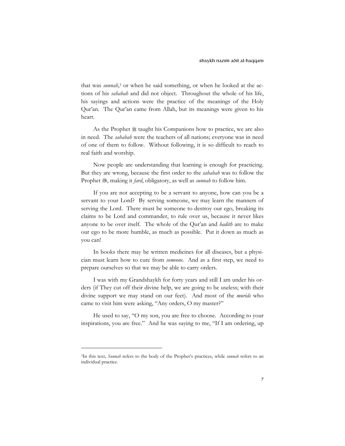that was *sunnah*, 3 or when he said something, or when he looked at the actions of his *sahabah* and did not object. Throughout the whole of his life, his sayings and actions were the practice of the meanings of the Holy Qur'an. The Qur'an came from Allah, but its meanings were given to his heart.

As the Prophet  $\frac{4}{36}$  taught his Companions how to practice, we are also in need. The *sahabah* were the teachers of all nations; everyone was in need of one of them to follow. Without following, it is so difficult to reach to real faith and worship.

Now people are understanding that learning is enough for practicing. But they are wrong, because the first order to the *sahabah* was to follow the Prophet &, making it *fard*, obligatory, as well as *sunnah* to follow him.

If you are not accepting to be a servant to anyone, how can you be a servant to your Lord? By serving someone, we may learn the manners of serving the Lord. There must be someone to destroy our ego, breaking its claims to be Lord and commander, to rule over us, because it never likes anyone to be over itself. The whole of the Qur'an and *hadith* are to make our ego to be more humble, as much as possible. Put it down as much as you can!

In books there may be written medicines for all diseases, but a physician must learn how to cure from *someone*. And as a first step, we need to prepare ourselves so that we may be able to carry orders.

I was with my Grandshaykh for forty years and still I am under his orders (if They cut off their divine help, we are going to be useless; with their divine support we may stand on our feet). And most of the *murids* who came to visit him were asking, "Any orders, O my master?"

He used to say, "O my son, you are free to choose. According to your inspirations, you are free." And he was saying to me, "If I am ordering, up

<sup>3</sup>In this text, *Sunnah* refers to the body of the Prophet's practices, while *sunnah* refers to an individual practice.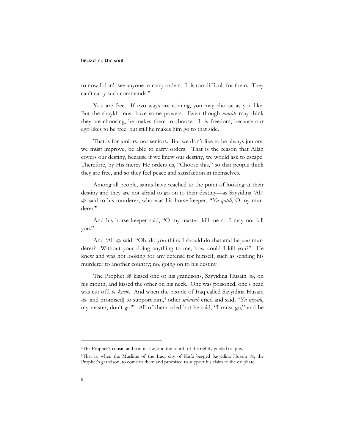to now I don't see anyone to carry orders. It is too difficult for them. They can't carry such commands."

You are free. If two ways are coming, you may choose as you like. But the shaykh must have some powers. Even though *murids* may think they are choosing, he makes them to choose. It is freedom, because our ego likes to be free, but still he makes him go to that side.

That is for juniors, not seniors. But we don't like to be always juniors; we must improve, be able to carry orders. That is the reason that Allah covers our destiny, because if we knew our destiny, we would ask to escape. Therefore, by His mercy He orders us, "Choose this," so that people think they are free, and so they feel peace and satisfaction in themselves.

Among all people, saints have reached to the point of looking at their destiny and they are not afraid to go on to their destiny—as Sayyidina 'Ali4 said to his murderer, who was his horse keeper, "*Ya qatili*, O my murderer!"

And his horse keeper said, "O my master, kill me so I may not kill you."

And 'Ali  $\triangleq$  said, "Oh, do you think I should do that and be *your* murderer? Without your doing anything to me, how could I kill you?" He knew and was not looking for any defense for himself, such as sending his murderer to another country; no, going on to his destiny.

The Prophet <sup>38</sup> kissed one of his grandsons, Sayyidina Husain  $\ddot{\infty}$ , on his mouth, and kissed the other on his neck. One was poisoned, one's head was cut off; *he knew*. And when the people of Iraq called Sayyidina Husain [and promised] to support him,5 other *sahabah* cried and said, "*Ya sayyidi*, my master, don't go!" All of them cried but he said, "I must go," and he

<sup>4</sup>The Prophet's cousin and son-in-law, and the fourth of the rightly-guided caliphs.

<sup>&</sup>lt;sup>5</sup>That is, when the Muslims of the Iraqi city of Kufa begged Sayyidina Husain  $\clubsuit$ , the Prophet's grandson, to come to them and promised to support his claim to the caliphate.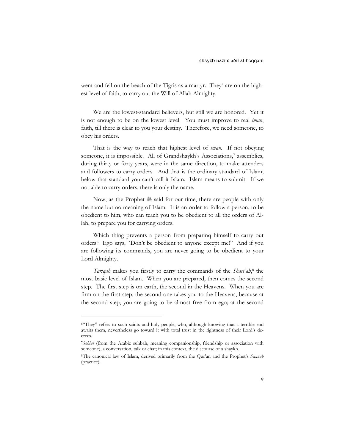went and fell on the beach of the Tigris as a martyr. They are on the highest level of faith, to carry out the Will of Allah Almighty.

We are the lowest-standard believers, but still we are honored. Yet it is not enough to be on the lowest level. You must improve to real *iman*, faith, till there is clear to you your destiny. Therefore, we need someone, to obey his orders.

That is the way to reach that highest level of *iman*. If not obeying someone, it is impossible. All of Grandshaykh's Associations,<sup>7</sup> assemblies, during thirty or forty years, were in the same direction, to make attenders and followers to carry orders. And that is the ordinary standard of Islam; below that standard you can't call it Islam. Islam means to submit. If we not able to carry orders, there is only the name.

Now, as the Prophet  $\mathcal{B}$  said for our time, there are people with only the name but no meaning of Islam. It is an order to follow a person, to be obedient to him, who can teach you to be obedient to all the orders of Allah, to prepare you for carrying orders.

Which thing prevents a person from preparinq himself to carry out orders? Ego says, "Don't be obedient to anyone except me!" And if you are following its commands, you are never going to be obedient to your Lord Almighty.

*Tariqah* makes you firstly to carry the commands of the *Shari'ah*, 8 the most basic level of Islam. When you are prepared, then comes the second step. The first step is on earth, the second in the Heavens. When you are firm on the first step, the second one takes you to the Heavens, because at the second step, you are going to be almost free from ego; at the second

<sup>&</sup>lt;sup>6"</sup>They" refers to such saints and holy people, who, although knowing that a terrible end awaits them, nevertheless go toward it with total trust in the rightness of their Lord's decrees.

<sup>7</sup>*Sohbet* (from the Arabic suhbah, meaning companionship, friendship or association with someone), a conversation, talk or chat; in this context, the discourse of a shaykh.

<sup>8</sup>The canonical law of Islam, derived primarily from the Qur'an and the Prophet's *Sunnah* (practice).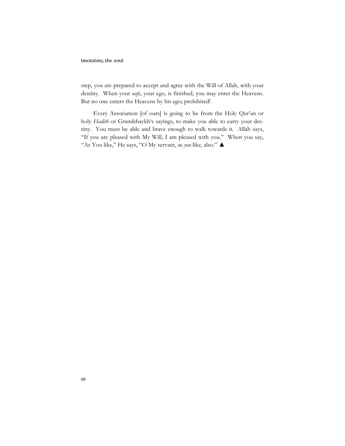step, you are prepared to accept and agree with the Will of Allah, with your destiny. When your *nafs*, your ego, is finished, you may enter the Heavens. But no one enters the Heavens by his ego; prohibited!

Every Association [of ours] is going to be from the Holy Qur'an or holy *Hadith* or Grandshaykh's sayings, to make you able to carry your destiny. You must be able and brave enough to walk towards it. Allah says, "If you are pleased with My Will, I am pleased with you." When you say, "As You like," He says, "O My servant, as *you* like, also." *▲*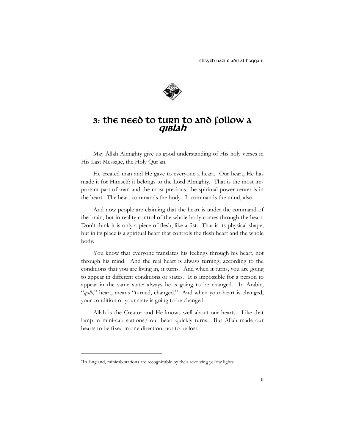shaykh nazim adil al-haqqani



## 3: the need to turn to and follow a<br>*qualah*

May Allah Almighty give us good understanding of His holy verses in His Last Message, the Holy Qur'an.

He created man and He gave to everyone a heart. Our heart, He has made it for Himself; it belongs to the Lord Almighty. That is the most important part of man and the most precious; the spiritual power center is in the heart. The heart commands the body. It commands the mind, also.

And now people are claiming that the heart is under the command of the brain, but in reality control of the whole body comes through the heart. Don't think it is only a piece of flesh, like a fist. That is its physical shape, but in its place is a spiritual heart that controls the flesh heart and the whole body.

You know that everyone translates his feelings through his heart, not through his mind. And the real heart is always turning; according to the conditions that you are living in, it turns. And when it turns, you are going to appear in different conditions or states. It is impossible for a person to appear in the same state; always he is going to be changed. In Arabic, "*qalb*," heart, means "turned, changed." And when your heart is changed, your condition or your state is going to be changed.

Allah is the Creator and He knows well about our hearts. Like that lamp in mini-cab stations,<sup>9</sup> our heart quickly turns. But Allah made our hearts to be fixed in one direction, not to be lost.

<sup>9</sup>In England, minicab stations are recognizable by their revolving yellow lights.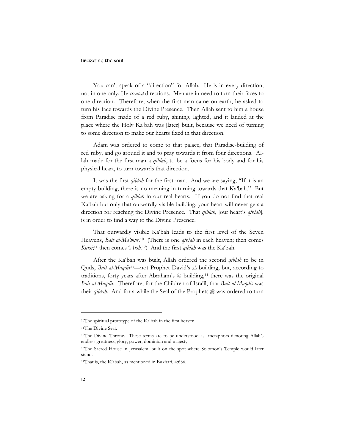You can't speak of a "direction" for Allah. He is in every direction, not in one only; He *created* directions*.* Men are in need to turn their faces to one direction. Therefore, when the first man came on earth, he asked to turn his face towards the Divine Presence. Then Allah sent to him a house from Paradise made of a red ruby, shining, lighted, and it landed at the place where the Holy Ka'bah was [later] built, because we need of turning to some direction to make our hearts fixed in that direction.

Adam was ordered to come to that palace, that Paradise-building of red ruby, and go around it and to pray towards it from four directions. Allah made for the first man a *qiblah*, to be a focus for his body and for his physical heart, to turn towards that direction.

It was the first *qiblah* for the first man. And we are saying, "If it is an empty building, there is no meaning in turning towards that Ka'bah." But we are asking for a *qiblah* in our real hearts. If you do not find that real Ka'bah but only that outwardly visible building, your heart will never gets a direction for reaching the Divine Presence. That *qiblah*, [our heart's *qiblah*], is in order to find a way to the Divine Presence.

That outwardly visible Ka'bah leads to the first level of the Seven Heavens, *Bait al-Ma'mur*. 10 (There is one *qiblah* in each heaven; then comes *Kursi*; 11 then comes '*Arsh.*12) And the first *qiblah* was the Ka'bah.

After the Ka'bah was built, Allah ordered the second *qiblah* to be in Quds, *Bait al-Maqdis*13—not Prophet David's ¡ building, but, according to traditions, forty years after Abraham's  $\frac{1}{60}$  building,<sup>14</sup> there was the original *Bait al-Maqdis.* Therefore, for the Children of Isra'il, that *Bait al-Maqdis* was their *qiblah*. And for a while the Seal of the Prophets  $\frac{1}{26}$  was ordered to turn

<sup>&</sup>lt;sup>10</sup>The spiritual prototype of the Ka'bah in the first heaven.

<sup>11</sup>The Divine Seat.

<sup>12</sup>The Divine Throne. These terms are to be understood as metaphors denoting Allah's endless greatness, glory, power, dominion and majesty.

<sup>13</sup>The Sacred House in Jerusalem, built on the spot where Solomon's Temple would later stand.

<sup>14</sup>That is, the K'abah, as mentioned in Bukhari, 4:636.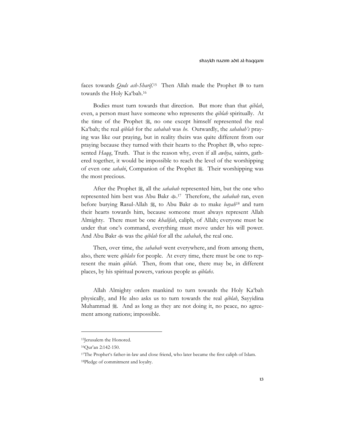faces towards *Quds ash-Sharif.*<sup>15</sup> Then Allah made the Prophet <sup>35</sup> to turn towards the Holy Ka'bah.16

Bodies must turn towards that direction. But more than that *qiblah*, even, a person must have someone who represents the *qiblah* spiritually. At the time of the Prophet  $\frac{46}{36}$ , no one except himself represented the real Ka'bah; the real *qiblah* for the *sahabah* was *he*. Outwardly, the *sahabah's* praying was like our praying, but in reality theirs was quite different from our praying because they turned with their hearts to the Prophet  $\mathcal{B}$ , who represented *Haqq*, Truth. That is the reason why, even if all *awliya*, saints, gathered together, it would be impossible to reach the level of the worshipping of even one *sahabi*, Companion of the Prophet  $\frac{1}{2}$ . Their worshipping was the most precious.

After the Prophet , all the *sahabah* represented him, but the one who represented him best was Abu Bakr  $\clubsuit$ <sup>17</sup> Therefore, the *sahabah* ran, even before burying Rasul-Allah , to Abu Bakr  $\approx$  to make *bayah*<sup>18</sup> and turn their hearts towards him, because someone must always represent Allah Almighty. There must be one *khalifah*, caliph, of Allah; everyone must be under that one's command, everything must move under his will power. And Abu Bakr was the *qiblah* for all the *sahabah*, the real one.

Then, over time, the *sahabah* went everywhere, and from among them, also, there were *qiblahs* for people. At every time, there must be one to represent the main *qiblah*. Then, from that one, there may be, in different places, by his spiritual powers, various people as *qiblahs*.

Allah Almighty orders mankind to turn towards the Holy Ka'bah physically, and He also asks us to turn towards the real *qiblah*, Sayyidina Muhammad . And as long as they are not doing it, no peace, no agreement among nations; impossible.

<sup>15</sup>Jerusalem the Honored.

<sup>16</sup>Qur'an 2:142-150.

<sup>&</sup>lt;sup>17</sup>The Prophet's father-in-law and close friend, who later became the first caliph of Islam. 18Pledge of commitment and loyalty.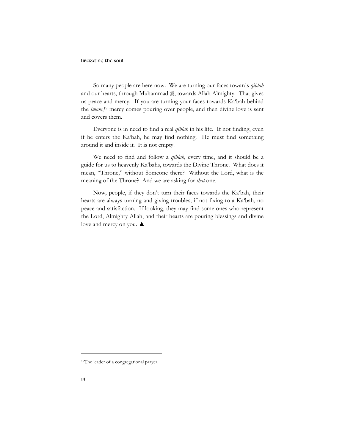So many people are here now. We are turning our faces towards *qiblah* and our hearts, through Muhammad , towards Allah Almighty. That gives us peace and mercy. If you are turning your faces towards Ka'bah behind the *imam*, 19 mercy comes pouring over people, and then divine love is sent and covers them.

Everyone is in need to find a real *qiblah* in his life. If not finding, even if he enters the Ka'bah, he may find nothing. He must find something around it and inside it. It is not empty.

We need to find and follow a *qiblah*, every time, and it should be a guide for us to heavenly Ka'bahs, towards the Divine Throne. What does it mean, "Throne," without Someone there? Without the Lord, what is the meaning of the Throne? And we are asking for *that* one*.*

Now, people, if they don't turn their faces towards the Ka'bah, their hearts are always turning and giving troubles; if not fixing to a Ka'bah, no peace and satisfaction. If looking, they may find some ones who represent the Lord, Almighty Allah, and their hearts are pouring blessings and divine love and mercy on you. *▲*

<sup>19</sup>The leader of a congregational prayer.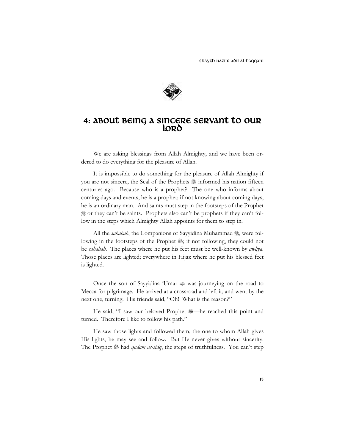shaykh nazim adil al-haqqani



## 4: ABOUT BEING A SINCERE SERVANT TO OUR<br>LORD

We are asking blessings from Allah Almighty, and we have been ordered to do everything for the pleasure of Allah.

It is impossible to do something for the pleasure of Allah Almighty if you are not sincere, the Seal of the Prophets  $\frac{35}{100}$  informed his nation fifteen centuries ago. Because who is a prophet? The one who informs about coming days and events, he is a prophet; if not knowing about coming days, he is an ordinary man. And saints must step in the footsteps of the Prophet or they can't be saints. Prophets also can't be prophets if they can't follow in the steps which Almighty Allah appoints for them to step in.

All the *sahabah*, the Companions of Sayyidina Muhammad , were following in the footsteps of the Prophet \$, if not following, they could not be *sahabah*. The places where he put his feet must be well-known by *awliya*. Those places are lighted; everywhere in Hijaz where he put his blessed feet is lighted.

Once the son of Sayyidina 'Umar  $\omega$  was journeying on the road to Mecca for pilgrimage. He arrived at a crossroad and left it, and went by the next one, turning. His friends said, "Oh! What is the reason?"

He said, "I saw our beloved Prophet & the reached this point and turned. Therefore I like to follow his path."

He saw those lights and followed them; the one to whom Allah gives His lights, he may see and follow. But He never gives without sincerity. The Prophet  $\frac{4}{36}$  had *qadam as-sidq*, the steps of truthfulness. You can't step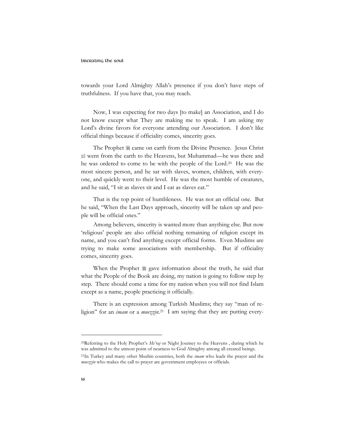towards your Lord Almighty Allah's presence if you don't have steps of truthfulness. If you have that, you may reach.

Now, I was expecting for two days [to make] an Association, and I do not know except what They are making me to speak. I am asking my Lord's divine favors for everyone attending our Association. I don't like official things because if officiality comes, sincerity goes.

The Prophet  $\frac{46}{36}$  came on earth from the Divine Presence. Jesus Christ ¡ went from the earth to the Heavens, but Muhammad—he was there and he was ordered to come to be with the people of the Lord.20 He was the most sincere person, and he sat with slaves, women, children, with everyone, and quickly went to their level. He was the most humble of creatures, and he said, "I sit as slaves sit and I eat as slaves eat."

That is the top point of humbleness. He was not an official one. But he said, "When the Last Days approach, sincerity will be taken up and people will be official ones."

Among believers, sincerity is wanted more than anything else. But now 'religious' people are also official nothing remaining of religion except its name, and you can't find anything except official forms. Even Muslims are trying to make some associations with membership. But if officiality comes, sincerity goes.

When the Prophet  $\frac{46}{36}$  gave information about the truth, he said that what the People of the Book are doing, my nation is going to follow step by step. There should come a time for my nation when you will not find Islam except as a name, people practicing it officially.

There is an expression among Turkish Muslims; they say "man of religion" for an *imam* or a *muezzin*. 21 I am saying that they are putting every-

<sup>20</sup>Referring to the Holy Prophet's *Me'raj* or Night Journey to the Heavens , during which he was admitted to the utmost point of nearness to God Almighty among all created beings. 21In Turkey and many other Muslim countries, both the *imam* who leads the prayer and the *muezzin* who makes the call to prayer are government employees or officials.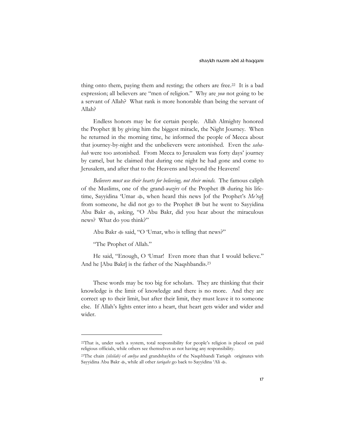thing onto them, paying them and resting; the others are free.<sup>22</sup> It is a bad expression; all believers are "men of religion." Why are *you* not going to be a servant of Allah? What rank is more honorable than being the servant of Allah?

Endless honors may be for certain people. Allah Almighty honored the Prophet  $\frac{1}{20}$  by giving him the biggest miracle, the Night Journey. When he returned in the morning time, he informed the people of Mecca about that journey-by-night and the unbelievers were astonished. Even the *sahabah* were too astonished. From Mecca to Jerusalem was forty days' journey by camel, but he claimed that during one night he had gone and come to Jerusalem, and after that to the Heavens and beyond the Heavens!

*Believers must use their hearts for believing, not their minds.* The famous caliph of the Muslims, one of the grand-*wazirs* of the Prophet  $\frac{1}{200}$  during his lifetime, Sayyidina 'Umar  $\text{L}_{\text{R}}$ , when heard this news [of the Prophet's *Me'raj*] from someone, he did not go to the Prophet & but he went to Sayyidina Abu Bakr  $\clubsuit$ , asking, "O Abu Bakr, did you hear about the miraculous news? What do you think?"

Abu Bakr  $\triangleq$  said, "O 'Umar, who is telling that news?"

"The Prophet of Allah."

 $\overline{a}$ 

He said, "Enough, O 'Umar! Even more than that I would believe." And he [Abu Bakr] is the father of the Naqshbandis.23

These words may be too big for scholars. They are thinking that their knowledge is the limit of knowledge and there is no more. And they are correct up to their limit, but after their limit, they must leave it to someone else. If Allah's lights enter into a heart, that heart gets wider and wider and wider.

<sup>22</sup>That is, under such a system, total responsibility for people's religion is placed on paid religious officials, while others see themselves as not having any responsibility.

<sup>23</sup>The chain *(silsilah)* of *awliya* and grandshaykhs of the Naqshbandi Tariqah originates with Sayyidina Abu Bakr  $\clubsuit$ , while all other *tariqahs* go back to Sayyidina 'Ali  $\clubsuit$ .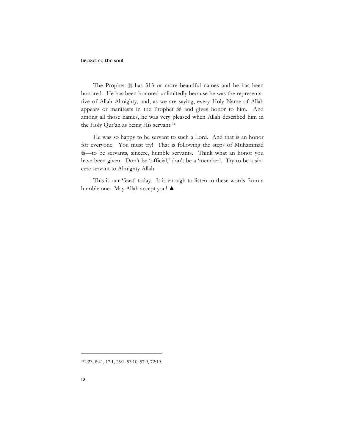The Prophet  $\frac{46}{38}$  has 313 or more beautiful names and he has been honored. He has been honored unlimitedly because he was the representative of Allah Almighty, and, as we are saying, every Holy Name of Allah appears or manifests in the Prophet 3 and gives honor to him. And among all those names, he was very pleased when Allah described him in the Holy Qur'an as being His servant.24

He was so happy to be servant to such a Lord. And that is an honor for everyone. You must try! That is following the steps of Muhammad —to be servants, sincere, humble servants. Think what an honor you have been given. Don't be 'official,' don't be a 'member'. Try to be a sincere servant to Almighty Allah.

This is our 'feast' today. It is enough to listen to these words from a humble one. May Allah accept you! *▲*

<sup>242:23, 8:41, 17:1, 25:1, 53:10, 57:9, 72:19.</sup>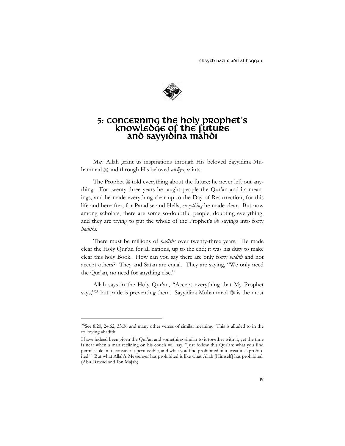shaykh nazim adil al-haqqani



# 5: concerning the holy prophet's<br>knowledge of the future<br>and sayyioina mahdi

May Allah grant us inspirations through His beloved Sayyidina Muhammad  $\frac{4}{36}$  and through His beloved *awliya*, saints.

The Prophet  $\frac{1}{20}$  told everything about the future; he never left out anything. For twenty-three years he taught people the Qur'an and its meanings, and he made everything clear up to the Day of Resurrection, for this life and hereafter, for Paradise and Hells; *everything* he made clear. But now among scholars, there are some so-doubtful people, doubting everything, and they are trying to put the whole of the Prophet's  $\mathcal{F}$  sayings into forty *hadiths*.

There must be millions of *hadiths* over twenty-three years. He made clear the Holy Qur'an for all nations, up to the end; it was his duty to make clear this holy Book. How can you say there are only forty *hadith* and not accept others? They and Satan are equal. They are saying, "We only need the Qur'an, no need for anything else."

Allah says in the Holy Qur'an, "Accept everything that My Prophet says,"<sup>25</sup> but pride is preventing them. Sayyidina Muhammad 3 is the most

<sup>25</sup>See 8:20, 24:62, 33:36 and many other verses of similar meaning. This is alluded to in the following ahadith:

I have indeed been given the Qur'an and something similar to it together with it, yet the time is near when a man reclining on his couch will say, "Just follow this Qur'an; what you find permissible in it, consider it permissible, and what you find prohibited in it, treat it as prohibited." But what Allah's Messenger has prohibited is like what Allah [Himself] has prohibited. (Abu Dawud and Ibn Majah)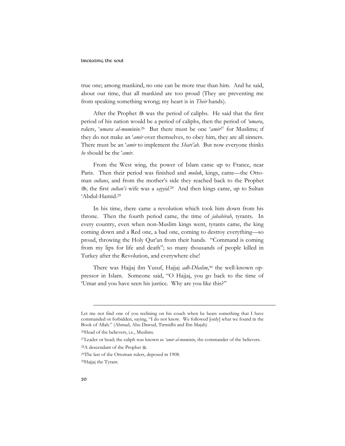true one; among mankind, no one can be more true than him. And he said, about our time, that all mankind are too proud (They are preventing me from speaking something wrong; my heart is in *Their* hands).

After the Prophet 38 was the period of caliphs. He said that the first period of his nation would be a period of caliphs, then the period of *'umara*, rulers, '*umara al-muminin*. 26 But there must be one '*amir*<sup>27</sup> for Muslims; ıf they do not make an '*amir* over themselves, to obey him, they are all sinners. There must be an '*amir* to implement the *Shari'ah*. But now everyone thinks *he* should be the '*amir*.

From the West wing, the power of Islam came up to France, near Paris. Then their period was finished and *muluk*, kings, came—the Ottoman *sultans*, and from the mother's side they reached back to the Prophet ; the first *sultan's* wife was a *sayyid*. 28 And then kings came, up to Sultan 'Abdul-Hamid.29

In his time, there came a revolution which took him down from his throne. Then the fourth period came, the time of *jababirah*, tyrants. In every country, even when non-Muslim kings went, tyrants came, the king coming down and a Red one, a bad one, coming to destroy everything—so proud, throwing the Holy Qur'an from their hands. "Command is coming from my lips for life and death"; so many thousands of people killed in Turkey after the Revolution, and everywhere else!

There was Hajjaj ibn Yusuf, Hajjaj *adh-Dhalim*, 30 the well-known oppressor in Islam. Someone said, "O Hajjaj, you go back to the time of 'Umar and you have seen his justice. Why are you like this?"

26Head of the believers, i.e., Muslims.

Let me not find one of you reclining on his couch when he hears something that I have commanded or forbidden, saying, "I do not know. We followed [only] what we found in the Book of Allah." (Ahmad, Abu Dawud, Tirmidhi and Ibn Majah)

<sup>27</sup>Leader or head; the caliph was known as *'amir al-muminin*, the commander of the believers.

<sup>&</sup>lt;sup>28</sup>A descendant of the Prophet ...

<sup>29</sup>The last of the Ottoman rulers, deposed in 1908.

<sup>30</sup>Hajjaj the Tyrant.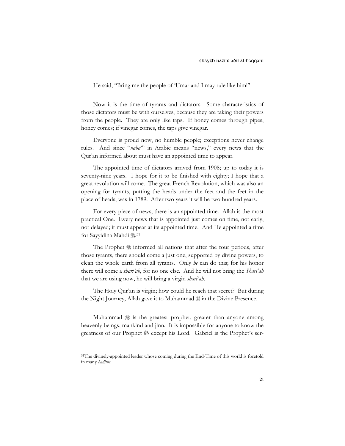He said, "Bring me the people of 'Umar and I may rule like him!"

Now it is the time of tyrants and dictators. Some characteristics of those dictators must be with ourselves, because they are taking their powers from the people. They are only like taps. If honey comes through pipes, honey comes; if vinegar comes, the taps give vinegar.

Everyone is proud now, no humble people; exceptions never change rules. And since "*naba*'" in Arabic means "news," every news that the Qur'an informed about must have an appointed time to appear.

The appointed time of dictators arrived from 1908; up to today it is seventy-nine years. I hope for it to be finished with eighty; I hope that a great revolution will come. The great French Revolution, which was also an opening for tyrants, putting the heads under the feet and the feet in the place of heads, was in 1789. After two years it will be two hundred years.

For every piece of news, there is an appointed time. Allah is the most practical One. Every news that is appointed just comes on time, not early, not delayed; it must appear at its appointed time. And He appointed a time for Sayyidina Mahdi 231

The Prophet  $\frac{4}{36}$  informed all nations that after the four periods, after those tyrants, there should come a just one, supported by divine powers, to clean the whole earth from all tyrants. Only *he* can do this; for his honor there will come a *shari'ah*, for no one else. And he will not bring the *Shari'ah* that we are using now, he will bring a virgin *shari'ah*.

The Holy Qur'an is virgin; how could he reach that secret? But during the Night Journey, Allah gave it to Muhammad  $\frac{1}{26}$  in the Divine Presence.

Muhammad  $\frac{46}{36}$  is the greatest prophet, greater than anyone among heavenly beings, mankind and jinn*.* It is impossible for anyone to know the greatness of our Prophet 3 except his Lord. Gabriel is the Prophet's ser-

<sup>&</sup>lt;sup>31</sup>The divinely-appointed leader whose coming during the End-Time of this world is foretold in many *hadiths*.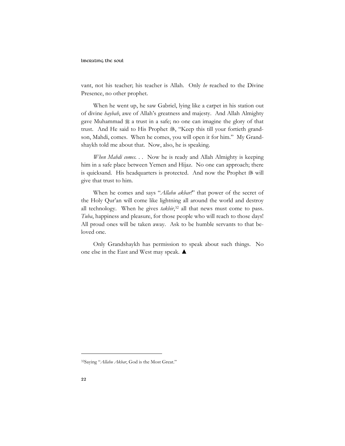vant, not his teacher; his teacher is Allah. Only *he* reached to the Divine Presence, no other prophet.

When he went up, he saw Gabriel, lying like a carpet in his station out of divine *haybah*, awe of Allah's greatness and majesty. And Allah Almighty gave Muhammad  $\frac{1}{28}$  a trust in a safe; no one can imagine the glory of that trust. And He said to His Prophet &, "Keep this till your fortieth grandson, Mahdi, comes. When he comes, you will open it for him." My Grandshaykh told me about that. Now, also, he is speaking.

*When Mahdi comes. . .* Now he is ready and Allah Almighty is keeping him in a safe place between Yemen and Hijaz. No one can approach; there is quicksand. His headquarters is protected. And now the Prophet 3 will give that trust to him.

When he comes and says "*Allahu akbar!*" that power of the secret of the Holy Qur'an will come like lightning all around the world and destroy all technology. When he gives *takbir*, 32 all that news must come to pass. *Tuba*, happiness and pleasure, for those people who will reach to those days! All proud ones will be taken away. Ask to be humble servants to that beloved one.

Only Grandshaykh has permission to speak about such things. No one else in the East and West may speak. *▲*

<sup>32</sup>Saying "*Allahu Akbar*, God is the Most Great."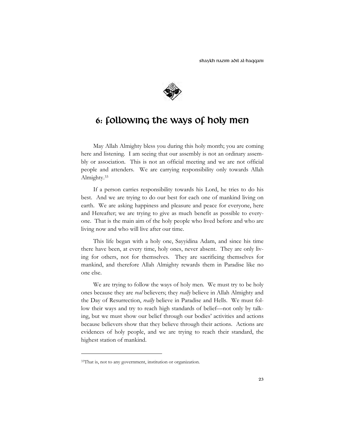

## 6: following the ways of holy men

May Allah Almighty bless you during this holy month; you are coming here and listening. I am seeing that our assembly is not an ordinary assembly or association. This is not an official meeting and we are not official people and attenders. We are carrying responsibility only towards Allah Almighty.33

If a person carries responsibility towards his Lord, he tries to do his best. And we are trying to do our best for each one of mankind living on earth. We are asking happiness and pleasure and peace for everyone, here and Hereafter; we are trying to give as much benefit as possible to everyone. That is the main aim of the holy people who lived before and who are living now and who will live after our time.

This life began with a holy one, Sayyidina Adam, and since his time there have been, at every time, holy ones, never absent. They are only living for others, not for themselves. They are sacrificing themselves for mankind, and therefore Allah Almighty rewards them in Paradise like no one else.

We are trying to follow the ways of holy men. We must try to be holy ones because they are *real* believers; they *really* believe in Allah Almighty and the Day of Resurrection, *really* believe in Paradise and Hells. We must follow their ways and try to reach high standards of belief—not only by talking, but we must show our belief through our bodies' activities and actions because believers show that they believe through their actions. Actions are evidences of holy people, and we are trying to reach their standard, the highest station of mankind.

<sup>33</sup>That is, not to any government, institution or organization.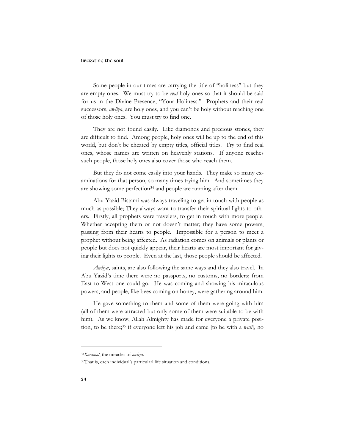Some people in our times are carrying the title of "holiness" but they are empty ones. We must try to be *real* holy ones so that it should be said for us in the Divine Presence, "Your Holiness." Prophets and their real successors, *awliya*, are holy ones, and you can't be holy without reaching one of those holy ones. You must try to find one.

They are not found easily. Like diamonds and precious stones, they are difficult to find. Among people, holy ones will be up to the end of this world, but don't be cheated by empty titles, official titles. Try to find real ones, whose names are written on heavenly stations. If anyone reaches such people, those holy ones also cover those who reach them.

But they do not come easily into your hands. They make so many examinations for that person, so many times trying him. And sometimes they are showing some perfection<sup>34</sup> and people are running after them.

Abu Yazid Bistami was always traveling to get in touch with people as much as possible; They always want to transfer their spiritual lights to others. Firstly, all prophets were travelers, to get in touch with more people. Whether accepting them or not doesn't matter; they have some powers, passing from their hearts to people. Impossible for a person to meet a prophet without being affected. As radiation comes on animals or plants or people but does not quickly appear, their hearts are most important for giving their lights to people. Even at the last, those people should be affected.

*Awliya*, saints, are also following the same ways and they also travel. In Abu Yazid's time there were no passports, no customs, no borders; from East to West one could go. He was coming and showing his miraculous powers, and people, like bees coming on honey, were gathering around him.

He gave something to them and some of them were going with him (all of them were attracted but only some of them were suitable to be with him). As we know, Allah Almighty has made for everyone a private position, to be there;35 if everyone left his job and came [to be with a *wali*], no

<sup>34</sup>*Karamat*, the miracles of *awliya*.

<sup>35</sup>That is, each individual's particularl life situation and conditions.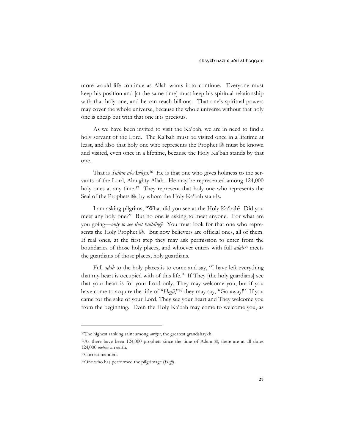more would life continue as Allah wants it to continue. Everyone must keep his position and [at the same time] must keep his spiritual relationship with that holy one, and he can reach billions. That one's spiritual powers may cover the whole universe, because the whole universe without that holy one is cheap but with that one it is precious.

As we have been invited to visit the Ka'bah, we are in need to find a holy servant of the Lord. The Ka'bah must be visited once in a lifetime at least, and also that holy one who represents the Prophet & must be known and visited, even once in a lifetime, because the Holy Ka'bah stands by that one.

That is *Sultan al-Awliya.*36 He is that one who gives holiness to the servants of the Lord, Almighty Allah. He may be represented among 124,000 holy ones at any time.<sup>37</sup> They represent that holy one who represents the Seal of the Prophets  $\mathcal{L}$ , by whom the Holy Ka'bah stands.

I am asking pilgrims, "What did you see at the Holy Ka'bah? Did you meet any holy one?" But no one is asking to meet anyone. For what are you going—*only to see that building*? You must look for that one who represents the Holy Prophet . But now believers are official ones, all of them. If real ones, at the first step they may ask permission to enter from the boundaries of those holy places, and whoever enters with full *adab*38 meets the guardians of those places, holy guardians.

Full *adab* to the holy places is to come and say, "I have left everything that my heart is occupied with of this life." If They [the holy guardians] see that your heart is for your Lord only, They may welcome you, but if you have come to acquire the title of "*Hajji*,"39 they may say, "Go away!" If you came for the sake of your Lord, They see your heart and They welcome you from the beginning. Even the Holy Ka'bah may come to welcome you, as

<sup>36</sup>The highest ranking saint among *awliya*, the greatest grandshaykh.

 $37$ As there have been 124,000 prophets since the time of Adam  $\frac{46}{35}$ , there are at all times 124,000 *awliya* on earth.

<sup>38</sup>Correct manners.

<sup>39</sup>One who has performed the pilgrimage (*Hajj*).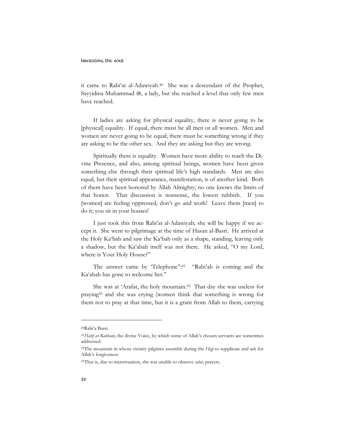it came to Rabi'at al-Adawiyah.40 She was a descendant of the Prophet, Sayyidina Muhammad 3, a lady, but she reached a level that only few men have reached.

If ladies are asking for physical equality, there is never going to be [physical] equality. If equal, there must be all men or all women. Men and women are never going to be equal; there must be something wrong if they are asking to be the other sex. And they are asking but they are wrong.

Spiritually there is equality. Women have more ability to reach the Divine Presence, and also, among spiritual beings, women have been given something else through their spiritual life's high standards. Men are also equal, but their spiritual appearance, manifestation, is of another kind. Both of them have been honored by Allah Almighty; no one knows the limits of that honor. That discussion is nonsense, the lowest rubbish. If you [women] are feeling oppressed, don't go and work! Leave them [men] to do it; you sit in your houses!

I just took this from Rabi'at al-Adawiyah; she will be happy if we accept it. She went to pilgrimage at the time of Hasan al-Basri. He arrived at the Holy Ka'bah and saw the Ka'bah only as a shape, standing, leaving only a shadow, but the Ka'abah itself was not there. He asked, "O my Lord, where is Your Holy House?"

The answer came by 'Telephone":<sup>41</sup> "Rabi'ah is coming and the Ka'abah has gone to welcome her."

She was at 'Arafat, the holy mountain.<sup>42</sup> That day she was useless for praying43 and she was crying (women think that something is wrong for them not to pray at that time, but it is a grant from Allah to them, carrying

<sup>40</sup>Rabi'a Basri.

<sup>41</sup>*Hatif ar-Rabbani*, the divine Voice, by which some of Allah's chosen servants are sometimes addressed.

<sup>42</sup>The mountain in whose vicinity pilgrims assembl*e* during the *Hajj* to supplicate and ask for Allah's forgiveness.

<sup>43</sup>That is, due to menstruation, she was unable to observe *salat*, prayers.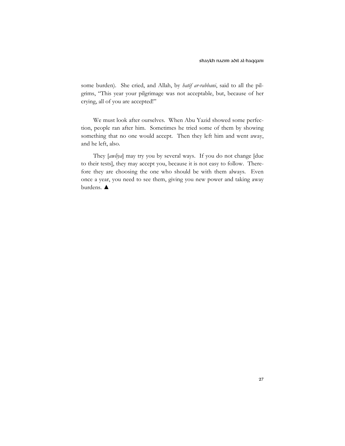some burden). She cried, and Allah, by *hatif ar-rabbani*, said to all the pilgrims, "This year your pilgrimage was not acceptable, but, because of her crying, all of you are accepted!"

We must look after ourselves. When Abu Yazid showed some perfection, people ran after him. Sometimes he tried some of them by showing something that no one would accept. Then they left him and went away, and he left, also.

They [*awliya*] may try you by several ways. If you do not change [due to their tests], they may accept you, because it is not easy to follow. Therefore they are choosing the one who should be with them always. Even once a year, you need to see them, giving you new power and taking away burdens. *▲*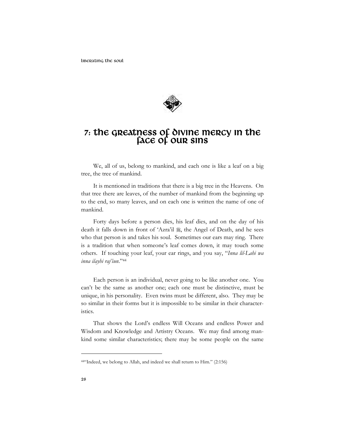

# 7: the greatness of divine mercy in the<br>face of our sins

We, all of us, belong to mankind, and each one is like a leaf on a big tree, the tree of mankind.

It is mentioned in traditions that there is a big tree in the Heavens. On that tree there are leaves, of the number of mankind from the beginning up to the end, so many leaves, and on each one is written the name of one of mankind.

Forty days before a person dies, his leaf dies, and on the day of his death it falls down in front of 'Azra'il , the Angel of Death, and he sees who that person is and takes his soul. Sometimes our ears may ring. There is a tradition that when someone's leaf comes down, it may touch some others. If touching your leaf, your ear rings, and you say, "*Inna lil-Lahi wa inna ilayhi raj'iun*."44

Each person is an individual, never going to be like another one. You can't be the same as another one; each one must be distinctive, must be unique, in his personality. Even twins must be different, also. They may be so similar in their forms but it is impossible to be similar in their characteristics.

That shows the Lord's endless Will Oceans and endless Power and Wisdom and Knowledge and Artistry Oceans. We may find among mankind some similar characteristics; there may be some people on the same

<sup>44&</sup>quot;Indeed, we belong to Allah, and indeed we shall return to Him." (2:156)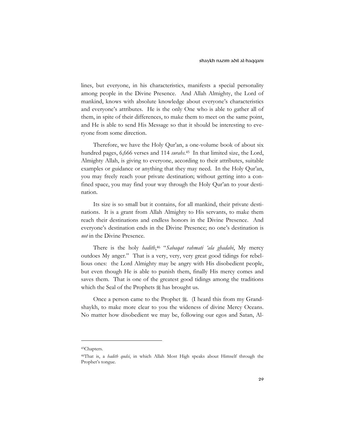lines, but everyone, in his characteristics, manifests a special personality among people in the Divine Presence. And Allah Almighty, the Lord of mankind, knows with absolute knowledge about everyone's characteristics and everyone's attributes. He is the only One who is able to gather all of them, in spite of their differences, to make them to meet on the same point, and He is able to send His Message so that it should be interesting to everyone from some direction.

Therefore, we have the Holy Qur'an, a one-volume book of about six hundred pages, 6,666 verses and 114 *surahs*. 45 In that limited size, the Lord, Almighty Allah, is giving to everyone, according to their attributes, suitable examples or guidance or anything that they may need. In the Holy Qur'an, you may freely reach your private destination; without getting into a confined space, you may find your way through the Holy Qur'an to your destination.

Its size is so small but it contains, for all mankind, their private destinations. It is a grant from Allah Almighty to His servants, to make them reach their destinations and endless honors in the Divine Presence. And everyone's destination ends in the Divine Presence; no one's destination is *not* in the Divine Presence.

There is the holy *hadith*, 46 "*Sabaqat rahmati 'ala ghadabi*, My mercy outdoes My anger." That is a very, very, very great good tidings for rebellious ones: the Lord Almighty may be angry with His disobedient people, but even though He is able to punish them, finally His mercy comes and saves them. That is one of the greatest good tidings among the traditions which the Seal of the Prophets  $\frac{46}{36}$  has brought us.

Once a person came to the Prophet . (I heard this from my Grandshaykh, to make more clear to you the wideness of divine Mercy Oceans. No matter how disobedient we may be, following our egos and Satan, Al-

<sup>45</sup>Chapters.

<sup>46</sup>That is, a *hadith qudsi*, in which Allah Most High speaks about Himself through the Prophet's tongue.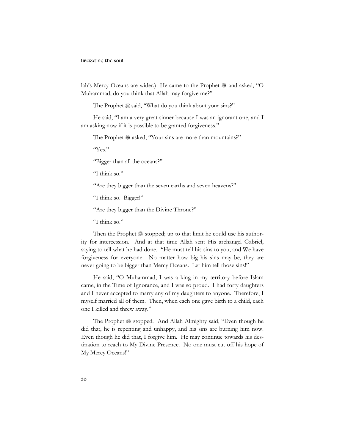lah's Mercy Oceans are wider.) He came to the Prophet  $\mathcal{F}$  and asked, "O Muhammad, do you think that Allah may forgive me?"

The Prophet  $\frac{46}{36}$  said, "What do you think about your sins?"

He said, "I am a very great sinner because I was an ignorant one, and I am asking now if it is possible to be granted forgiveness."

The Prophet  $$$  asked, "Your sins are more than mountains?"

"Yes."

"Bigger than all the oceans?"

"I think so."

"Are they bigger than the seven earths and seven heavens?"

"I think so. Bigger!"

"Are they bigger than the Divine Throne?"

"I think so."

Then the Prophet  $\mathcal{L}$  stopped; up to that limit he could use his authority for intercession. And at that time Allah sent His archangel Gabriel, saying to tell what he had done. "He must tell his sins to you, and We have forgiveness for everyone. No matter how big his sins may be, they are never going to be bigger than Mercy Oceans. Let him tell those sins!"

He said, "O Muhammad, I was a king in my territory before Islam came, in the Time of Ignorance, and I was so proud. I had forty daughters and I never accepted to marry any of my daughters to anyone. Therefore, I myself married all of them. Then, when each one gave birth to a child, each one I killed and threw away."

The Prophet <sup>38</sup> stopped. And Allah Almighty said, "Even though he did that, he is repenting and unhappy, and his sins are burning him now. Even though he did that, I forgive him. He may continue towards his destination to reach to My Divine Presence. No one must cut off his hope of My Mercy Oceans!"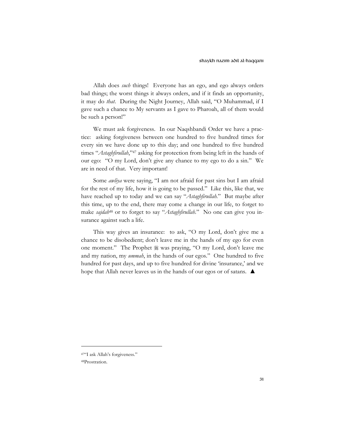Allah does *such* things! Everyone has an ego, and ego always orders bad things; the worst things it always orders, and if it finds an opportunity, it may do *that*. During the Night Journey, Allah said, "O Muhammad, if I gave such a chance to My servants as I gave to Pharoah, all of them would be such a person!"

We must ask forgiveness. In our Naqshbandi Order we have a practice: asking forgiveness between one hundred to five hundred times for every sin we have done up to this day; and one hundred to five hundred times "*Astaghfirullah*,"47 asking for protection from being left in the hands of our ego: "O my Lord, don't give any chance to my ego to do a sin." We are in need of that. Very important!

Some *awliya* were saying, "I am not afraid for past sins but I am afraid for the rest of my life, how it is going to be passed." Like this, like that, we have reached up to today and we can say "*Astaghfirullah.*" But maybe after this time, up to the end, there may come a change in our life, to forget to make *sajdah*48 or to forget to say "*Astaghfirullah.*"No one can give you insurance against such a life.

This way gives an insurance: to ask, "O my Lord, don't give me a chance to be disobedient; don't leave me in the hands of my ego for even one moment." The Prophet  $*$  was praying, "O my Lord, don't leave me and my nation, my *ummah*, in the hands of our egos." One hundred to five hundred for past days, and up to five hundred for divine 'insurance,' and we hope that Allah never leaves us in the hands of our egos or of satans. *▲*

47"I ask Allah's forgiveness." 48Prostration.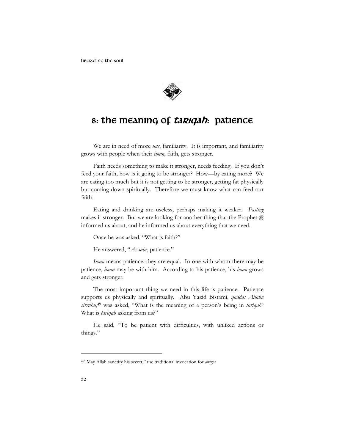

## 8: the meaning of tanigah: patience

We are in need of more *uns*, familiarity. It is important, and familiarity grows with people when their *iman*, faith, gets stronger.

Faith needs something to make it stronger, needs feeding. If you don't feed your faith, how is it going to be stronger? How—by eating more? We are eating too much but it is not getting to be stronger, getting fat physically but coming down spiritually. Therefore we must know what can feed our faith.

Eating and drinking are useless, perhaps making it weaker*. Fasting* makes it stronger. But we are looking for another thing that the Prophet . informed us about, and he informed us about everything that we need.

Once he was asked, "What is faith?"

He answered, "*As-sabr*, patience."

*Iman* means patience; they are equal. In one with whom there may be patience, *iman* may be with him. According to his patience, his *iman* grows and gets stronger.

The most important thing we need in this life is patience. Patience supports us physically and spiritually. Abu Yazid Bistami, *qaddas Allahu sirruhu*, 49 was asked, "What is the meaning of a person's being in *tariqah*? What is *tariqah* asking from us?"

He said, "To be patient with difficulties, with unliked actions or things."

<sup>49&</sup>quot;May Allah sanctify his secret," the traditional invocation for *awliya.*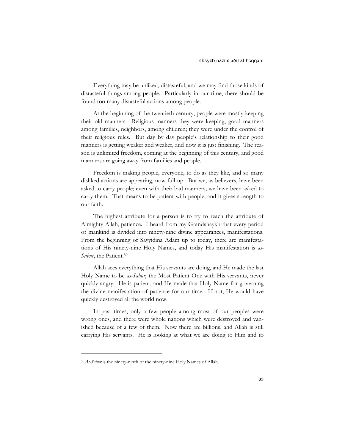Everything may be unliked, distasteful, and we may find those kinds of distasteful things among people. Particularly in our time, there should be found too many distasteful actions among people.

At the beginning of the twentieth century, people were mostly keeping their old manners. Religious manners they were keeping, good manners among families, neighbors, among children; they were under the control of their religious rules. But day by day people's relationship to their good manners is getting weaker and weaker, and now it is just finishing. The reason is unlimited freedom, coming at the beginning of this century, and good manners are going away from families and people.

Freedom is making people, everyone, to do as they like, and so many disliked actions are appearing, now full-up. But we, as believers, have been asked to carry people; even with their bad manners, we have been asked to carry them. That means to be patient with people, and it gives strength to our faith.

The highest attribute for a person is to try to reach the attribute of Almighty Allah, patience. I heard from my Grandshaykh that every period of mankind is divided into ninety-nine divine appearances, manifestations. From the beginning of Sayyidina Adam up to today, there are manifestations of His ninety-nine Holy Names, and today His manifestation is *as-Sabur*, the Patient.<sup>50</sup>

Allah sees everything that His servants are doing, and He made the last Holy Name to be *as-Sabur*, the Most Patient One with His servants, never quickly angry. He is patient, and He made that Holy Name for governing the divine manifestation of patience for our time. If not, He would have quickly destroyed all the world now.

In past times, only a few people among most of our peoples were wrong ones, and there were whole nations which were destroyed and vanished because of a few of them. Now there are billions, and Allah is still carrying His servants. He is looking at what we are doing to Him and to

<sup>50</sup>*As-Sabur* is the ninety-ninth of the ninety-nine Holy Names of Allah.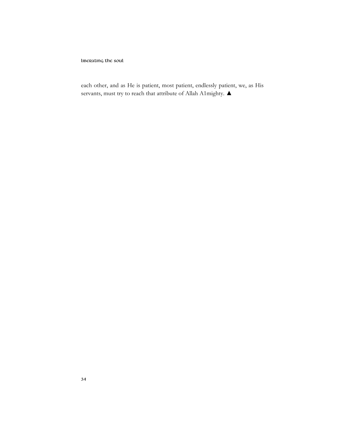each other, and as He is patient, most patient, endlessly patient, we, as His servants, must try to reach that attribute of Allah A1mighty. *▲*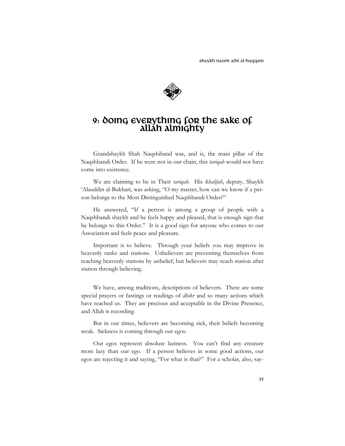shaykh nazim adil al-haqqani



## 9: doing everything for the sake of<br>allah almighty

Grandshaykh Shah Naqshiband was, and is, the main pillar of the Naqshbandi Order. If he were not in our chain, this *tariqah* would not have come into existence.

We are claiming to be in Their *tariqah*. His *khalifah*, deputy, Shaykh 'Alauddin al-Bukhari, was asking, "O my master, how can we know if a person belongs to the Most Distinguished Naqshbandi Order?"

He answered, "If a person is among a group of people with a Naqshbandi shaykh and he feels happy and pleased, that is enough sign that he belongs to this Order." It is a good sign for anyone who comes to our Association and feels peace and pleasure.

Important is to believe. Through your beliefs you may improve in heavenly ranks and stations. Unbelievers are preventing themselves from reaching heavenly stations by unbelief, but believers may reach station after station through believing.

We have, among traditions, descriptions of believers. There are some special prayers or fastings or readings of *dhikr* and so many actions which have reached us. They are precious and acceptable in the Divine Presence, and Allah is recording.

But in our times, believers are becoming sick, their beliefs becoming weak. Sickness is coming through our egos.

Our egos represent absolute laziness. You can't find any creature more lazy than our ego. If a person believes in some good actions, our egos are rejecting it and saying, "For what is that?" For a scholar, also, say-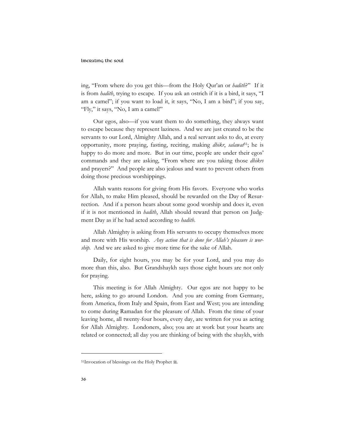ing, "From where do you get this—from the Holy Qur'an or *hadith*?" If it is from *hadith*, trying to escape. If you ask an ostrich if it is a bird, it says, "I am a camel"; if you want to load it, it says, "No, I am a bird"; if you say, "Fly," it says, "No, I am a camel!"

Our egos, also—if you want them to do something, they always want to escape because they represent laziness. And we are just created to be the servants to our Lord, Almighty Allah, and a real servant asks to do, at every opportunity, more praying, fasting, reciting, making *dhikr*, *salawat*51; he is happy to do more and more. But in our time, people are under their egos' commands and they are asking, "From where are you taking those *dhikrs*  and prayers?" And people are also jealous and want to prevent others from doing those precious worshippings.

Allah wants reasons for giving from His favors. Everyone who works for Allah, to make Him pleased, should be rewarded on the Day of Resurrection. And if a person hears about some good worship and does it, even if it is not mentioned in *hadith*, Allah should reward that person on Judgment Day as if he had acted according to *hadith*.

Allah Almighty is asking from His servants to occupy themselves more and more with His worship. *Any action that is done for Allah's pleasure is worship.* And we are asked to give more time for the sake of Allah.

Daily, for eight hours, you may be for your Lord, and you may do more than this, also. But Grandshaykh says those eight hours are not only for praying.

This meeting is for Allah Almighty. Our egos are not happy to be here, asking to go around London. And you are coming from Germany, from America, from Italy and Spain, from East and West; you are intending to come during Ramadan for the pleasure of Allah. From the time of your leaving home, all twenty-four hours, every day, are written for you as acting for Allah Almighty. Londoners, also; you are at work but your hearts are related or connected; all day you are thinking of being with the shaykh, with

<sup>&</sup>lt;sup>51</sup>Invocation of blessings on the Holy Prophet ...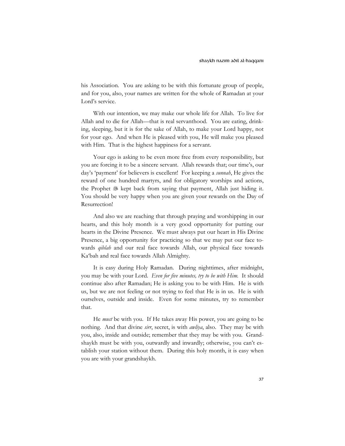his Association. You are asking to be with this fortunate group of people, and for you, also, your names are written for the whole of Ramadan at your Lord's service.

With our intention, we may make our whole life for Allah. To live for Allah and to die for Allah—that is real servanthood. You are eating, drinking, sleeping, but it is for the sake of Allah, to make your Lord happy, not for your ego. And when He is pleased with you, He will make you pleased with Him. That is the highest happiness for a servant.

Your ego is asking to be even more free from every responsibility, but you are forcing it to be a sincere servant. Allah rewards that; our time's, our day's 'payment' for believers is excellent! For keeping a *sunnah*, He gives the reward of one hundred martyrs, and for obligatory worships and actions, the Prophet <sup>38</sup> kept back from saying that payment, Allah just hiding it. You should be very happy when you are given your rewards on the Day of Resurrection!

And also we are reaching that through praying and worshipping in our hearts, and this holy month is a very good opportunity for putting our hearts in the Divine Presence. We must always put our heart in His Divine Presence, a big opportunity for practicing so that we may put our face towards *qiblah* and our real face towards Allah, our physical face towards Ka'bah and real face towards Allah Almighty.

It is easy during Holy Ramadan. During nighttimes, after midnight, you may be with your Lord. *Even for five minutes, try to be with Him.* It should continue also after Ramadan; He is asking you to be with Him. He is with us, but we are not feeling or not trying to feel that He is in us. He is with ourselves, outside and inside. Even for some minutes, try to remember that.

He *must* be with you. If He takes away His power, you are going to be nothing. And that divine *sirr*, secret, is with *awliya*, also. They may be with you, also, inside and outside; remember that they may be with you. Grandshaykh must be with you, outwardly and inwardly; otherwise, you can't establish your station without them. During this holy month, it is easy when you are with your grandshaykh.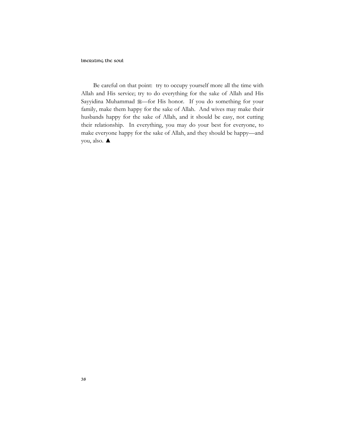Be careful on that point: try to occupy yourself more all the time with Allah and His service; try to do everything for the sake of Allah and His Sayyidina Muhammad  $#$ —for His honor. If you do something for your family, make them happy for the sake of Allah. And wives may make their husbands happy for the sake of Allah, and it should be easy, not cutting their relationship. In everything, you may do your best for everyone, to make everyone happy for the sake of Allah, and they should be happy—and you, also. *▲*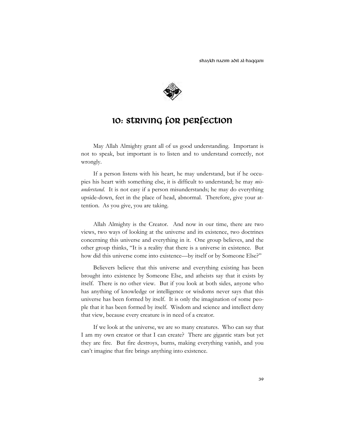

## 1O: STRIVING FOR PERFECTION

May Allah Almighty grant all of us good understanding. Important is not to speak, but important is to listen and to understand correctly, not wrongly.

If a person listens with his heart, he may understand, but if he occupies his heart with something else, it is difficult to understand; he may *misunderstand*. It is not easy if a person misunderstands; he may do everything upside-down, feet in the place of head, abnormal. Therefore, give your attention. As you give, you are taking.

Allah Almighty is the Creator. And now in our time, there are two views, two ways of looking at the universe and its existence, two doctrines concerning this universe and everything in it. One group believes, and the other group thinks, "It is a reality that there is a universe in existence. But how did this universe come into existence—by itself or by Someone Else?"

Believers believe that this universe and everything existing has been brought into existence by Someone Else, and atheists say that it exists by itself. There is no other view. But if you look at both sides, anyone who has anything of knowledge or intelligence or wisdoms never says that this universe has been formed by itself. It is only the imagination of some people that it has been formed by itself. Wisdom and science and intellect deny that view, because every creature is in need of a creator.

If we look at the universe, we are so many creatures. Who can say that I am my own creator or that I can create? There are gigantic stars but yet they are fire. But fire destroys, burns, making everything vanish, and you can't imagine that fire brings anything into existence.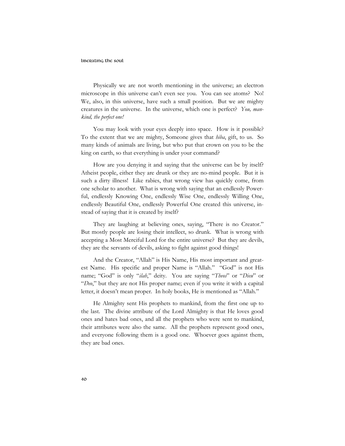Physically we are not worth mentioning in the universe; an electron microscope in this universe can't even see you. You can see atoms? No! We, also, in this universe, have such a small position. But we are mighty creatures in the universe. In the universe, which one is perfect? *You, mankind, the perfect one!* 

You may look with your eyes deeply into space. How is it possible? To the extent that we are mighty, Someone gives that *hiba*, gift, to us. So many kinds of animals are living, but who put that crown on you to be the king on earth, so that everything is under your command?

How are you denying it and saying that the universe can be by itself? Atheist people, either they are drunk or they are no-mind people. But it is such a dirty illness! Like rabies, that wrong view has quickly come, from one scholar to another. What is wrong with saying that an endlessly Powerful, endlessly Knowing One, endlessly Wise One, endlessly Willing One, endlessly Beautiful One, endlessly Powerful One created this universe, instead of saying that it is created by itself?

They are laughing at believing ones, saying, "There is no Creator." But mostly people are losing their intellect, so drunk. What is wrong with accepting a Most Merciful Lord for the entire universe? But they are devils, they are the servants of devils, asking to fight against good things!

And the Creator, "Allah" is His Name, His most important and greatest Name. His specific and proper Name is "Allah." "God" is not His name; "God" is only "*ilah*," deity. You are saying "*Theos*" or "*Dieu*" or "*Deo*," but they are not His proper name; even if you write it with a capital letter, it doesn't mean proper. In holy books, He is mentioned as "Allah."

He Almighty sent His prophets to mankind, from the first one up to the last. The divine attribute of the Lord Almighty is that He loves good ones and hates bad ones, and all the prophets who were sent to mankind, their attributes were also the same. All the prophets represent good ones, and everyone following them is a good one. Whoever goes against them, they are bad ones.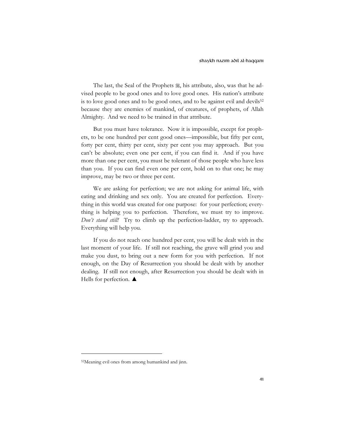The last, the Seal of the Prophets  $\frac{46}{36}$ , his attribute, also, was that he advised people to be good ones and to love good ones. His nation's attribute is to love good ones and to be good ones, and to be against evil and devils<sup>52</sup> because they are enemies of mankind, of creatures, of prophets, of Allah Almighty. And we need to be trained in that attribute.

But you must have tolerance. Now it is impossible, except for prophets, to be one hundred per cent good ones—impossible, but fifty per cent, forty per cent, thirty per cent, sixty per cent you may approach. But you can't be absolute; even one per cent, if you can find it. And if you have more than one per cent, you must be tolerant of those people who have less than you. If you can find even one per cent, hold on to that one; he may improve, may be two or three per cent.

We are asking for perfection; we are not asking for animal life, with eating and drinking and sex only. You are created for perfection. Everything in this world was created for one purpose: for your perfection; everything is helping you to perfection. Therefore, we must try to improve. *Don't stand still!* Try to climb up the perfection-ladder, try to approach. Everything will help you.

If you do not reach one hundred per cent, you will be dealt with in the last moment of your life. If still not reaching, the grave will grind you and make you dust, to bring out a new form for you with perfection. If not enough, on the Day of Resurrection you should be dealt with by another dealing. If still not enough, after Resurrection you should be dealt with in Hells for perfection. *▲*

<sup>52</sup>Meaning evil ones from among humankind and jinn.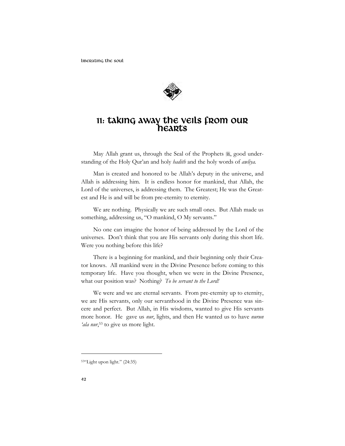

## 11: taking away the veils from our<br>hearts

May Allah grant us, through the Seal of the Prophets  $\frac{46}{36}$ , good understanding of the Holy Qur'an and holy *hadith* and the holy words of *awliya.* 

Man is created and honored to be Allah's deputy in the universe, and Allah is addressing him. It is endless honor for mankind, that Allah, the Lord of the universes, is addressing them. The Greatest; He was the Greatest and He is and will be from pre-eternity to eternity.

We are nothing. Physically we are such small ones. But Allah made us something, addressing us, "O mankind, O My servants."

No one can imagine the honor of being addressed by the Lord of the universes. Don't think that you are His servants only during this short life. Were you nothing before this life?

There is a beginning for mankind, and their beginning only their Creator knows. All mankind were in the Divine Presence before coming to this temporary life. Have you thought, when we were in the Divine Presence, what our position was? Nothing? *To be servant to the Lord!* 

We were and we are eternal servants. From pre-eternity up to eternity, we are His servants, only our servanthood in the Divine Presence was sincere and perfect. But Allah, in His wisdoms, wanted to give His servants more honor. He gave us *nur*, lights, and then He wanted us to have *nurun 'ala nur*, 53 to give us more light.

<sup>53&</sup>quot;Light upon light." (24:35)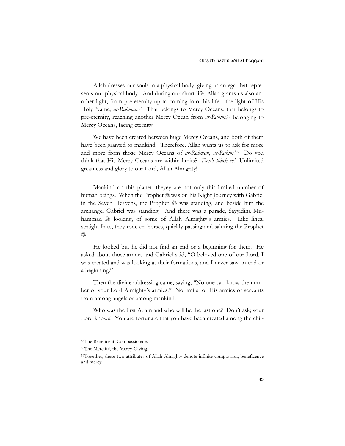Allah dresses our souls in a physical body, giving us an ego that represents our physical body. And during our short life, Allah grants us also another light, from pre-eternity up to coming into this life—the light of His Holy Name, *ar-Rahman*. 54 That belongs to Mercy Oceans, that belongs to pre-eternity, reaching another Mercy Ocean from *ar-Rahim*, 55 belonging to Mercy Oceans, facing eternity.

We have been created between huge Mercy Oceans, and both of them have been granted to mankind. Therefore, Allah wants us to ask for more and more from those Mercy Oceans of *ar-Rahman*, *ar-Rahim*. 56 Do you think that His Mercy Oceans are within limits? *Don't think so!* Unlimited greatness and glory to our Lord, Allah Almighty!

Mankind on this planet, theyey are not only this limited number of human beings. When the Prophet  $\frac{46}{36}$  was on his Night Journey with Gabriel in the Seven Heavens, the Prophet  $\frac{4}{360}$  was standing, and beside him the archangel Gabriel was standing. And there was a parade, Sayyidina Muhammad <sup>38</sup> looking, of some of Allah Almighty's armies. Like lines, straight lines, they rode on horses, quickly passing and saluting the Prophet 爆.

He looked but he did not find an end or a beginning for them. He asked about those armies and Gabriel said, "O beloved one of our Lord, I was created and was looking at their formations, and I never saw an end or a beginning."

Then the divine addressing came, saying, "No one can know the number of your Lord Almighty's armies." No limits for His armies or servants from among angels or among mankind!

Who was the first Adam and who will be the last one? Don't ask; your Lord knows! You are fortunate that you have been created among the chil-

<sup>54</sup>The Beneficent, Compassionate.

<sup>55</sup>The Merciful, the Mercy-Giving.

<sup>56</sup>Together, these two attributes of Allah Almighty denote infinite compassion, beneficence and mercy.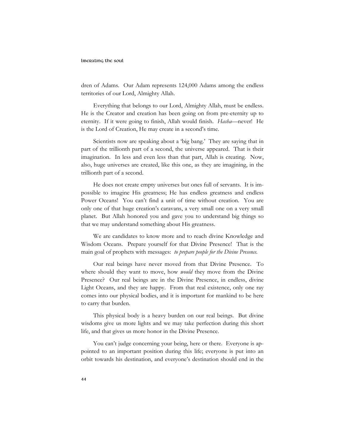dren of Adams. Our Adam represents 124,000 Adams among the endless territories of our Lord, Almighty Allah.

Everything that belongs to our Lord, Almighty Allah, must be endless. He is the Creator and creation has been going on from pre-eternity up to eternity. If it were going to finish, Allah would finish. *Hasha*—never! He is the Lord of Creation, He may create in a second's time.

Scientists now are speaking about a 'big bang.' They are saying that in part of the trillionth part of a second, the universe appeared. That is their imagination. In less and even less than that part, Allah is creating. Now, also, huge universes are created, like this one, as they are imagining, in the trillionth part of a second.

He does not create empty universes but ones full of servants. It is impossible to imagine His greatness; He has endless greatness and endless Power Oceans! You can't find a unit of time without creation. You are only one of that huge creation's caravans, a very small one on a very small planet. But Allah honored you and gave you to understand big things so that we may understand something about His greatness.

We are candidates to know more and to reach divine Knowledge and Wisdom Oceans. Prepare yourself for that Divine Presence! That is the main goal of prophets with messages: *to prepare people for the Divine Presence.*

Our real beings have never moved from that Divine Presence. To where should they want to move, how *would* they move from the Divine Presence? Our real beings are in the Divine Presence, in endless, divine Light Oceans, and they are happy. From that real existence, only one ray comes into our physical bodies, and it is important for mankind to be here to carry that burden.

This physical body is a heavy burden on our real beings. But divine wisdoms give us more lights and we may take perfection during this short life, and that gives us more honor in the Divine Presence.

You can't judge concerning your being, here or there. Everyone is appointed to an important position during this life; everyone is put into an orbit towards his destination, and everyone's destination should end in the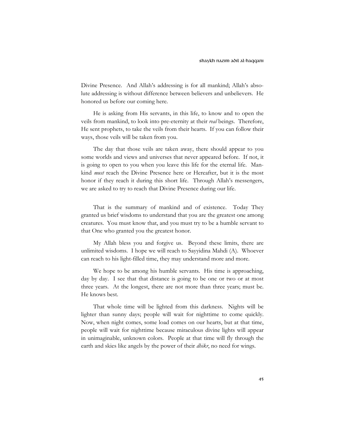Divine Presence. And Allah's addressing is for all mankind; Allah's absolute addressing is without difference between believers and unbelievers. He honored us before our coming here.

He is asking from His servants, in this life, to know and to open the veils from mankind, to look into pre-eternity at their *real* beings. Therefore, He sent prophets, to take the veils from their hearts. If you can follow their ways, those veils will be taken from you.

The day that those veils are taken away, there should appear to you some worlds and views and universes that never appeared before. If not, it is going to open to you when you leave this life for the eternal life. Mankind *must* reach the Divine Presence here or Hereafter, but it is the most honor if they reach it during this short life. Through Allah's messengers, we are asked to try to reach that Divine Presence during our life.

That is the summary of mankind and of existence. Today They granted us brief wisdoms to understand that you are the greatest one among creatures. You must know that, and you must try to be a humble servant to that One who granted you the greatest honor.

My Allah bless you and forgive us. Beyond these limits, there are unlimited wisdoms. I hope we will reach to Sayyidina Mahdi (A). Whoever can reach to his light-filled time, they may understand more and more.

We hope to be among his humble servants. His time is approaching, day by day. I see that that distance is going to be one or two or at most three years. At the longest, there are not more than three years; must be. He knows best.

That whole time will be lighted from this darkness. Nights will be lighter than sunny days; people will wait for nighttime to come quickly. Now, when night comes, some load comes on our hearts, but at that time, people will wait for nighttime because miraculous divine lights will appear in unimaginable, unknown colors. People at that time will fly through the earth and skies like angels by the power of their *dhikr*, no need for wings.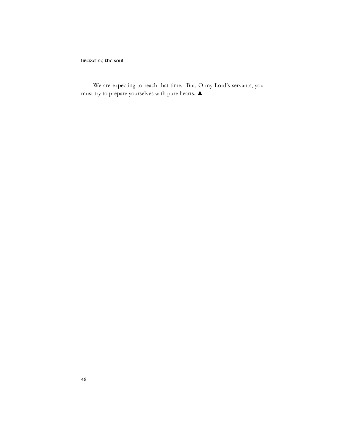We are expecting to reach that time. But, O my Lord's servants, you must try to prepare yourselves with pure hearts. *▲*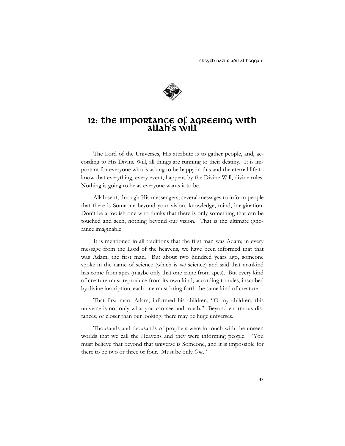

## 12: the importance of agreeing with allah's will

The Lord of the Universes, His attribute is to gather people, and, according to His Divine Will, all things are running to their destiny. It is important for everyone who is asking to be happy in this and the eternal life to know that everything, every event, happens by the Divine Will, divine rules. Nothing is going to be as everyone wants it to be.

Allah sent, through His messengers, several messages to inform people that there is Someone beyond your vision, knowledge, mind, imagination. Don't be a foolish one who thinks that there is only something that can be touched and seen, nothing beyond our vision. That is the ultimate ignorance imaginable!

It is mentioned in all traditions that the first man was Adam; in every message from the Lord of the heavens, we have been informed that that was Adam, the first man. But about two hundred years ago, someone spoke in the name of science (which is *not* science) and said that mankind has come from apes (maybe only that one came from apes). But every kind of creature must reproduce from its own kind; according to rules, inscribed by divine inscription, each one must bring forth the same kind of creature.

That first man, Adam, informed his children, "O my children, this universe is not only what you can see and touch." Beyond enormous distances, or closer than our looking, there may be huge universes.

Thousands and thousands of prophets were in touch with the unseen worlds that we call the Heavens and they were informing people. "You must believe that beyond that universe is Someone, and it is impossible for there to be two or three or four. Must be only *One*."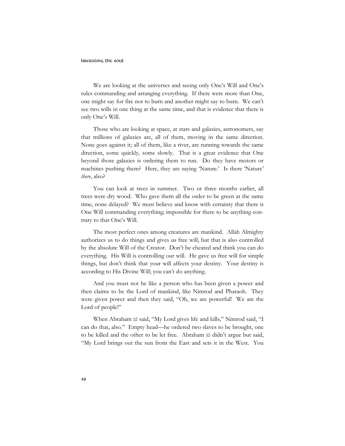We are looking at the universes and seeing only One's Will and One's rules commanding and arranging everything. If there were more than One, one might say for fire not to burn and another might say to burn. We can't see two wills in one thing at the same time, and that is evidence that there is only One's Will.

Those who are looking at space, at stars and galaxies, astronomers, say that millions of galaxies are, all of them, moving in the same direction. None goes against it; all of them, like a river, are running towards the same direction, some quickly, some slowly. That is a great evidence that One beyond those galaxies is ordering them to run. Do they have motors or machines pushing them? Here, they are saying 'Nature.' Is there 'Nature' *there*, also?

You can look at trees in summer. Two or three months earlier, all trees were dry wood. Who gave them all the order to be green at the same time, none delayed? We must believe and know with certainty that there is One Will commanding everything; impossible for there to be anything contrary to that One's Will.

The most perfect ones among creatures are mankind. Allah Almighty authorizes us to do things and gives us free will, but that is also controlled by the absolute Will of the Creator. Don't be cheated and think you can do everything. His Will is controlling our will. He gave us free will for simple things, but don't think that your will affects your destiny. Your destiny is according to His Divine Will; you can't do anything.

And you must not be like a person who has been given a power and then claims to be the Lord of mankind, like Nimrod and Pharaoh. They were given power and then they said, "Oh, we are powerful! We are the Lord of people!"

When Abraham  $\#$  said, "My Lord gives life and kills," Nimrod said, "I can do that, also." Empty head—he ordered two slaves to be brought, one to be killed and the other to be let free. Abraham  $\frac{1}{60}$  didn't argue but said, "My Lord brings out the sun from the East and sets it in the West. You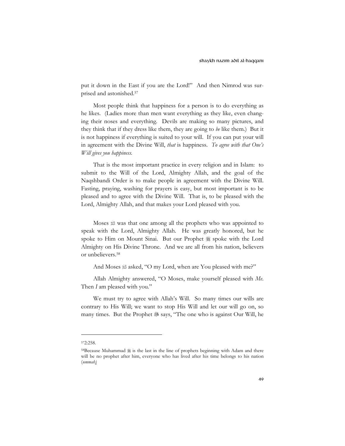put it down in the East if you are the Lord!" And then Nimrod was surprised and astonished.57

Most people think that happiness for a person is to do everything as he likes. (Ladies more than men want everything as they like, even changing their noses and everything. Devils are making so many pictures, and they think that if they dress like them, they are going to *be* like them.) But it is not happiness if everything is suited to your will. If you can put your will in agreement with the Divine Will, *that* is happiness. *To agree with that One's Will gives you happiness.*

That is the most important practice in every religion and in Islam: to submit to the Will of the Lord, Almighty Allah, and the goal of the Naqshbandi Order is to make people in agreement with the Divine Will. Fasting, praying, washing for prayers is easy, but most important is to be pleased and to agree with the Divine Will. That is, to be pleased with the Lord, Almighty Allah, and that makes your Lord pleased with you.

Moses  $\sharp$  was that one among all the prophets who was appointed to speak with the Lord, Almighty Allah. He was greatly honored, but he spoke to Him on Mount Sinai. But our Prophet  $\frac{46}{36}$  spoke with the Lord Almighty on His Divine Throne. And we are all from his nation, believers or unbelievers.58

And Moses  $\frac{1}{60}$  asked, "O my Lord, when are You pleased with me?"

Allah Almighty answered, "O Moses, make yourself pleased with *Me*. Then *I* am pleased with you."

We must try to agree with Allah's Will. So many times our wills are contrary to His Will; we want to stop His Will and let our will go on, so many times. But the Prophet & says, "The one who is against Our Will, he

<sup>572:258.</sup> 

<sup>58</sup>Because Muhammad  $\frac{1}{28}$  is the last in the line of prophets beginning with Adam and there will be no prophet after him, everyone who has lived after his time belongs to his nation (*ummah)*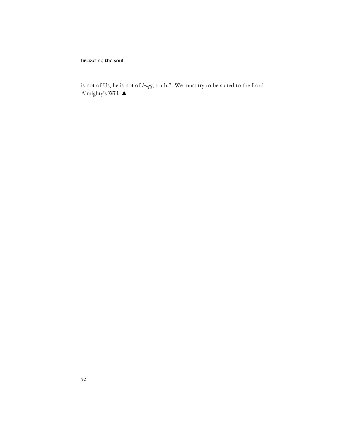is not of Us, he is not of *haqq*, truth." We must try to be suited to the Lord Almighty's Will. *▲*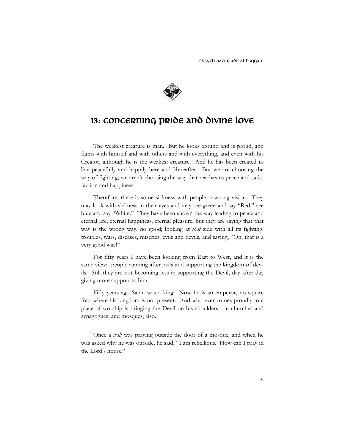

## 13: CONCERNING PRIOE AND OIVINE LOVE

The weakest creature is man. But he looks around and is proud, and fights with himself and with others and with everything, and even with his Creator, although he is the weakest creature. And he has been created to live peacefully and happily here and Hereafter. But we are choosing the way of fighting; we aren't choosing the way that reaches to peace and satisfaction and happiness.

Therefore, there is some sickness with people, a wrong vision. They may look with sickness in their eyes and may see green and say "Red," see blue and say "White." They have been shown the way leading to peace and eternal life, eternal happiness, eternal pleasure, but they are saying that that way is the wrong way, no good; looking at *that* side with all its fighting, troubles, wars, diseases, miseries, evils and devils, and saying, "Oh, that is a very good way!"

For fifty years I have been looking from East to West, and it is the same view: people running after evils and supporting the kingdom of devils. Still they are not becoming less in supporting the Devil, day after day giving more support to him.

Fifty years ago Satan was a king. Now he is an emperor, no square foot where his kingdom is not present. And who ever comes proudly to a place of worship is bringing the Devil on his shoulders—in churches and synagogues, and mosques, also.

Once a *wali* was praying outside the door of a mosque, and when he was asked why he was outside, he said, "I am rebellious. How can I pray in the Lord's house?"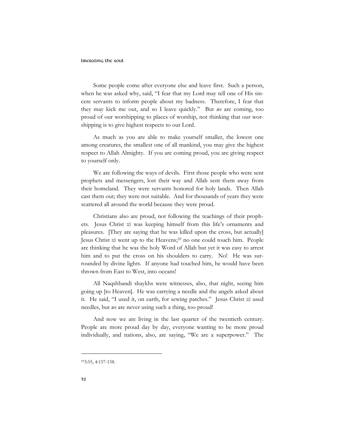Some people come after everyone else and leave first. Such a person, when he was asked why, said, "I fear that my Lord may tell one of His sincere servants to inform people about my badness. Therefore, I fear that they may kick me out, and so I leave quickly." But *we* are coming, too proud of our worshipping to places of worship, not thinking that our worshipping is to give highest respects to our Lord.

As much as you are able to make yourself smaller, the lowest one among creatures, the smallest one of all mankind, you may give the highest respect to Allah Almighty. If you are coming proud, you are giving respect to yourself only.

We are following the ways of devils. First those people who were sent prophets and messengers, lost their way and Allah sent them away from their homeland. They were servants honored for holy lands. Then Allah cast them out; they were not suitable. And for thousands of years they were scattered all around the world because they were proud.

Christians also are proud, not following the teachings of their prophets. Jesus Christ  $\frac{1}{60}$  was keeping himself from this life's ornaments and pleasures. [They are saying that he was killed upon the cross, but actually] Jesus Christ ¡ went up to the Heavens;59 no one could touch him. People are thinking that he was the holy Word of Allah but yet it was easy to arrest him and to put the cross on his shoulders to carry. No! He was surrounded by divine lights. If anyone had touched him, he would have been thrown from East to West, into oceans!

All Naqshbandi shaykhs were witnesses, also, that night, seeing him going up [to Heaven]. He was carrying a needle and the angels asked about it. He said, "I used it, on earth, for sewing patches." Jesus Christ  $\frac{1}{60}$  used needles, but *we* are never using such a thing, too proud!

And now we are living in the last quarter of the twentieth century. People are more proud day by day, everyone wanting to be more proud individually, and nations, also, are saying, "We are a superpower." The

<sup>593:55, 4:157-158.</sup>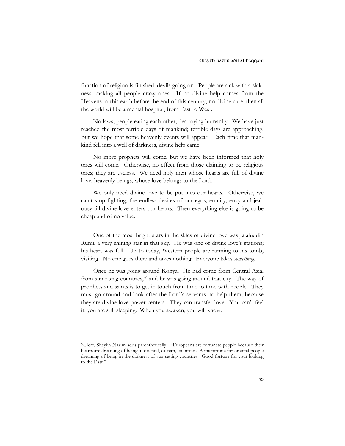function of religion is finished, devils going on. People are sick with a sickness, making all people crazy ones. If no divine help comes from the Heavens to this earth before the end of this century, no divine cure, then all the world will be a mental hospital, from East to West.

No laws, people eating each other, destroying humanity. We have just reached the most terrible days of mankind; terrible days are approaching. But we hope that some heavenly events will appear. Each time that mankind fell into a well of darkness, divine help came.

No more prophets will come, but we have been informed that holy ones will come. Otherwise, no effect from those claiming to be religious ones; they are useless. We need holy men whose hearts are full of divine love, heavenly beings, whose love belongs to the Lord.

We only need divine love to be put into our hearts. Otherwise, we can't stop fighting, the endless desires of our egos, enmity, envy and jealousy till divine love enters our hearts. Then everything else is going to be cheap and of no value.

One of the most bright stars in the skies of divine love was Jalaluddin Rumi, a very shining star in that sky. He was one of divine love's stations; his heart was full. Up to today, Western people are running to his tomb, visiting. No one goes there and takes nothing. Everyone takes *something.*

Once he was going around Konya. He had come from Central Asia, from sun-rising countries,<sup>60</sup> and he was going around that city. The way of prophets and saints is to get in touch from time to time with people. They must go around and look after the Lord's servants, to help them, because they are divine love power centers. They can transfer love. You can't feel it, you are still sleeping. When you awaken, you will know.

<sup>60</sup>Here, Shaykh Nazim adds parenthetically: "Europeans are fortunate people because their hearts are dreaming of being in oriental, eastern, countries. A misfortune for oriental people dreaming of being in the darkness of sun-setting countries. Good fortune for your looking to the East!"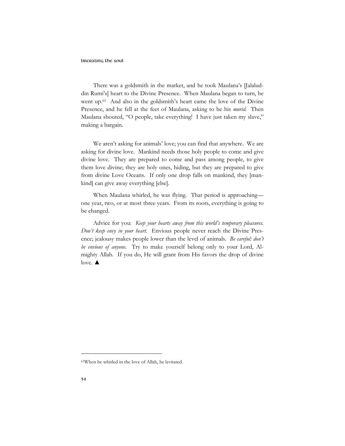There was a goldsmith in the market, and he took Maulana's [Jalaluddin Rumi's] heart to the Divine Presence. When Maulana began to turn, he went up.61 And also in the goldsmith's heart came the love of the Divine Presence, and he fell at the feet of Maulana, asking to be his *murid.* Then Maulana shouted, "O people, take everything! I have just taken my slave," making a bargain.

We aren't asking for animals' love; you can find that anywhere. We are asking for divine love. Mankind needs those holy people to come and give divine love. They are prepared to come and pass among people, to give them love divine; they are holy ones, hiding, but they are prepared to give from divine Love Oceans. If only one drop falls on mankind, they [mankind] can give away everything [else].

When Maulana whirled, he was flying. That period is approaching one year, two, or at most three years. From its roots, everything is going to be changed.

Advice for you: *Keep your hearts away from this world's temporary pleasures. Don't keep envy in your heart.* Envious people never reach the Divine Presence; jealousy makes people lower than the level of animals. *Be careful: don't be envious of anyone.* Try to make yourself belong only to your Lord, Almighty Allah. If you do, He will grant from His favors the drop of divine love. *▲*

<sup>61</sup>When he whirled in the love of Allah, he levitated.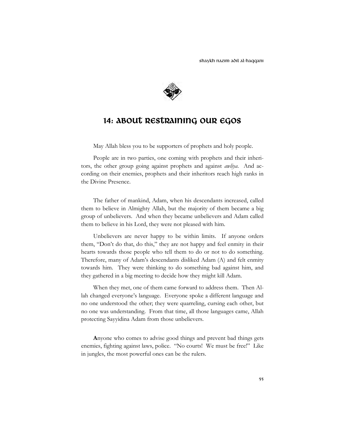

## 14: ABOUT RESTRAINING OUR EGOS

May Allah bless you to be supporters of prophets and holy people.

People are in two parties, one coming with prophets and their inheritors, the other group going against prophets and against *awliya*. And according on their enemies, prophets and their inheritors reach high ranks in the Divine Presence.

The father of mankind, Adam, when his descendants increased, called them to believe in Almighty Allah, but the majority of them became a big group of unbelievers. And when they became unbelievers and Adam called them to believe in his Lord, they were not pleased with him.

Unbelievers are never happy to be within limits. If anyone orders them, "Don't do that, do this," they are not happy and feel enmity in their hearts towards those people who tell them to do or not to do something. Therefore, many of Adam's descendants disliked Adam (A) and felt enmity towards him. They were thinking to do something bad against him, and they gathered in a big meeting to decide how they might kill Adam.

When they met, one of them came forward to address them. Then Allah changed everyone's language. Everyone spoke a different language and no one understood the other; they were quarreling, cursing each other, but no one was understanding. From that time, all those languages came, Allah protecting Sayyidina Adam from those unbelievers.

**A**nyone who comes to advise good things and prevent bad things gets enemies, fighting against laws, police. "No courts! We must be free!" Like in jungles, the most powerful ones can be the rulers.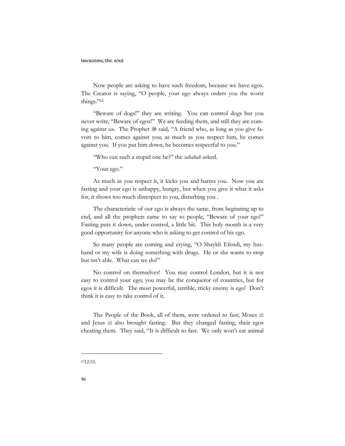Now people are asking to have such freedom, because we have egos. The Creator is saying, "O people, your ego always orders you the worst things."62

"Beware of dogs!" they are writing. You can control dogs but you never write, "Beware of egos!" We are feeding them, and still they are coming against us. The Prophet & said, "A friend who, as long as you give favors to him, comes against you; as much as you respect him, he comes against you. If you put him down, he becomes respectful to you."

"Who can such a stupid one be?" the *sahabah* asked.

"Your ego."

As much as you respect it, it kicks you and harms you. Now you are fasting and your ego is unhappy, hungry, but when you give it what it asks for, it shows too much disrespect to you, disturbing you .

The characteristic of our ego is always the same, from beginning up to end, and all the prophets came to say to people, "Beware of your ego!" Fasting puts it down, under control, a little bit. This holy month is a very good opportunity for anyone who is asking to get control of his ego.

So many people are coming and crying, "O Shaykh Efendi, my husband or my wife is doing something with drugs. He or she wants to stop but isn't able. What can we do?"

No control on themselves! You may control London, but it is not easy to control your ego; you may be the conqueror of countries, but for egos it is difficult. The most powerful, terrible, tricky enemy is ego! Don't think it is easy to take control of it.

The People of the Book, all of them, were ordered to fast; Moses  $\#$ and Jesus  $\#$  also brought fasting. But they changed fasting, their egos cheating them. They said, "It is difficult to fast. We only won't eat animal

6212:53.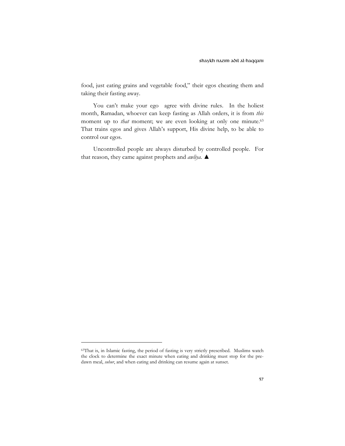food, just eating grains and vegetable food," their egos cheating them and taking their fasting away.

You can't make your ego agree with divine rules. In the holiest month, Ramadan, whoever can keep fasting as Allah orders, it is from *this* moment up to *that* moment; we are even looking at only one minute.<sup>63</sup> That trains egos and gives Allah's support, His divine help, to be able to control our egos.

Uncontrolled people are always disturbed by controlled people. For that reason, they came against prophets and *awliya*. *▲*

<sup>63</sup>That is, in Islamic fasting, the period of fasting is very strictly prescribed. Muslims watch the clock to determine the exact minute when eating and drinking must stop for the predawn meal, *suhur*, and when eating and drinking can resume again at sunset.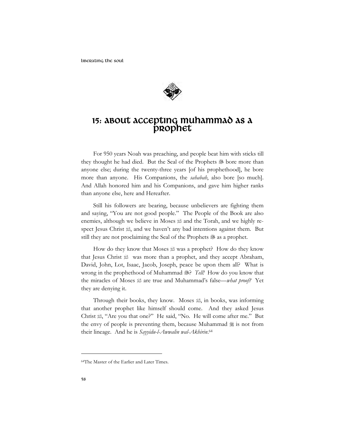

# 15: ABOUT ACCEPTING MUhammad as a<br>prophet

For 950 years Noah was preaching, and people beat him with sticks till they thought he had died. But the Seal of the Prophets  $\mathcal{F}$  bore more than anyone else; during the twenty-three years [of his prophethood], he bore more than anyone. His Companions, the *sahabah*, also bore [so much]. And Allah honored him and his Companions, and gave him higher ranks than anyone else, here and Hereafter.

Still his followers are bearing, because unbelievers are fighting them and saying, "You are not good people." The People of the Book are also enemies, although we believe in Moses  $\frac{1}{60}$  and the Torah, and we highly respect Jesus Christ  $\sharp$ , and we haven't any bad intentions against them. But still they are not proclaiming the Seal of the Prophets as a prophet.

How do they know that Moses  $\frac{1}{60}$  was a prophet? How do they know that Jesus Christ  $\sharp$  was more than a prophet, and they accept Abraham, David, John, Lot, Isaac, Jacob, Joseph, peace be upon them all? What is wrong in the prophethood of Muhammad ? *Tell!* How do you know that the miracles of Moses  $\sharp$  are true and Muhammad's false—*what proof?* Yet they are denying it.

Through their books, they know. Moses  $\frac{1}{\sqrt{2}}$ , in books, was informing that another prophet like himself should come. And they asked Jesus Christ ¡, "Are you that one?" He said, "No. He will come after me." But the envy of people is preventing them, because Muhammad  $\frac{1}{20}$  is not from their lineage. And he is *Sayyidu-l-Awwalin wal-Akhirin*. 64

<sup>64</sup>The Master of the Earlier and Later Times.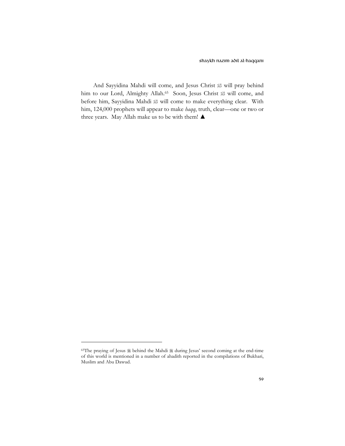### Shaykh Nazim Adil al-Haqqani

And Sayyidina Mahdi will come, and Jesus Christ  $\frac{1}{60}$  will pray behind him to our Lord, Almighty Allah.<sup>65</sup> Soon, Jesus Christ  $\frac{1}{60}$  will come, and before him, Sayyidina Mahdi  $\frac{1}{600}$  will come to make everything clear. With him, 124,000 prophets will appear to make *haqq*, truth, clear—one or two or three years. May Allah make us to be with them! *▲*

<sup>&</sup>lt;sup>65</sup>The praying of Jesus  $*$  behind the Mahdi  $*$  during Jesus' second coming at the end-time of this world is mentioned in a number of ahadith reported in the compilations of Bukhari, Muslim and Abu Dawud.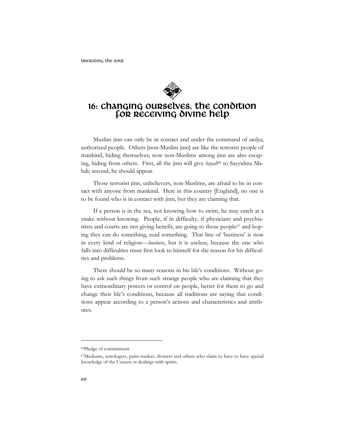

# 16: changing ourselves, the condition<br>for receiving divine help

Muslim jinn can only be in contact and under the command of *awliya*, authorized people. Others [non-Muslim jinn] are like the terrorist people of mankind, hiding themselves; now non-Muslims among jinn are also escaping, hiding from others. First, all the jinn will give *bayah*<sup>66</sup> to Sayyidina Mahdi; second, he should appear.

Those terrorist jinn, unbelievers, non-Muslims, are afraid to be in contact with anyone from mankind. Here in this country [England], no one is to be found who is in contact with jinn, but they are claiming that.

If a person is in the sea, not knowing how to swim, he may catch at a snake without knowing. People, if in difficulty, if physicians and psychiatrists and courts are not giving benefit, are going to those people<sup>67</sup> and hoping they can do something, read something. That line of 'business' is now in every kind of religion—*business*, but it is useless, because the one who falls into difficulties must first look to himself for the reason for his difficulties and problems.

There should be so many reasons in his life's conditions. Without going to ask such things from such strange people who are claiming that they have extraordinary powers or control on people, better for them to go and change their life's conditions, because all traditions are saying that conditions appear according to a person's actions and characteristics and attributes.

<sup>66</sup>Pledge of commitment.

<sup>67</sup>Mediums, astrologers, palm readers, diviners and others who claim to have to have special knowledge of the Unseen or dealings with spirits.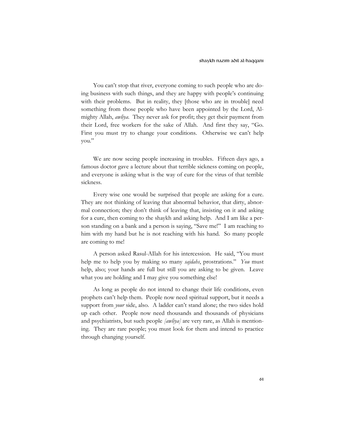You can't stop that river, everyone coming to such people who are doing business with such things, and they are happy with people's continuing with their problems. But in reality, they [those who are in trouble] need something from those people who have been appointed by the Lord, Almighty Allah, *awliya*. They never ask for profit; they get their payment from their Lord, free workers for the sake of Allah. And first they say, "Go. First you must try to change your conditions. Otherwise we can't help you."

We are now seeing people increasing in troubles. Fifteen days ago, a famous doctor gave a lecture about that terrible sickness coming on people, and everyone is asking what is the way of cure for the virus of that terrible sickness.

Every wise one would be surprised that people are asking for a cure. They are not thinking of leaving that abnormal behavior, that dirty, abnormal connection; they don't think of leaving that, insisting on it and asking for a cure, then coming to the shaykh and asking help. And I am like a person standing on a bank and a person is saying, "Save me!" I am reaching to him with my hand but he is not reaching with his hand. So many people are coming to me!

A person asked Rasul-AIlah for his intercession. He said, "You must help me to help you by making so many *sajdahs*, prostrations." *You* must help, also; your hands are full but still you are asking to be given. Leave what you are holding and I may give you something else!

As long as people do not intend to change their life conditions, even prophets can't help them. People now need spiritual support, but it needs a support from *your* side, also. A ladder can't stand alone; the two sides hold up each other. People now need thousands and thousands of physicians and psychiatrists, but such people *[awliya]* are very rare, as Allah is mentioning. They are rare people; you must look for them and intend to practice through changing yourself.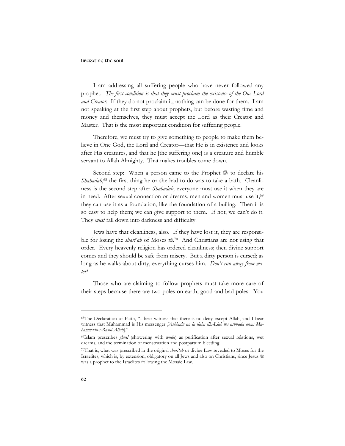I am addressing all suffering people who have never followed any prophet. *The first condition is that they must proclaim the existence of the One Lord and Creator.* If they do not proclaim it, nothing can be done for them. I am not speaking at the first step about prophets, but before wasting time and money and themselves, they must accept the Lord as their Creator and Master. That is the most important condition for suffering people.

Therefore, we must try to give something to people to make them believe in One God, the Lord and Creator—that He is in existence and looks after His creatures, and that he [the suffering one] is a creature and humble servant to Allah Almighty. That makes troubles come down.

Second step: When a person came to the Prophet  $\frac{4}{100}$  to declare his *Shahadah*, 68 the first thing he or she had to do was to take a bath. Cleanliness is the second step after *Shahadah*; everyone must use it when they are in need. After sexual connection or dreams, men and women must use it;<sup>69</sup> they can use it as a foundation, like the foundation of a builing. Then it is so easy to help them; we can give support to them. If not, we can't do it. They *must* fall down into darkness and difficulty.

Jews have that cleanliness, also. If they have lost it, they are responsible for losing the *shari'ah* of Moses ¡. 70 And Christians are not using that order. Every heavenly religion has ordered cleanliness; then divine support comes and they should be safe from misery. But a dirty person is cursed; as long as he walks about dirty, everything curses him. *Don't run away from water!*

Those who are claiming to follow prophets must take more care of their steps because there are two poles on earth, good and bad poles. You

<sup>68</sup>The Declaration of Faith, "I bear witness that there is no deity except Allah, and I bear witness that Muhammad is His messenger *[Ashhadu an la ilaha illa-Llah wa ashhadu anna Muhammadu-r-Rasul-Allah*]*.*"

<sup>69</sup>Islam prescribes *ghusl* (showering with *wudu*) as purification after sexual relations, wet dreams, and the termination of menstruation and postpartum bleeding.

<sup>70</sup>That is, what was prescribed in the original *shari'ah* or divine Law revealed to Moses for the Israelites, which is, by extension, obligatory on all Jews and also on Christians, since Jesus  $\frac{1}{2}$ was a prophet to the Israelites following the Mosaic Law.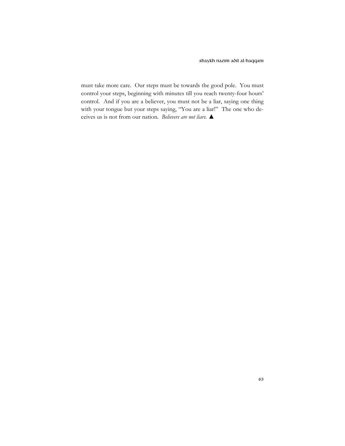must take more care. Our steps must be towards the good pole. You must control your steps, beginning with minutes till you reach twenty-four hours' control. And if you are a believer, you must not be a liar, saying one thing with your tongue but your steps saying, "You are a liar!" The one who deceives us is not from our nation. *Believers are not liars. ▲*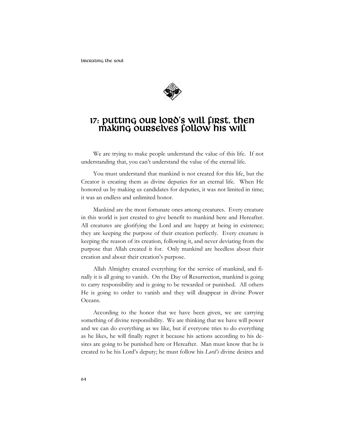

# 17: putting our lord's will first, then<br>making ourselves follow his will

We are trying to make people understand the value of this life. If not understanding that, you can't understand the value of the eternal life.

You must understand that mankind is not created for this life, but the Creator is creating them as divine deputies for an eternal life. When He honored us by making us candidates for deputies, it was not limited in time; it was an endless and unlimited honor.

Mankind are the most fortunate ones among creatures. Every creature in this world is just created to give benefit to mankind here and Hereafter. All creatures are glorifying the Lord and are happy at being in existence; they are keeping the purpose of their creation perfectly. Every creature is keeping the reason of its creation, following it, and never deviating from the purpose that Allah created it for. Only mankind are heedless about their creation and about their creation's purpose.

Allah Almighty created everything for the service of mankind, and finally it is all going to vanish. On the Day of Resurrection, mankind is going to carry responsibility and is going to be rewarded or punished. All others He is going to order to vanish and they will disappear in divine Power Oceans.

According to the honor that we have been given, we are carrying something of divine responsibility. We are thinking that we have will power and we can do everything as we like, but if everyone tries to do everything as he likes, he will finally regret it because his actions according to his desires are going to be punished here or Hereafter. Man must know that he is created to be his Lord's deputy; he must follow his *Lord's* divine desires and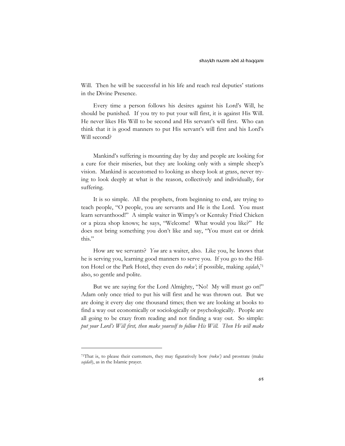Will. Then he will be successful in his life and reach real deputies' stations in the Divine Presence.

Every time a person follows his desires against his Lord's Will, he should be punished. If you try to put your will first, it is against His Will. He never likes His Will to be second and His servant's will first. Who can think that it is good manners to put His servant's will first and his Lord's Will second?

Mankind's suffering is mounting day by day and people are looking for a cure for their miseries, but they are looking only with a simple sheep's vision. Mankind is accustomed to looking as sheep look at grass, never trying to look deeply at what is the reason, collectively and individually, for suffering.

It is so simple. All the prophets, from beginning to end, are trying to teach people, "O people, you are servants and He is the Lord. You must learn servanthood!" A simple waiter in Wimpy's or Kentuky Fried Chicken or a pizza shop knows; he says, "Welcome! What would you like?" He does not bring something you don't like and say, "You must eat or drink this."

How are we servants? *You* are a waiter, also. Like you, he knows that he is serving you, learning good manners to serve you. If you go to the Hilton Hotel or the Park Hotel, they even do *ruku'*; if possible, making *sajdah*, 71 also, so gentle and polite.

But we are saying for the Lord Almighty, "No! My will must go on!" Adam only once tried to put his will first and he was thrown out. But we are doing it every day one thousand times; then we are looking at books to find a way out economically or sociologically or psychologically. People are all going to be crazy from reading and not finding a way out. So simple: *put your Lord's Will first, then make yourself to follow His Will. Then He will make* 

<sup>71</sup>That is, to please their customers, they may figuratively bow *(ruku')* and prostrate (make *sajdah*), as in the Islamic prayer.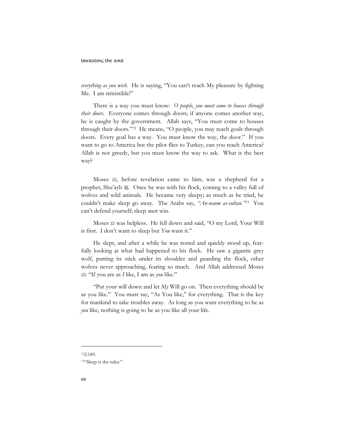*everything as you wish*. He is saying, "You can't reach My pleasure by fighting Me. I am irrisistible!"

There is a way you must know: *O people, you must come to houses through their doors.* Everyone comes through doors; if anyone comes another way, he is caught by the government. Allah says, "You must come to houses through their doors."72 He means, "O people, you may reach goals through doors. Every goal has a way. You must know the way, the door." If you want to go to America but the pilot flies to Turkey, can you reach America? Allah is not greedy, but you must know the way to ask. What is the best way?

Moses  $\frac{1}{20}$ , before revelation came to him, was a shepherd for a prophet, Shu'ayb  $\frac{1}{2}$ . Once he was with his flock, coming to a valley full of wolves and wild animals. He became very sleepy; as much as he tried, he couldn't make sleep go away. The Arabs say, *"An-naum as-sultan."*73 You can't defend yourself; sleep *mus*t win.

Moses  $\frac{1}{60}$  was helpless. He fell down and said, "O my Lord, Your Will is first. I don't want to sleep but *You* want it."

He slept, and after a while he was rested and quickly stood up, fearfully looking at what had happened to his flock. He saw a gigantic grey wolf, putting its stick under its shoulder and guarding the flock, other wolves never approaching, fearing so much. And Allah addressed Moses ¡: "If you are as *I* like, I am as *you* like."

"Put your will down and let *My* Will go on. Then everything should be as you like." You must say, "As You like," for everything. That is the key for mankind to take troubles away. As long as you want everything to be as *you* like, nothing is going to be as you like all your life.

<sup>722:189.</sup> 

<sup>73&</sup>quot;Sleep is the ruler."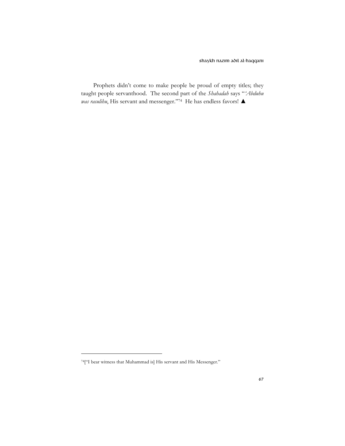shaykh nazim adil al-haqqani

Prophets didn't come to make people be proud of empty titles; they taught people servanthood. The second part of the *Shahadah* says "*'Abduhu was rasulihu*, His servant and messenger."74 He has endless favors! *▲*

<u>.</u>

<sup>74[&</sup>quot;I bear witness that Muhammad is] His servant and His Messenger."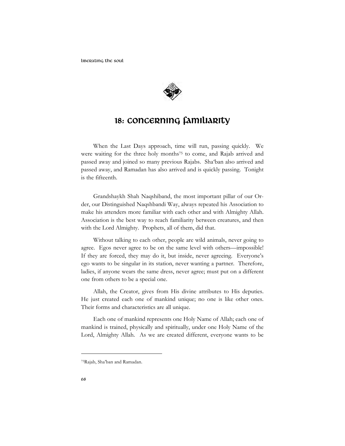

## 18: CONCERNING FAMILIARITY

When the Last Days approach, time will run, passing quickly. We were waiting for the three holy months<sup>75</sup> to come, and Rajab arrived and passed away and joined so many previous Rajabs. Sha'ban also arrived and passed away, and Ramadan has also arrived and is quickly passing. Tonight is the fifteenth.

Grandshaykh Shah Naqshiband, the most important pillar of our Order, our Distinguished Naqshbandi Way, always repeated his Association to make his attenders more familiar with each other and with Almighty Allah. Association is the best way to reach familiarity between creatures, and then with the Lord Almighty. Prophets, all of them, did that.

Without talking to each other, people are wild animals, never going to agree. Egos never agree to be on the same level with others—impossible! If they are forced, they may do it, but inside, never agreeing. Everyone's ego wants to be singular in its station, never wanting a partner. Therefore, ladies, if anyone wears the same dress, never agree; must put on a different one from others to be a special one.

Allah, the Creator, gives from His divine attributes to His deputies. He just created each one of mankind unique; no one is like other ones. Their forms and characteristics are all unique.

Each one of mankind represents one Holy Name of Allah; each one of mankind is trained, physically and spiritually, under one Holy Name of the Lord, Almighty Allah. As we are created different, everyone wants to be

<u>.</u>

<sup>75</sup>Rajab, Sha'ban and Ramadan.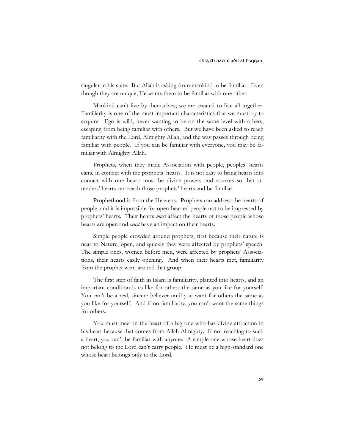singular in his state. But Allah is asking from mankind to be familiar. Even though they are unique, He wants them to be familiar with one other.

Mankind can't live by themselves; we are created to live all together. Familiarity is one of the most important characteristics that we must try to acquire. Ego is wild, never wanting to be on the same level with others, escaping from being familiar with others. But we have been asked to reach familiarity with the Lord, Almighty Allah, and the way passes through being familiar with people. If you can be familiar with everyone, you may be familiar with Almighty Allah.

Prophets, when they made Association with people, peoples' hearts came in contact with the prophets' hearts. It is not easy to bring hearts into contact with one heart; must be divine powers and sources so that attenders' hearts can reach those prophets' hearts and be familiar.

Prophethood is from the Heavens. Prophets can address the hearts of people, and it is impossible for open-hearted people not to be impressed by prophets' hearts. Their hearts *must* affect the hearts of those people whose hearts are open and *must* have an impact on their hearts.

Simple people crowded around prophets, first because their nature is near to Nature, open, and quickly they were affected by prophets' speech. The simple ones, women before men, were affected by prophets' Associations, their hearts easily opening. And when their hearts met, familiarity from the prophet went around that group.

The first step of faith in Islam is familiarity, planted into hearts, and an important condition is to like for others the same as you like for yourself. You can't be a real, sincere believer until you want for others the same as you like for yourself. And if no familiarity, you can't want the same things for others.

You must meet in the heart of a big one who has divine attraction in his heart because that comes from Allah Almighty. If not reaching to such a heart, you can't be familiar with anyone. A simple one whose heart does not belong to the Lord can't carry people. He must be a high-standard one whose heart belongs only to the Lord.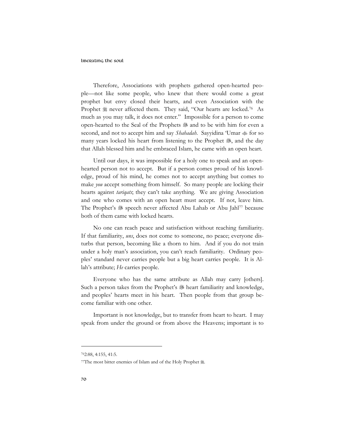Therefore, Associations with prophets gathered open-hearted people—not like some people, who knew that there would come a great prophet but envy closed their hearts, and even Association with the Prophet  $*$  never affected them. They said, "Our hearts are locked.<sup>76</sup> As much as you may talk, it does not enter." Impossible for a person to come open-hearted to the Seal of the Prophets  $\frac{4}{36}$  and to be with him for even a second, and not to accept him and say *Shahadah*. Sayyidina 'Umar  $\text{Im} \text{tr}$  so many years locked his heart from listening to the Prophet  $\mathcal{L}$ , and the day that Allah blessed him and he embraced Islam, he came with an open heart.

Until our days, it was impossible for a holy one to speak and an openhearted person not to accept. But if a person comes proud of his knowledge, proud of his mind, he comes not to accept anything but comes to make *you* accept something from himself. So many people are locking their hearts against *tariqats*; they can't take anything. We are giving Association and one who comes with an open heart must accept. If not, leave him. The Prophet's <sup>\$8</sup> speech never affected Abu Lahab or Abu Jahl<sup>77</sup> because both of them came with locked hearts.

No one can reach peace and satisfaction without reaching familiarity. If that familiarity, *uns*, does not come to someone, no peace; everyone disturbs that person, becoming like a thorn to him. And if you do not train under a holy man's association, you can't reach familiarity. Ordinary peoples' standard never carries people but a big heart carries people. It is Allah's attribute; *He* carries people.

Everyone who has the same attribute as Allah may carry [others]. Such a person takes from the Prophet's heart familiarity and knowledge, and peoples' hearts meet in his heart. Then people from that group become familiar with one other.

Important is not knowledge, but to transfer from heart to heart. I may speak from under the ground or from above the Heavens; important is to

<sup>762:88, 4:155, 41:5.</sup> 

<sup>&</sup>lt;sup>77</sup>The most bitter enemies of Islam and of the Holy Prophet ...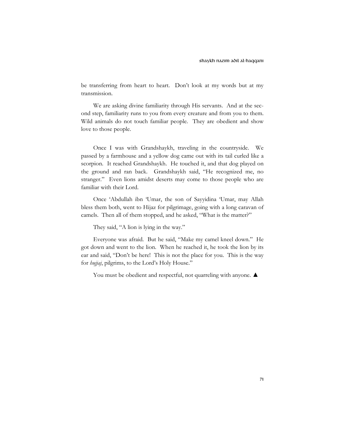be transferring from heart to heart. Don't look at my words but at my transmission.

We are asking divine familiarity through His servants. And at the second step, familiarity runs to you from every creature and from you to them. Wild animals do not touch familiar people. They are obedient and show love to those people.

Once I was with Grandshaykh, traveling in the countryside. We passed by a farmhouse and a yellow dog came out with its tail curled like a scorpion. It reached Grandshaykh. He touched it, and that dog played on the ground and ran back. Grandshaykh said, "He recognized me, no stranger." Even lions amidst deserts may come to those people who are familiar with their Lord.

Once 'Abdullah ibn 'Umar, the son of Sayyidina 'Umar, may Allah bless them both, went to Hijaz for pilgrimage, going with a long caravan of camels. Then all of them stopped, and he asked, "What is the matter?"

They said, "A lion is lying in the way."

Everyone was afraid. But he said, "Make my camel kneel down." He got down and went to the lion. When he reached it, he took the lion by its ear and said, "Don't be here! This is not the place for you. This is the way for *hujjaj*, pilgrims, to the Lord's Holy House."

You must be obedient and respectful, not quarreling with anyone. *▲*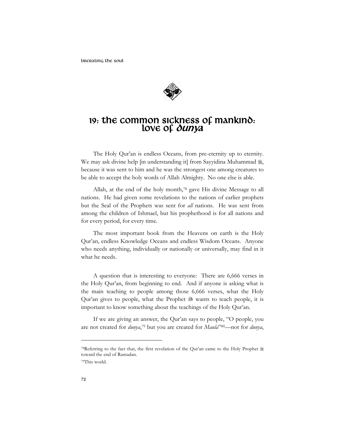

# 19: the common sickness of mankind:<br>love of *dunya*

The Holy Qur'an is endless Oceans, from pre-eternity up to eternity. We may ask divine help [in understanding it] from Sayyidina Muhammad , because it was sent to him and he was the strongest one among creatures to be able to accept the holy words of Allah Almighty. No one else is able.

Allah, at the end of the holy month,<sup>78</sup> gave His divine Message to all nations. He had given some revelations to the nations of earlier prophets but the Seal of the Prophets was sent for *all* nations. He was sent from among the children of Ishmael, but his prophethood is for all nations and for every period, for every time.

The most important book from the Heavens on earth is the Holy Qur'an, endless Knowledge Oceans and endless Wisdom Oceans. Anyone who needs anything, individually or nationally or universally, may find in it what he needs.

A question that is interesting to everyone: There are 6,666 verses in the Holy Qur'an, from beginning to end. And if anyone is asking what is the main teaching to people among those 6,666 verses, what the Holy Qur'an gives to people, what the Prophet  $\mathcal{L}$  wants to teach people, it is important to know something about the teachings of the Holy Qur'an.

If we are giving an answer, the Qur'an says to people, "O people, you are not created for *dunya*, <sup>79</sup> but you are created for *Maula*"80—not for *dunya*,

<sup>&</sup>lt;sup>78</sup>Referring to the fact that, the first revelation of the Qur'an came to the Holy Prophet 紫 toward the end of Ramadan.

<sup>79</sup>This world.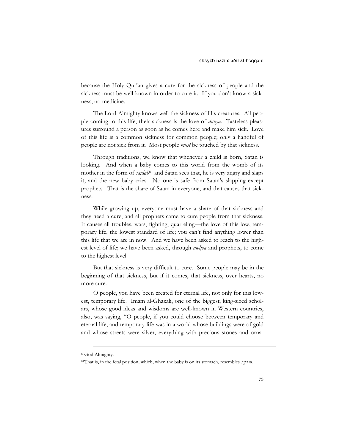because the Holy Qur'an gives a cure for the sickness of people and the sickness must be well-known in order to cure it. If you don't know a sickness, no medicine.

The Lord Almighty knows well the sickness of His creatures. All people coming to this life, their sickness is the love of *dunya*. Tasteless pleasures surround a person as soon as he comes here and make him sick. Love of this life is a common sickness for common people; only a handful of people are not sick from it. Most people *must* be touched by that sickness.

Through traditions, we know that whenever a child is born, Satan is looking. And when a baby comes to this world from the womb of its mother in the form of *sajdah*<sup>81</sup> and Satan sees that, he is very angry and slaps it, and the new baby cries. No one is safe from Satan's slapping except prophets. That is the share of Satan in everyone, and that causes that sickness.

While growing up, everyone must have a share of that sickness and they need a cure, and all prophets came to cure people from that sickness. It causes all troubles, wars, fighting, quarreling—the love of this low, temporary life, the lowest standard of life; you can't find anything lower than this life that we are in now. And we have been asked to reach to the highest level of life; we have been asked, through *awliya* and prophets, to come to the highest level.

But that sickness is very difficult to cure. Some people may be in the beginning of that sickness, but if it comes, that sickness, over hearts, no more cure.

O people, you have been created for eternal life, not only for this lowest, temporary life. Imam al-Ghazali, one of the biggest, king-sized scholars, whose good ideas and wisdoms are well-known in Western countries, also, was saying, "O people, if you could choose between temporary and eternal life, and temporary life was in a world whose buildings were of gold and whose streets were silver, everything with precious stones and orna-

 $\overline{a}$ 80God Almighty.

<sup>81</sup>That is, in the fetal position, which, when the baby is on its stomach, resembles *sajdah.*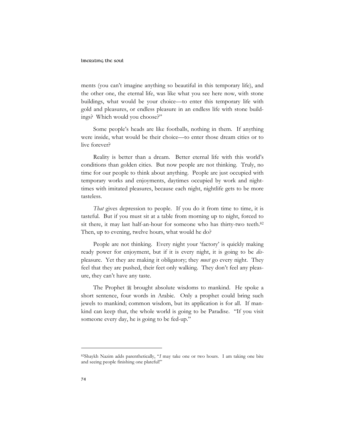ments (you can't imagine anything so beautiful in this temporary life), and the other one, the eternal life, was like what you see here now, with stone buildings, what would be your choice—to enter this temporary life with gold and pleasures, or endless pleasure in an endless life with stone buildings? Which would you choose?"

Some people's heads are like footballs, nothing in them. If anything were inside, what would be their choice—to enter those dream cities or to live forever?

Reality is better than a dream. Better eternal life with this world's conditions than golden cities. But now people are not thinking. Truly, no time for our people to think about anything. People are just occupied with temporary works and enjoyments, daytimes occupied by work and nighttimes with imitated pleasures, because each night, nightlife gets to be more tasteless.

*That* gives depression to people. If you do it from time to time, it is tasteful. But if you must sit at a table from morning up to night, forced to sit there, it may last half-an-hour for someone who has thirty-two teeth.82 Then, up to evening, twelve hours, what would he do?

People are not thinking. Every night your 'factory' is quickly making ready power for enjoyment, but if it is every night, it is going to be *dis*pleasure. Yet they are making it obligatory; they *must* go every night. They feel that they are pushed, their feet only walking. They don't feel any pleasure, they can't have any taste.

The Prophet  $\frac{46}{25}$  brought absolute wisdoms to mankind. He spoke a short sentence, four words in Arabic. Only a prophet could bring such jewels to mankind; common wisdom, but its application is for all. If mankind can keep that, the whole world is going to be Paradise. "If you visit someone every day, he is going to be fed-up."

<sup>82</sup>Shaykh Nazim adds parenthetically, "*I* may take one or two hours. I am taking one bite and seeing people finishing one plateful!"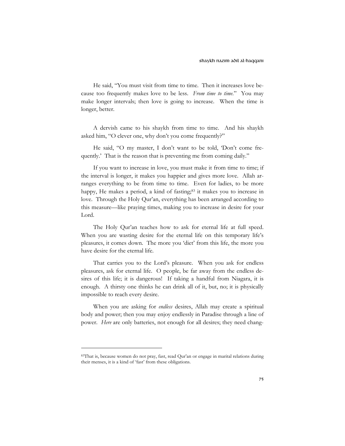He said, "You must visit from time to time. Then it increases love because too frequently makes love to be less. *From time to time*." You may make longer intervals; then love is going to increase. When the time is longer, better.

A dervish came to his shaykh from time to time. And his shaykh asked him, "O clever one, why don't you come frequently?"

He said, "O my master, I don't want to be told, 'Don't come frequently.' That is the reason that is preventing me from coming daily."

If you want to increase in love, you must make it from time to time; if the interval is longer, it makes you happier and gives more love. Allah arranges everything to be from time to time. Even for ladies, to be more happy, He makes a period, a kind of fasting;<sup>83</sup> it makes you to increase in love. Through the Holy Qur'an, everything has been arranged according to this measure—like praying times, making you to increase in desire for your Lord.

The Holy Qur'an teaches how to ask for eternal life at full speed. When you are wasting desire for the eternal life on this temporary life's pleasures, it comes down. The more you 'diet' from this life, the more you have desire for the eternal life.

That carries you to the Lord's pleasure. When you ask for endless pleasures, ask for eternal life. O people, be far away from the endless desires of this life; it is dangerous! If taking a handful from Niagara, it is enough. A thirsty one thinks he can drink all of it, but, no; it is physically impossible to reach every desire.

When you are asking for *endless* desires, Allah may create a spiritual body and power; then you may enjoy endlessly in Paradise through a line of power. *Here* are only batteries, not enough for all desires; they need chang-

<sup>83</sup>That is, because women do not pray, fast, read Qur'an or engage in marital relations during their menses, it is a kind of 'fast' from these obligations.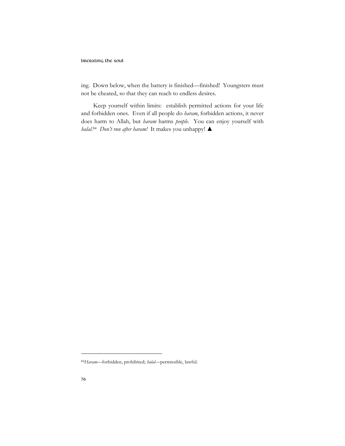ing. Down below, when the battery is finished—finished! Youngsters must not be cheated, so that they can reach to endless desires.

Keep yourself within limits: establish permitted actions for your life and forbidden ones. Even if all people do *haram*, forbidden actions, it never does harm to Allah, but *haram* harms *people*. You can enjoy yourself with *halal*. <sup>84</sup> *Don't run after haram!* It makes you unhappy! *▲*

<u>.</u>

<sup>84</sup>*Haram*—forbidden, prohibited; *halal*—permissible, lawful.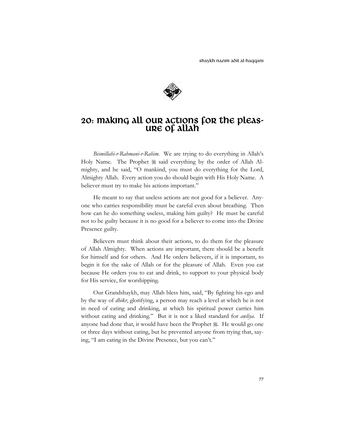

## 20: Making all our actions for the pleas-<br>ure of allah

*Bismillahi-r-Rahmani-r-Rahim.* We are trying to do everything in Allah's Holy Name. The Prophet  $\frac{46}{36}$  said everything by the order of Allah Almighty, and he said, "O mankind, you must do everything for the Lord, Almighty Allah. Every action you do should begin with His Holy Name. A believer must try to make his actions important."

He meant to say that useless actions are not good for a believer. Anyone who carries responsibility must be careful even about breathing. Then how can he do something useless, making him guilty? He must be careful not to be guilty because it is no good for a believer to come into the Divine Presence guilty.

Believers must think about their actions, to do them for the pleasure of Allah Almighty. When actions are important, there should be a benefit for himself and for others. And He orders believers, if it is important, to begin it for the sake of Allah or for the pleasure of Allah. Even you eat because He orders you to eat and drink, to support to your physical body for His service, for worshipping.

Our Grandshaykh, may Allah bless him, said, "By fighting his ego and by the way of *dhikr*, glorifying, a person may reach a level at which he is not in need of eating and drinking, at which his spiritual power carries him without eating and drinking." But it is not a liked standard for *awliya*. If anyone had done that, it would have been the Prophet . He would go one or three days without eating, but he prevented anyone from trying that, saying, "I am eating in the Divine Presence, but you can't."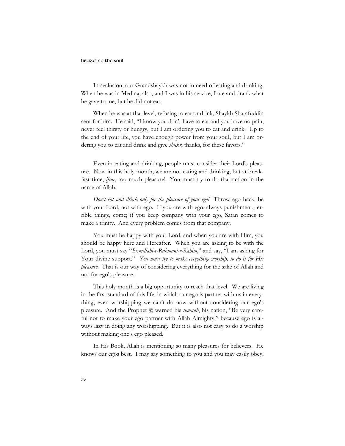In seclusion, our Grandshaykh was not in need of eating and drinking. When he was in Medina, also, and I was in his service, I ate and drank what he gave to me, but he did not eat.

When he was at that level, refusing to eat or drink, Shaykh Sharafuddin sent for him. He said, "I know you don't have to eat and you have no pain, never feel thirsty or hungry, but I am ordering you to eat and drink. Up to the end of your life, you have enough power from your souI, but I am ordering you to eat and drink and give *shukr*, thanks, for these favors."

Even in eating and drinking, people must consider their Lord's pleasure. Now in this holy month, we are not eating and drinking, but at breakfast time, *iftar*, too much pleasure! You must try to do that action in the name of Allah.

*Don't eat and drink only for the pleasure of your ego!* Throw ego back; be with your Lord, not with ego. If you are with ego, always punishment, terrible things, come; if you keep company with your ego, Satan comes to make a trinity. And every problem comes from that company.

You must be happy with your Lord, and when you are with Him, you should be happy here and Hereafter. When you are asking to be with the Lord, you must say "*Bismillahi-r-Rahmani-r-Rahim*," and say, "I am asking for Your divine support." *You must try to make everything worship, to do it for His pleasure.* That is our way of considering everything for the sake of Allah and not for ego's pleasure.

This holy month is a big opportunity to reach that level. We are living in the first standard of this life, in which our ego is partner with us in everything; even worshipping we can't do now without considering our ego's pleasure. And the Prophet  $\frac{M}{28}$  warned his *ummah*, his nation, "Be very careful not to make your ego partner with Allah Almighty," because ego is always lazy in doing any worshipping. But it is also not easy to do a worship without making one's ego pleased.

In His Book, Allah is mentioning so many pleasures for believers. He knows our egos best. I may say something to you and you may easily obey,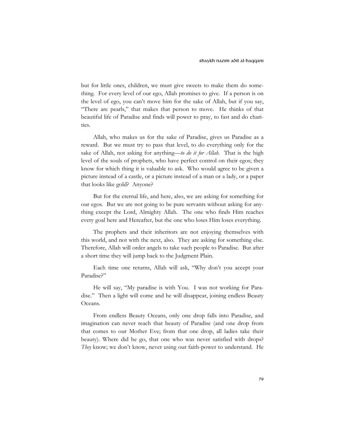but for little ones, children, we must give sweets to make them do something. For every level of our ego, Allah promises to give. If a person is on the level of ego, you can't move him for the sake of Allah, but if you say, "There are pearls," that makes that person to move. He thinks of that beautiful life of Paradise and finds will power to pray, to fast and do charities.

Allah, who makes us for the sake of Paradise, gives us Paradise as a reward. But we must try to pass that level, to do everything only for the sake of Allah, not asking for anything—*to do it for Allah.* That is the high level of the souls of prophets, who have perfect control on their egos; they know for which thing it is valuable to ask. Who would agree to be given a picture instead of a castle, or a picture instead of a man or a lady, or a paper that looks like gold? Anyone?

But for the eternal life, and here, also, we are asking for something for our egos. But we are not going to be pure servants without asking for anything except the Lord, Almighty Allah. The one who finds Him reaches every goal here and Hereafter, but the one who loses Him loses everything.

The prophets and their inheritors are not enjoying themselves with this world, and not with the next, also. They are asking for something else. Therefore, Allah will order angels to take such people to Paradise. But after a short time they will jump back to the Judgment Plain.

Each time one returns, Allah will ask, "Why don't you accept your Paradise?"

He will say, "My paradise is with You. I was not working for Paradise." Then a light will come and he will disappear, joining endless Beauty Oceans.

From endless Beauty Oceans, only one drop falls into Paradise, and imagination can never reach that beauty of Paradise (and one drop from that comes to our Mother Eve; from that one drop, all ladies take their beauty). Where did he go, that one who was never satisfied with drops? *They* know; we don't know, never using our faith-power to understand. He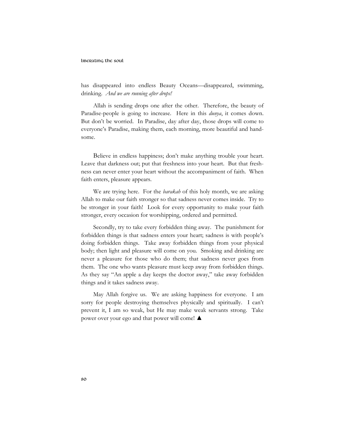has disappeared into endless Beauty Oceans—disappeared, swimming, drinking. *And we are running after drops!*

Allah is sending drops one after the other. Therefore, the beauty of Paradise-people is going to increase. Here in this *dunya*, it comes down. But don't be worried. In Paradise, day after day, those drops will come to everyone's Paradise, making them, each morning, more beautiful and handsome.

Believe in endless happiness; don't make anything trouble your heart. Leave that darkness out; put that freshness into your heart. But that freshness can never enter your heart without the accompaniment of faith. When faith enters, pleasure appears.

We are trying here. For the *barakah* of this holy month, we are asking Allah to make our faith stronger so that sadness never comes inside. Try to be stronger in your faith! Look for every opportunity to make your faith stronger, every occasion for worshipping, ordered and permitted.

Secondly, try to take every forbidden thing away. The punishment for forbidden things is that sadness enters your heart; sadness is with people's doing forbidden things. Take away forbidden things from your physical body; then light and pleasure will come on you. Smoking and drinking are never a pleasure for those who do them; that sadness never goes from them. The one who wants pleasure must keep away from forbidden things. As they say "An apple a day keeps the doctor away," take away forbidden things and it takes sadness away.

May Allah forgive us. We are asking happiness for everyone. I am sorry for people destroying themselves physically and spiritually. I can't prevent it, I am so weak, but He may make weak servants strong. Take power over your ego and that power will come! *▲*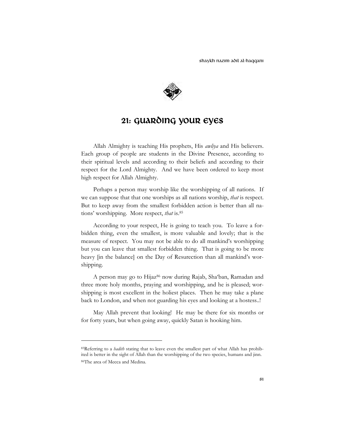

## 21: GUARDING YOUR EYES

Allah Almighty is teaching His prophets, His *awliya* and His believers. Each group of people are students in the Divine Presence, according to their spiritual levels and according to their beliefs and according to their respect for the Lord Almighty. And we have been ordered to keep most high respect for Allah Almighty.

Perhaps a person may worship like the worshipping of all nations. If we can suppose that that one worships as all nations worship, *that* is respect. But to keep away from the smallest forbidden action is better than all nations' worshipping. More respect, *that* is.85

According to your respect, He is going to teach you. To leave a forbidden thing, even the smallest, is more valuable and lovely; that is the measure of respect. You may not be able to do all mankind's worshipping but you can leave that smallest forbidden thing. That is going to be more heavy [in the balance] on the Day of Resurection than all mankind's worshipping.

A person may go to Hijaz<sup>86</sup> now during Rajab, Sha'ban, Ramadan and three more holy months, praying and worshipping, and he is pleased; worshipping is most excellent in the holiest places. Then he may take a plane back to London, and when not guarding his eyes and looking at a hostess..!

May Allah prevent that looking! He may be there for six months or for forty years, but when going away, quickly Satan is hooking him.

<sup>&</sup>lt;sup>85</sup>Referring to a *hadith* stating that to leave even the smallest part of what Allah has prohibited is better in the sight of Allah than the worshipping of the two species, humans and jinn. 86The area of Mecca and Medina.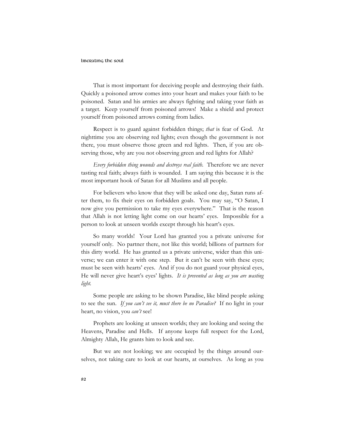That is most important for deceiving people and destroying their faith. Quickly a poisoned arrow comes into your heart and makes your faith to be poisoned. Satan and his armies are always fighting and taking your faith as a target. Keep yourself from poisoned arrows! Make a shield and protect yourself from poisoned arrows coming from ladies.

Respect is to guard against forbidden things; *that* is fear of God. At nighttime you are observing red lights; even though the government is not there, you must observe those green and red lights. Then, if you are observing those, why are you not observing green and red lights for Allah?

*Every forbidden thing wounds and destroys real faith.* Therefore we are never tasting real faith; always faith is wounded. I am saying this because it is the most important hook of Satan for all Muslims and all people.

For believers who know that they will be asked one day, Satan runs after them, to fix their eyes on forbidden goals. You may say, "O Satan, I now give you permission to take my eyes everywhere." That is the reason that Allah is not letting light come on our hearts' eyes. Impossible for a person to look at unseen worlds except through his heart's eyes.

So many worlds! Your Lord has granted you a private universe for yourself only. No partner there, not like this world; billions of partners for this dirty world. He has granted us a private universe, wider than this universe; we can enter it with one step. But it can't be seen with these eyes; must be seen with hearts' eyes. And if you do not guard your physical eyes, He will never give heart's eyes' lights. *It is prevented as long as you are wasting light.*

Some people are asking to be shown Paradise, like blind people asking to see the sun. *If you can't see it, must there be no Paradise?* If no light in your heart, no vision, you *can't* see!

Prophets are looking at unseen worlds; they are looking and seeing the Heavens, Paradise and Hells. If anyone keeps full respect for the Lord, Almighty Allah, He grants him to look and see.

But we are not looking; we are occupied by the things around ourselves, not taking care to look at our hearts, at ourselves. As long as you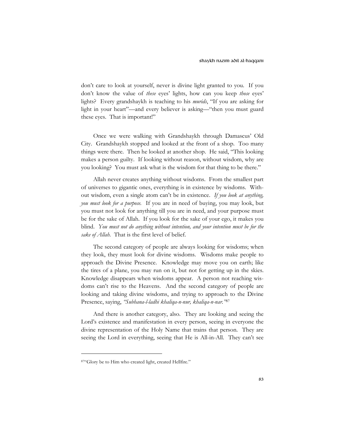don't care to look at yourself, never is divine light granted to you. If you don't know the value of *these* eyes' lights, how can you keep *those* eyes' lights? Every grandshaykh is teaching to his *murids*, "If you are asking for light in your heart"—and every believer is asking—"then you must guard these eyes. That is important!"

Once we were walking with Grandshaykh through Damascus' Old City. Grandshaykh stopped and looked at the front of a shop. Too many things were there. Then he looked at another shop. He said, "This looking makes a person guilty. If looking without reason, without wisdom, why are you looking? You must ask what is the wisdom for that thing to be there."

Allah never creates anything without wisdoms. From the smallest part of universes to gigantic ones, everything is in existence by wisdoms. Without wisdom, even a single atom can't be in existence. *If you look at anything, you must look for a purpose.* If you are in need of buying, you may look, but you must not look for anything till you are in need, and your purpose must be for the sake of Allah. If you look for the sake of your ego, it makes you blind. *You must not do anything without intention, and your intention must be for the sake of Allah.* That is the first level of belief.

The second category of people are always looking for wisdoms; when they look, they must look for divine wisdoms. Wisdoms make people to approach the Divine Presence. Knowledge may move you on earth; like the tires of a plane, you may run on it, but not for getting up in the skies. Knowledge disappears when wisdoms appear. A person not reaching wisdoms can't rise to the Heavens. And the second category of people are looking and taking divine wisdoms, and trying to approach to the Divine Presence, saying, *"Subhana-l-ladhi khaliqa-n-nur, khaliqa-n-nar."*<sup>87</sup>

And there is another category, also. They are looking and seeing the Lord's existence and manifestation in every person, seeing in everyone the divine representation of the Holy Name that trains that person. They are seeing the Lord in everything, seeing that He is All-in-All. They can't see

<u>.</u>

<sup>87&</sup>quot;Glory be to Him who created light, created Hellfire."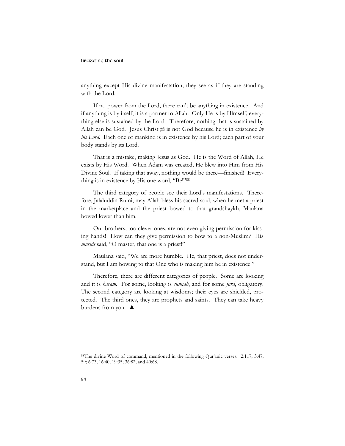anything except His divine manifestation; they see as if they are standing with the Lord.

If no power from the Lord, there can't be anything in existence. And if anything is by itself, it is a partner to Allah. Only He is by Himself; everything else is sustained by the Lord. Therefore, nothing that is sustained by Allah can be God. Jesus Christ  $\frac{1}{60}$  is not God because he is in existence *by his Lord.* Each one of mankind is in existence by his Lord; each part of your body stands by its Lord.

That is a mistake, making Jesus as God. He is the Word of Allah, He exists by His Word. When Adam was created, He blew into Him from His Divine Soul. If taking that away, nothing would be there—finished! Everything is in existence by His one word, "Be!"88

The third category of people see their Lord's manifestations. Therefore, Jalaluddin Rumi, may Allah bless his sacred soul, when he met a priest in the marketplace and the priest bowed to that grandshaykh, Maulana bowed lower than him.

Our brothers, too clever ones, are not even giving permission for kissing hands! How can they give permission to bow to a non-Muslim? His *murids* said, "O master, that one is a priest!"

Maulana said, "We are more humble. He, that priest, does not understand, but I am bowing to that One who is making him be in existence."

Therefore, there are different categories of people. Some are looking and it is *haram.* For some, looking is *sunnah*, and for some *fard*, obligatory. The second category are looking at wisdoms; their eyes are shielded, protected. The third ones, they are prophets and saints. They can take heavy burdens from you. *▲*

<u>.</u>

<sup>88</sup>The divine Word of command, mentioned in the following Qur'anic verses: 2:117; 3:47, 59; 6:73; 16:40; 19:35; 36:82; and 40:68.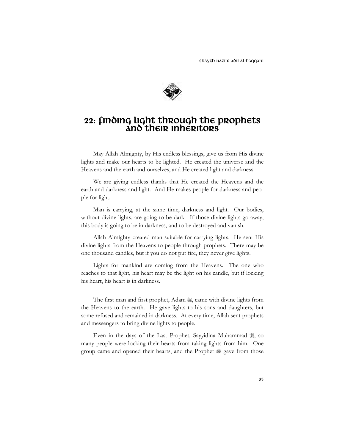shaykh nazim adil al-haqqani



# 22: finding light through the prophets<br>and their inheritors

May Allah Almighty, by His endless blessings, give us from His divine lights and make our hearts to be lighted. He created the universe and the Heavens and the earth and ourselves, and He created light and darkness.

We are giving endless thanks that He created the Heavens and the earth and darkness and light. And He makes people for darkness and people for light.

Man is carrying, at the same time, darkness and light. Our bodies, without divine lights, are going to be dark. If those divine lights go away, this body is going to be in darkness, and to be destroyed and vanish.

Allah Almighty created man suitable for carrying lights. He sent His divine lights from the Heavens to people through prophets. There may be one thousand candles, but if you do not put fire, they never give lights.

Lights for mankind are coming from the Heavens. The one who reaches to that light, his heart may be the light on his candle, but if locking his heart, his heart is in darkness.

The first man and first prophet, Adam , came with divine lights from the Heavens to the earth. He gave lights to his sons and daughters, but some refused and remained in darkness. At every time, Allah sent prophets and messengers to bring divine lights to people.

Even in the days of the Last Prophet, Sayyidina Muhammad , so many people were locking their hearts from taking lights from him. One group came and opened their hearts, and the Prophet  $\frac{36}{100}$  gave from those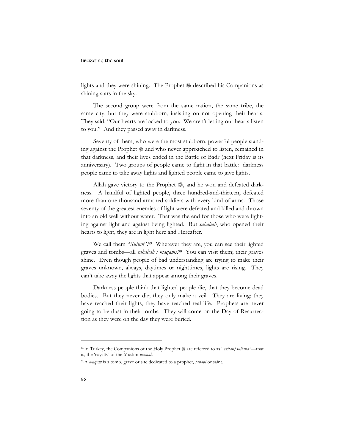lights and they were shining. The Prophet described his Companions as shining stars in the sky.

The second group were from the same nation, the same tribe, the same city, but they were stubborn, insisting on not opening their hearts. They said, "Our hearts are locked to you. We aren't letting our hearts listen to you." And they passed away in darkness.

Seventy of them, who were the most stubborn, powerful people standing against the Prophet  $\frac{46}{36}$  and who never approached to listen, remained in that darkness, and their lives ended in the Battle of Badr (next Friday is its anniversary). Two groups of people came to fight in that battle: darkness people came to take away lights and lighted people came to give lights.

Allah gave victory to the Prophet . and he won and defeated darkness. A handful of lighted people, three hundred-and-thirteen, defeated more than one thousand armored soldiers with every kind of arms. Those seventy of the greatest enemies of light were defeated and killed and thrown into an old well without water. That was the end for those who were fighting against light and against being lighted. But *sahabah*, who opened their hearts to light, they are in light here and Hereafter.

We call them "Sultan".<sup>89</sup> Wherever they are, you can see their lighted graves and tombs—all *sahabah's maqams*. 90 You can visit them; their graves shine. Even though people of bad understanding are trying to make their graves unknown, always, daytimes or nighttimes, lights are rising. They can't take away the lights that appear among their graves.

Darkness people think that lighted people die, that they become dead bodies. But they never die; they only make a veil. They are living; they have reached their lights, they have reached real life. Prophets are never going to be dust in their tombs. They will come on the Day of Resurrection as they were on the day they were buried.

<sup>&</sup>lt;sup>89</sup>In Turkey, the Companions of the Holy Prophet  $\frac{4}{36}$  are referred to as "*sultan/sultana*"—that is, the 'royalty' of the Muslim *ummah*.

<sup>90</sup>A *maqam* is a tomb, grave or site dedicated to a prophet, *sahabi* or saint.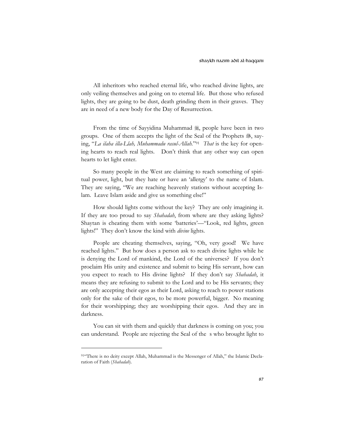All inheritors who reached eternal life, who reached divine lights, are only veiling themselves and going on to eternal life. But those who refused lights, they are going to be dust, death grinding them in their graves. They are in need of a new body for the Day of Resurrection.

From the time of Sayyidina Muhammad , people have been in two groups. One of them accepts the light of the Seal of the Prophets &, saying, "*La ilaha illa-Llah, Muhammadu rasul-Allah.*"91 *That* is the key for opening hearts to reach real lights. Don't think that any other way can open hearts to let light enter.

So many people in the West are claiming to reach something of spiritual power, light, but they hate or have an 'allergy' to the name of Islam. They are saying, "We are reaching heavenly stations without accepting Islam. Leave Islam aside and give us something else!"

How should lights come without the key? They are only imagining it. If they are too proud to say *Shahadah*, from where are they asking lights? Shaytan is cheating them with some 'batteries'—"Look, red lights, green lights!" They don't know the kind with *divine* lights.

People are cheating themselves, saying, "Oh, very good! We have reached lights." But how does a person ask to reach divine lights while he is denying the Lord of mankind, the Lord of the universes? If you don't proclaim His unity and existence and submit to being His servant, how can you expect to reach to His divine lights? If they don't say *Shahadah*, it means they are refusing to submit to the Lord and to be His servants; they are only accepting their egos as their Lord, asking to reach to power stations only for the sake of their egos, to be more powerful, bigger. No meaning for their worshipping; they are worshipping their egos. And they are in darkness.

You can sit with them and quickly that darkness is coming on you; you can understand. People are rejecting the Seal of the s who brought light to

<sup>91&</sup>lt;sup>c</sup>There is no deity except Allah, Muhammad is the Messenger of Allah," the Islamic Declaration of Faith (*Shahadah*).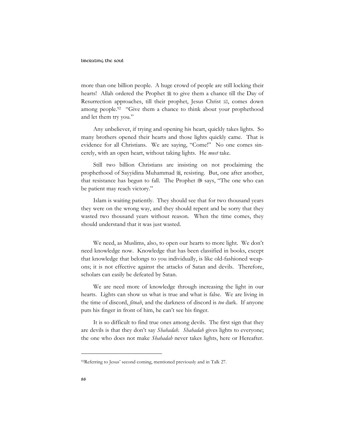more than one billion people. A huge crowd of people are still locking their hearts! Allah ordered the Prophet . to give them a chance till the Day of Resurrection approaches, till their prophet, Jesus Christ  $\frac{1}{60}$ , comes down among people.<sup>92</sup> "Give them a chance to think about your prophethood and let them try you."

Any unbeliever, if trying and opening his heart, quickly takes lights. So many brothers opened their hearts and those lights quickly came. That is evidence for all Christians. We are saying, "Come!" No one comes sincerely, with an open heart, without taking lights. He *must* take.

Still two billion Christians are insisting on not proclaiming the prophethood of Sayyidina Muhammad , resisting. But, one after another, that resistance has begun to fall. The Prophet & says, "The one who can be patient may reach victory."

Islam is waiting patiently. They should see that for two thousand years they were on the wrong way, and they should repent and be sorry that they wasted two thousand years without reason. When the time comes, they should understand that it was just wasted.

We need, as Muslims, also, to open our hearts to more light. We don't need knowledge now. Knowledge that has been classified in books, except that knowledge that belongs to you individually, is like old-fashioned weapons; it is not effective against the attacks of Satan and devils. Therefore, scholars can easily be defeated by Satan.

We are need more of knowledge through increasing the light in our hearts. Lights can show us what is true and what is false. We are living in the time of discord, *fitnah*, and the darkness of discord is *too* dark. If anyone puts his finger in front of him, he can't see his finger.

It is so difficult to find true ones among devils. The first sign that they are devils is that they don't say *Shahadah. Shahadah* gives lights to everyone; the one who does not make *Shahadah* never takes lights, here or Hereafter.

<sup>&</sup>lt;sup>92</sup>Referring to Jesus' second coming, mentioned previously and in Talk 27.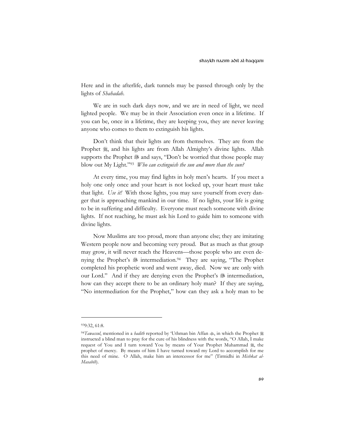Here and in the afterlife, dark tunnels may be passed through only by the lights of *Shahadah*.

We are in such dark days now, and we are in need of light, we need lighted people. We may be in their Association even once in a lifetime. If you can be, once in a lifetime, they are keeping you, they are never leaving anyone who comes to them to extinguish his lights.

Don't think that their lights are from themselves. They are from the Prophet , and his lights are from Allah Almighty's divine lights. Allah supports the Prophet  $\mathcal{L}$  and says, "Don't be worried that those people may blow out My Light."93 *Who can extinguish the sun and more than the sun?* 

At every time, you may find lights in holy men's hearts. If you meet a holy one only once and your heart is not locked up, your heart must take that light. *Use it!* With those lights, you may save yourself from every danger that is approaching mankind in our time. If no lights, your life is going to be in suffering and difficulty. Everyone must reach someone with divine lights. If not reaching, he must ask his Lord to guide him to someone with divine lights.

Now Muslims are too proud, more than anyone else; they are imitating Western people now and becoming very proud. But as much as that group may grow, it will never reach the Heavens—those people who are even denying the Prophet's  $\frac{4}{30}$  intermediation.<sup>94</sup> They are saying, "The Prophet" completed his prophetic word and went away, died. Now we are only with our Lord." And if they are denying even the Prophet's 33 intermediation, how can they accept there to be an ordinary holy man? If they are saying, "No intermediation for the Prophet," how can they ask a holy man to be

<sup>939:32, 61:8.</sup> 

<sup>&</sup>lt;sup>94</sup>*Tawassul*, mentioned in a *hadith* reported by 'Uthman bin Affan  $\text{L}_{2}$ , in which the Prophet  $\text{L}_{2}$ instructed a blind man to pray for the cure of his blindness with the words, "O Allah, I make request of You and I turn toward You by means of Your Prophet Muhammad  $\frac{1}{28}$ , the prophet of mercy. By means of him I have turned toward my Lord to accomplish for me this need of mine. O Allah, make him an intercessor for me" (Tirmidhi in *Mishkat al-Masabih*).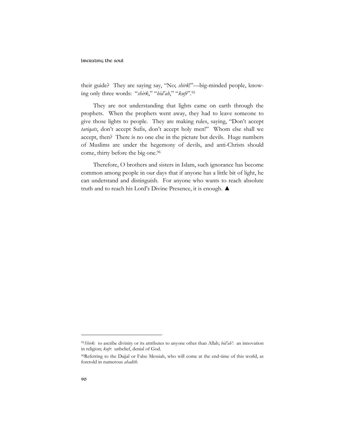their guide? They are saying say, "No; *shirk*!"—big-minded people, knowing only three words: "*shirk*," "*bid'ah*," "*kufr*"*.* 95

They are not understanding that lights came on earth through the prophets. When the prophets went away, they had to leave someone to give those lights to people. They are making rules, saying, "Don't accept *tariqats*, don't accept Sufis, don't accept holy men!" Whom else shall we accept, then? There is no one else in the picture but devils. Huge numbers of Muslims are under the hegemony of devils, and anti-Christs should come, thirty before the big one.<sup>96</sup>

Therefore, O brothers and sisters in Islam, such ignorance has become common among people in our days that if anyone has a little bit of light, he can understand and distinguish. For anyone who wants to reach absolute truth and to reach his Lord's Divine Presence, it is enough. *▲*

<sup>95</sup>*Shirk*: to ascribe divinity or its attributes to anyone other than Allah; *bid'ah'*: an innovation in religion; *kufr*: unbelief, denial of God.

<sup>96</sup>Referring to the Dajjal or False Messiah, who will come at the end-time of this world, as foretold in numerous *ahadith*.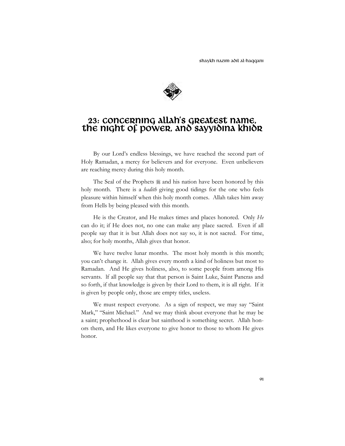

### 23: CONCERNING ALLAH'S GREATEST NAME, the night of power, and sayyidina khidr

By our Lord's endless blessings, we have reached the second part of Holy Ramadan, a mercy for believers and for everyone. Even unbelievers are reaching mercy during this holy month.

The Seal of the Prophets  $\frac{4}{36}$  and his nation have been honored by this holy month. There is a *hadith* giving good tidings for the one who feels pleasure within himself when this holy month comes. Allah takes him away from Hells by being pleased with this month.

He is the Creator, and He makes times and places honored. Only *He*  can do it; if He does not, no one can make any place sacred. Even if all people say that it is but Allah does not say so, it is not sacred. For time, also; for holy months, Allah gives that honor.

We have twelve lunar months. The most holy month is this month; you can't change it. Allah gives every month a kind of holiness but most to Ramadan. And He gives holiness, also, to some people from among His servants. lf all people say that that person is Saint Luke, Saint Pancras and so forth, if that knowledge is given by their Lord to them, it is all right. If it is given by people only, those are empty titles, useless.

We must respect everyone. As a sign of respect, we may say "Saint Mark," "Saint Michael." And we may think about everyone that he may be a saint; prophethood is clear but sainthood is something secret. Allah honors them, and He likes everyone to give honor to those to whom He gives honor.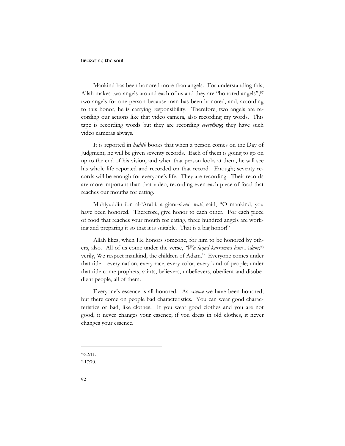Mankind has been honored more than angels. For understanding this, Allah makes two angels around each of us and they are "honored angels";<sup>97</sup> two angels for one person because man has been honored, and, according to this honor, he is carrying responsibility. Therefore, two angels are recording our actions like that video camera, also recording my words. This tape is recording words but they are recording *everything*; they have such video cameras always.

It is reported in *hadith* books that when a person comes on the Day of Judgment, he will be given seventy records. Each of them is going to go on up to the end of his vision, and when that person looks at them, he will see his whole life reported and recorded on that record. Enough; seventy records will be enough for everyone's life. They are recording. Their records are more important than that video, recording even each piece of food that reaches our mouths for eating.

Muhiyuddin ibn al-'Arabi, a giant-sized *wali*, said, "O mankind, you have been honored. Therefore, give honor to each other. For each piece of food that reaches your mouth for eating, three hundred angels are working and preparing it so that it is suitable. That is a big honor!"

Allah likes, when He honors someone, for him to be honored by others, also. All of us come under the verse, "Wa laqad karramna bani Adam;<sup>98</sup> verily, We respect mankind, the children of Adam." Everyone comes under that title—every nation, every race, every color, every kind of people; under that title come prophets, saints, believers, unbelievers, obedient and disobedient people, all of them.

Everyone's essence is all honored. As *essence* we have been honored, but there come on people bad characteristics. You can wear good characteristics or bad, like clothes. If you wear good clothes and you are not good, it never changes your essence; if you dress in old clothes, it never changes your essence.

9782:11. 9817:70.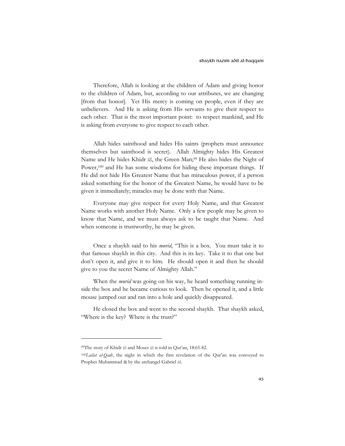Therefore, Allah is looking at the children of Adam and giving honor to the children of Adam, but, according to our attributes, we are changing [from that honor]. Yet His mercy is coming on people, even if they are unbelievers. And He is asking from His servants to give their respect to each other. That is the most important point: to respect mankind, and He is asking from everyone to give respect to each other.

Allah hides sainthood and hides His saints (prophets must announce themselves but sainthood is secret). Allah Almighty hides His Greatest Name and He hides Khidr  $\sharp$ , the Green Man;<sup>99</sup> He also hides the Night of Power,<sup>100</sup> and He has some wisdoms for hiding these important things. If He did not hide His Greatest Name that has miraculous power, if a person asked something for the honor of the Greatest Name, he would have to be given it immediately; miracles may be done with that Name.

Everyone may give respect for every Holy Name, and that Greatest Name works with another Holy Name. Only a few people may be given to know that Name, and we must always ask to be taught that Name. And when someone is trustworthy, he may be given.

Once a shaykh said to his *murid*, "This is a box. You must take it to that famous shaykh in this city. And this is its key. Take it to that one but don't open it, and give it to him. He should open it and then he should give to you the secret Name of Almighty Allah."

When the *murid* was going on his way, he heard something running inside the box and he became curious to look. Then he opened it, and a little mouse jumped out and ran into a hole and quickly disappeared.

He closed the box and went to the second shaykh. That shaykh asked, "Where is the key? Where is the trust?"

<sup>99</sup>The story of Khidr  $\sharp i$  and Moses  $\sharp i$  is told in Qur'an, 18:65-82.

<sup>100</sup>*Lailat al-Qadr*, the night in which the first revelation of the Qur'an was conveyed to Prophet Muhammad # by the archangel Gabriel #.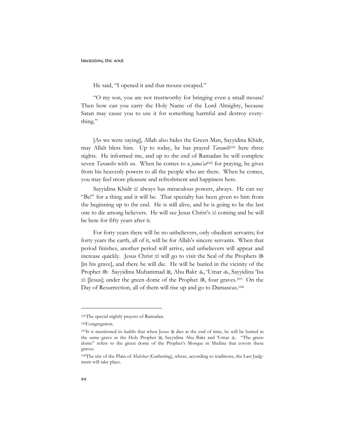He said, "I opened it and that mouse escaped."

"O my son, you are not trustworthy for bringing even a small mouse! Then how can you carry the Holy Name of the Lord Almighty, because Satan may cause you to use it for something harmful and destroy everything."

[As we were saying], Allah also hides the Green Man, Sayyidina Khidr, may Allah bless him. Up to today, he has prayed *Tarawih*101 here three nights. He informed me, and up to the end of Ramadan he will complete seven *Tarawihs* with us. When he comes to a *jama'at*<sup>102</sup> for praying, he gives from his heavenly powers to all the people who are there. When he comes, you may feel more pleasure and refreshment and happiness here.

Sayyidina Khidr & always has miraculous powers, always. He can say "Be!" for a thing and it will be. That specialty has been given to him from the beginning up to the end. He is still alive, and he is going to be the last one to die among believers. He will see Jesus Christ's  $\frac{1}{60}$  coming and he will be here for fifty years after it.

For forty years there will be no unbelievers, only obedient servants; for forty years the earth, all of it, will be for Allah's sincere servants. When that period finishes, another period will arrive, and unbelievers will appear and increase quickly. Jesus Christ  $\frac{1}{60}$  will go to visit the Seal of the Prophets  $\frac{1}{60}$ [in his grave], and there he will die. He will be buried in the vicinity of the Prophet : Sayyidina Muhammad , Abu Bakr , Umar , Sayyidina 'Isa 満 [Jesus]; under the green dome of the Prophet 2, four graves.<sup>103</sup> On the Day of Resurrection, all of them will rise up and go to Damascus.104

<sup>101</sup>The special nightly prayers of Ramadan.

<sup>102</sup>Congregation.

<sup>103</sup>It is mentioned in *hadiths* that when Jesus  $\frac{46}{36}$  dies at the end of time, he will be buried in the same grave as the Holy Prophet , Sayyidina Abu Bakr and 'Umar ... "The green dome" refers to the green dome of the Prophet's Mosque in Medina that covers these graves.

<sup>104</sup>The site of the Plain of *Mahshar* (Gathering), where, according to traditions, the Last Judgment will take place.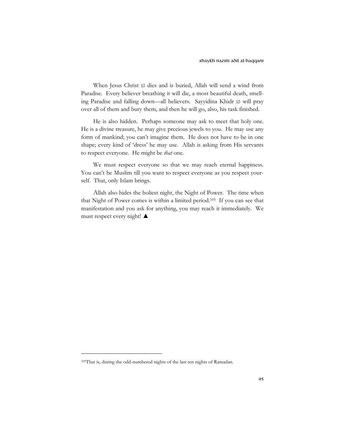When Jesus Christ  $\frac{1}{60}$  dies and is buried, Allah will send a wind from Paradise. Every believer breathing it will die, a most beautiful death, smelling Paradise and falling down—all believers. Sayyidina Khidr is will pray over all of them and bury them, and then he will go, also, his task finished.

He is also hidden. Perhaps someone may ask to meet that holy one. He is a divine treasure, he may give precious jewels to you. He may use any form of mankind; you can't imagine them. He does not have to be in one shape; every kind of 'dress' he may use. Allah is asking from His servants to respect everyone. He might be *that* one.

We must respect everyone so that we may reach eternal happiness. You can't be Muslim till you want to respect everyone as you respect yourself. That, only Islam brings.

Allah also hides the holiest night, the Night of Power. The time when that Night of Power comes is within a limited period.105 If you can see that manifestation and you ask for anything, you may reach it immediately. We must respect every night! *▲*

<sup>105</sup>That is, during the odd-numbered nights of the last ten nights of Ramadan.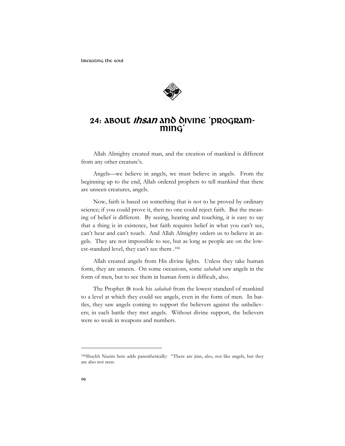

### 24: about *ihsan* and divine 'program-MING'

Allah Almighty created man, and the creation of mankind is different from any other creature's.

Angels—we believe in angels, we must believe in angels. From the beginning up to the end, Allah ordered prophets to tell mankind that there are unseen creatures, angels.

Now, faith is based on something that is not to be proved by ordinary science; if you could prove it, then no one could reject faith. But the meaning of belief is different. By seeing, hearing and touching, it is easy to say that a thing is in existence, but faith requires belief in what you can't see, can't hear and can't touch. And Allah Almighty orders us to believe in angels. They are not impossible to see, but as long as people are on the lowest-standard level, they can't see them .106

Allah created angels from His divine lights. Unless they take human form, they are unseen. On some occasions, some *sahabah* saw angels in the form of men, but to see them in human form is difficult, also.

The Prophet <sup>38</sup> took his *sahabah* from the lowest standard of mankind to a level at which they could see angels, even in the form of men. In battles, they saw angels coming to support the believers against the unbelievers; in each battle they met angels. Without divine support, the believers were so weak in weapons and numbers.

<sup>106</sup>Shaykh Nazim here adds parenthetically: "There are jinn, also, not like angels, but they are also not seen.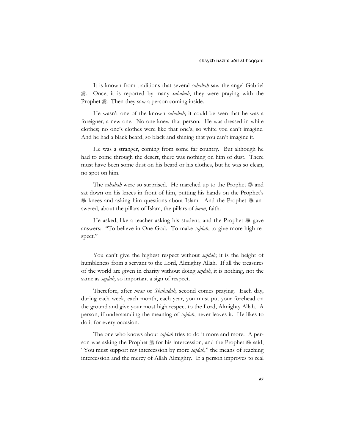It is known from traditions that several *sahabah* saw the angel Gabriel . Once, it is reported by many *sahabah*, they were praying with the Prophet . Then they saw a person coming inside.

He wasn't one of the known *sahabah*; it could be seen that he was a foreigner, a new one. No one knew that person. He was dressed in white clothes; no one's clothes were like that one's, so white you can't imagine. And he had a black beard, so black and shining that you can't imagine it.

He was a stranger, coming from some far country. But although he had to come through the desert, there was nothing on him of dust. There must have been some dust on his beard or his clothes, but he was so clean, no spot on him.

The *sahabah* were so surprised. He marched up to the Prophet  $\frac{36}{29}$  and sat down on his knees in front of him, putting his hands on the Prophet's <sup>38</sup> knees and asking him questions about Islam. And the Prophet 38 answered, about the pillars of Islam, the pillars of *iman*, faith.

He asked, like a teacher asking his student, and the Prophet & gave answers: "To believe in One God. To make *sajdah*, to give more high respect."

You can't give the highest respect without *sajdah*; it is the height of humbleness from a servant to the Lord, Almighty Allah. If all the treasures of the world are given in charity without doing *sajdah*, it is nothing, not the same as *sajdah*, so important a sign of respect.

Therefore, after *iman* or *Shahadah*, second comes praying. Each day, during each week, each month, each year, you must put your forehead on the ground and give your most high respect to the Lord, Almighty Allah. A person, if understanding the meaning of *sajdah*, never leaves it. He likes to do it for every occasion.

The one who knows about *sajdah* tries to do it more and more. A person was asking the Prophet  $\frac{1}{26}$  for his intercession, and the Prophet  $\frac{1}{26}$  said, "You must support my intercession by more *sajdah*," the means of reaching intercession and the mercy of Allah Almighty. If a person improves to real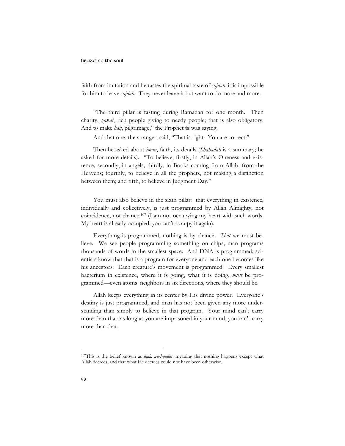faith from imitation and he tastes the spiritual taste of *sajdah*, it is impossible for him to leave *sajdah*. They never leave it but want to do more and more.

"The third pillar is fasting during Ramadan for one month. Then charity, *zakat*, rich people giving to needy people; that is also obligatory. And to make *hajj*, pilgrimage," the Prophet  $\frac{1}{20}$  was saying.

And that one, the stranger, said, "That is right. You are correct."

Then he asked about *iman*, faith, its details (*Shahadah* is a summary; he asked for more details). "To believe, firstly, in Allah's Oneness and existence; secondly, in angels; thirdly, in Books coming from Allah, from the Heavens; fourthly, to believe in all the prophets, not making a distinction between them; and fifth, to believe in Judgment Day."

You must also believe in the sixth pillar: that everything in existence, individually and collectively, is just programmed by Allah Almighty, not coincidence, not chance.107 (I am not occupying my heart with such words. My heart is already occupied; you can't occupy it again).

Everything is programmed, nothing is by chance. *That* we must believe. We see people programming something on chips; man programs thousands of words in the smallest space. And DNA is programmed; scientists know that that is a program for everyone and each one becomes like his ancestors. Each creature's movement is programmed. Every smallest bacterium in existence, where it is going, what it is doing, *must* be programmed—even atoms' neighbors in six directions, where they should be.

Allah keeps everything in its center by His divine power. Everyone's destiny is just programmed, and man has not been given any more understanding than simply to believe in that program. Your mind can't carry more than that; as long as you are imprisoned in your mind, you can't carry more than that.

<sup>107</sup>This is the belief known as *qada wa-l-qadar*, meaning that nothing happens except what Allah decrees, and that what He decrees could not have been otherwise.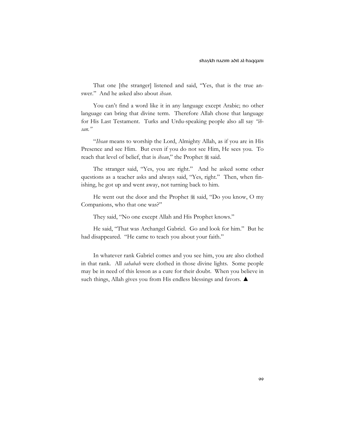That one [the stranger] listened and said, "Yes, that is the true answer." And he asked also about *ihsan*.

You can't find a word like it in any language except Arabic; no other language can bring that divine term. Therefore Allah chose that language for His Last Testament. Turks and Urdu-speaking people also all say *"ihsan."*

"*Ihsan* means to worship the Lord, Almighty Allah, as if you are in His Presence and see Him. But even if you do not see Him, He sees you. To reach that level of belief, that is *ihsan*," the Prophet  $\frac{46}{26}$  said.

The stranger said, "Yes, you are right." And he asked some other questions as a teacher asks and always said, "Yes, right." Then, when finishing, he got up and went away, not turning back to him.

He went out the door and the Prophet  $\frac{46}{25}$  said, "Do you know, O my Companions, who that one was?"

They said, "No one except Allah and His Prophet knows."

He said, "That was Archangel Gabriel. Go and look for him." But he had disappeared. "He came to teach you about your faith."

In whatever rank Gabriel comes and you see him, you are also clothed in that rank. All *sahabah* were clothed in those divine lights. Some people may be in need of this lesson as a cure for their doubt. When you believe in such things, Allah gives you from His endless blessings and favors. *▲*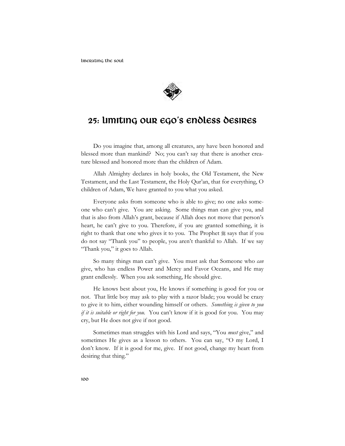

## 25: LIMITING OUR EGO'S ENDLESS DESIRES

Do you imagine that, among all creatures, any have been honored and blessed more than mankind? No; you can't say that there is another creature blessed and honored more than the children of Adam.

Allah Almighty declares in holy books, the Old Testament, the New Testament, and the Last Testament, the Holy Qur'an, that for everything, O children of Adam, We have granted to you what you asked.

Everyone asks from someone who is able to give; no one asks someone who can't give. You are asking. Some things man can give you, and that is also from Allah's grant, because if Allah does not move that person's heart, he can't give to you. Therefore, if you are granted something, it is right to thank that one who gives it to you. The Prophet  $\frac{1}{28}$  says that if you do not say "Thank you" to people, you aren't thankful to Allah. If we say "Thank you," it goes to Allah.

So many things man can't give. You must ask that Someone who *can* give, who has endless Power and Mercy and Favor Oceans, and He may grant endlessly. When you ask something, He should give.

He knows best about you, He knows if something is good for you or not. That little boy may ask to play with a razor blade; you would be crazy to give it to him, either wounding himself or others. *Something is given to you if it is suitable or right for you.* You can't know if it is good for you. You may cry, but He does not give if not good.

Sometimes man struggles with his Lord and says, "You *must* give," and sometimes He gives as a lesson to others. You can say, "O my Lord, I don't know. If it is good for me, give. If not good, change my heart from desiring that thing."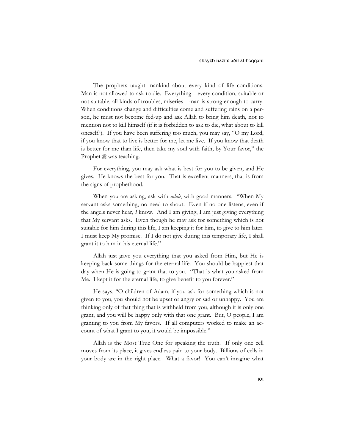The prophets taught mankind about every kind of life conditions. Man is not allowed to ask to die. Everything—every condition, suitable or not suitable, all kinds of troubles, miseries—man is strong enough to carry. When conditions change and difficulties come and suffering rains on a person, he must not become fed-up and ask Allah to bring him death, not to mention not to kill himself (if it is forbidden to ask to die, what about to kill oneself?). If you have been suffering too much, you may say, "O my Lord, if you know that to live is better for me, let me live. If you know that death is better for me than life, then take my soul with faith, by Your favor," the Prophet  $\frac{1}{20}$  was teaching.

For everything, you may ask what is best for you to be given, and He gives. He knows the best for you. That is excellent manners, that is from the signs of prophethood.

When you are asking, ask with *adab*, with good manners. "When My servant asks something, no need to shout. Even if no one listens, even if the angels never hear, *I* know. And I am giving, I am just giving everything that My servant asks. Even though he may ask for something which is not suitable for him during this life, I am keeping it for him, to give to him later. I must keep My promise. If I do not give during this temporary life, I shall grant it to him in his eternal life."

Allah just gave you everything that you asked from Him, but He is keeping back some things for the eternal life. You should be happiest that day when He is going to grant that to you. "That is what you asked from Me. I kept it for the eternal life, to give benefit to you forever."

He says, "O children of Adam, if you ask for something which is not given to you, you should not be upset or angry or sad or unhappy. You are thinking only of that thing that is withheld from you, although it is only one grant, and you will be happy only with that one grant. But, O people, I am granting to you from My favors. If all computers worked to make an account of what I grant to you, it would be impossible!"

Allah is the Most True One for speaking the truth. If only one cell moves from its place, it gives endless pain to your body. Billions of cells in your body are in the right place. What a favor! You can't imagine what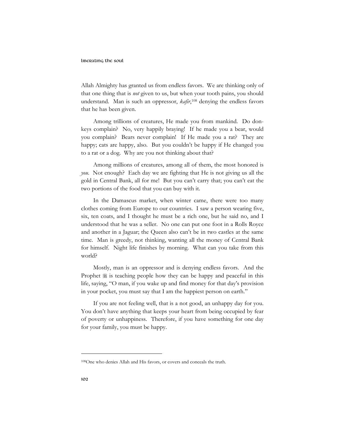Allah Almighty has granted us from endless favors. We are thinking only of that one thing that is *not* given to us, but when your tooth pains, you should understand. Man is such an oppressor, *kafir*, 108 denying the endless favors that he has been given.

Among trillions of creatures, He made you from mankind. Do donkeys complain? No, very happily braying! If he made you a bear, would you complain? Bears never complain! If He made you a rat? They are happy; cats are happy, also. But you couldn't be happy if He changed you to a rat or a dog. Why are you not thinking about that?

Among millions of creatures, among all of them, the most honored is *you*. Not enough? Each day we are fighting that He is not giving us all the gold in Central Bank, all for me! But you can't carry that; you can't eat the two portions of the food that you can buy with it.

In the Damascus market, when winter came, there were too many clothes coming from Europe to our countries. I saw a person wearing five, six, ten coats, and I thought he must be a rich one, but he said no, and I understood that he was a seller. No one can put one foot in a Rolls Royce and another in a Jaguar; the Queen also can't be in two castles at the same time. Man is greedy, not thinking, wanting all the money of Central Bank for himself. Night life finishes by morning. What can you take from this world?

Mostly, man is an oppressor and is denying endless favors. And the Prophet  $\frac{1}{20}$  is teaching people how they can be happy and peaceful in this life, saying, "O man, if you wake up and find money for that day's provision in your pocket, you must say that I am the happiest person on earth."

If you are not feeling well, that is a not good, an unhappy day for you. You don't have anything that keeps your heart from being occupied by fear of poverty or unhappiness. Therefore, if you have something for one day for your family, you must be happy.

<sup>108</sup>One who denies Allah and His favors, or covers and conceals the truth.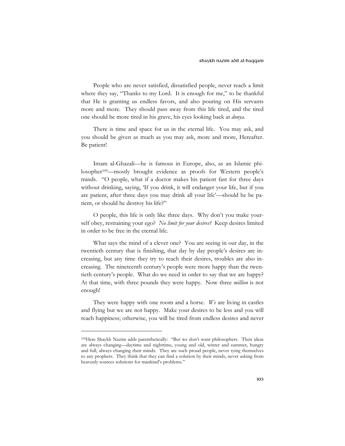People who are never satisfied, dissatisfied people, never reach a limit where they say, "Thanks to my Lord. It is enough for me," to be thankful that He is granting us endless favors, and also pouring on His servants more and more. They should pass away from this life tired, and the tired one should be more tired in his grave, his eyes looking back at *dunya*.

There is time and space for us in the eternal life. You may ask, and you should be given as much as you may ask, more and more, Hereafter. Be patient!

Imam al-Ghazali—he is famous in Europe, also, as an Islamic philosopher109—mostly brought evidence as proofs for Western people's minds. "O people, what if a doctor makes his patient fast for three days without drinking, saying, 'If you drink, it will endanger your life, but if you are patient, after three days you may drink all your life'—should he be patient, or should he destroy his life?"

O people, this life is only like three days. Why don't you make yourself obey, restraining your ego? *No limit for your desires?* Keep desires limited in order to be free in the eternal life.

What says the mind of a clever one? You are seeing in our day, in the twentieth century that is finishing, that day by day people's desires are increasing, but any time they try to reach their desires, troubles are also increasing. The nineteenth century's people were more happy than the twentieth century's people. What do we need in order to say that we are happy? At that time, with three pounds they were happy. Now three *million* is not enough!

They were happy with one room and a horse. *We* are living in castles and flying but we are not happy. Make your desires to be less and you will reach happiness; otherwise, you will be tired from endless desires and never

<sup>109</sup>Here Shaykh Nazim adds parenthetically: "But we don't want philosophers. Their ideas are always changing—daytime and nighttime, young and old, winter and summer, hungry and full, always changing their minds. They are such proud people, never tying themselves to any prophets. They think that they can find a solution by their minds, never asking from heavenly sources solutions for mankind's problems."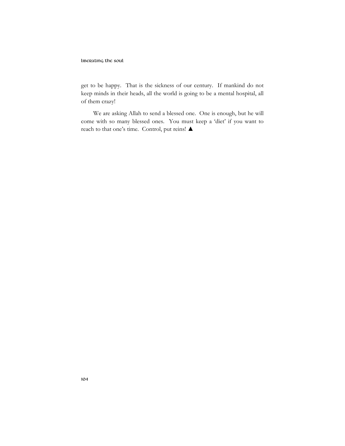get to be happy. That is the sickness of our century. If mankind do not keep minds in their heads, all the world is going to be a mental hospital, all of them crazy!

We are asking Allah to send a blessed one. One is enough, but he will come with so many blessed ones. You must keep a 'diet' if you want to reach to that one's time. Control, put reins! *▲*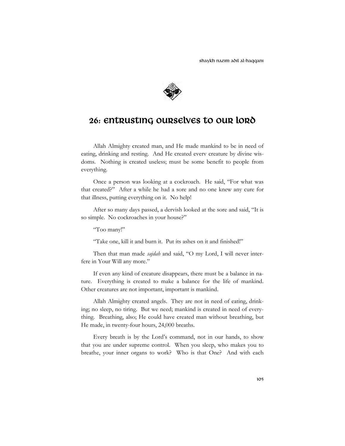

## 26: ENTRUSTING OURSELVES TO OUR LORD

Allah Almighty created man, and He made mankind to be in need of eating, drinking and resting. And He created everv creature by divine wisdoms. Nothing is created useless; must be some benefit to people from everything.

Once a person was looking at a cockroach. He said, "For what was that created?" After a while he had a sore and no one knew any cure for that illness, putting everything on it. No help!

After so many days passed, a dervish looked at the sore and said, "It is so simple. No cockroaches in your house?"

"Too many!"

"Take one, kill it and burn it. Put its ashes on it and finished!"

Then that man made *sajdah* and said, "O my Lord, I will never interfere in Your Will any more."

If even any kind of creature disappears, there must be a balance in nature. Everything is created to make a balance for the life of mankind. Other creatures are not important, important is mankind.

Allah Almighty created angels. They are not in need of eating, drinking; no sleep, no tiring. But we need; mankind is created in need of everything. Breathing, also; He could have created man without breathing, but He made, in twenty-four hours, 24,000 breaths.

Every breath is by the Lord's command, not in our hands, to show that you are under supreme control. When you sleep, who makes you to breathe, your inner organs to work? Who is that One? And with each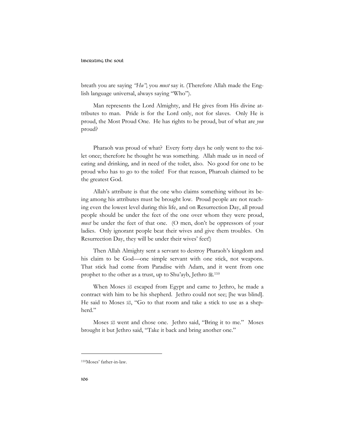breath you are saying *"Hu"*; you *must* say it. (Therefore Allah made the English language universal, always saying "Who").

Man represents the Lord Almighty, and He gives from His divine attributes to man. Pride is for the Lord only, not for slaves. Only He is proud, the Most Proud One. He has rights to be proud, but of what are *you*  proud?

Pharaoh was proud of what? Every forty days he only went to the toilet once; therefore he thought he was something. Allah made us in need of eating and drinking, and in need of the toilet, also. No good for one to be proud who has to go to the toilet! For that reason, Pharoah claimed to be the greatest God.

Allah's attribute is that the one who claims something without its being among his attributes must be brought low. Proud people are not reaching even the lowest level during this life, and on Resurrection Day, all proud people should be under the feet of the one over whom they were proud, *must* be under the feet of that one. (O men, don't be oppressors of your ladies. Only ignorant people beat their wives and give them troubles. On Resurrection Day, they will be under their wives' feet!)

Then Allah Almighty sent a servant to destroy Pharaoh's kingdom and his claim to be God—one simple servant with one stick, not weapons. That stick had come from Paradise with Adam, and it went from one prophet to the other as a trust, up to Shu'ayb, Jethro  $\frac{46}{36}$ .<sup>110</sup>

When Moses  $\frac{1}{60}$  escaped from Egypt and came to Jethro, he made a contract with him to be his shepherd. Jethro could not see; [he was blind]. He said to Moses  $\frac{1}{\sqrt{2}}$ , "Go to that room and take a stick to use as a shepherd."

Moses  $\#$  went and chose one. Jethro said, "Bring it to me." Moses brought it but Jethro said, "Take it back and bring another one."

<sup>110</sup>Moses' father-in-law.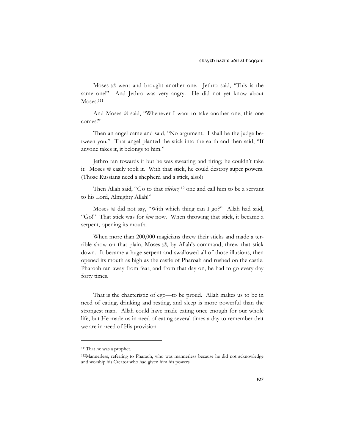Moses  $\frac{1}{60}$  went and brought another one. Jethro said, "This is the same one!" And Jethro was very angry. He did not yet know about Moses.<sup>111</sup>

And Moses  $*$  said, "Whenever I want to take another one, this one comes!"

Then an angel came and said, "No argument. I shall be the judge between you." That angel planted the stick into the earth and then said, "If anyone takes it, it belongs to him."

Jethro ran towards it but he was sweating and tiring; he couldn't take it. Moses  $\sharp$  easily took it. With that stick, he could destroy super powers. (Those Russians need a shepherd and a stick, also!)

Then Allah said, "Go to that *edebsiz*<sup>112</sup> one and call him to be a servant to his Lord, Almighty Allah!"

Moses  $\frac{1}{60}$  did not say, "With which thing can I go?" Allah had said, "Go!" That stick was for *him* now. When throwing that stick, it became a serpent, opening its mouth.

When more than 200,000 magicians threw their sticks and made a terrible show on that plain, Moses is, by Allah's command, threw that stick down. It became a huge serpent and swallowed all of those illusions, then opened its mouth as high as the castle of Pharoah and rushed on the castle. Pharoah ran away from fear, and from that day on, he had to go every day forty times.

That is the chacteristic of ego—to be proud. Allah makes us to be in need of eating, drinking and resting, and sleep is more powerful than the strongest man. Allah could have made eating once enough for our whole life, but He made us in need of eating several times a day to remember that we are in need of His provision.

<sup>111</sup>That he was a prophet.

<sup>112</sup>Mannerless, referring to Pharaoh, who was mannerless because he did not acknowledge and worship his Creator who had given him his powers.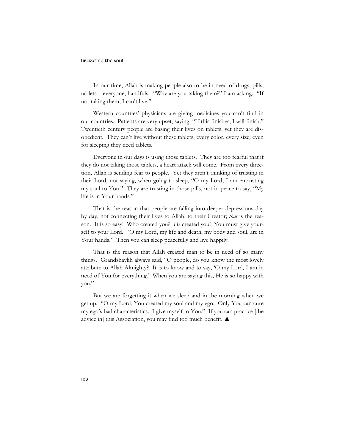In our time, Allah is making people also to be in need of drugs, pills, tablets—everyone; handfuls. "Why are you taking them?" I am asking. "If not taking them, I can't live."

Western countries' physicians are giving medicines you can't find in our countries. Patients are very upset, saying, "If this finishes, I will finish." Twentieth century people are basing their lives on tablets, yet they are disobedient. They can't live without these tablets, every color, every size; even for sleeping they need tablets.

Everyone in our days is using those tablets. They are too fearful that if they do not taking those tablets, a heart attack will come. From every direction, Allah is sending fear to people. Yet they aren't thinking of trusting in their Lord, not saying, when going to sleep, "O my Lord, I am entrusting my soul to You." They are trusting in those pills, not in peace to say, "My life is in Your hands."

That is the reason that people are falling into deeper depressions day by day, not connecting their lives to Allah, to their Creator; *that* is the reason. It is so easy! Who created you? *He* created you! You must give yourself to your Lord. "O my Lord, my life and death, my body and soul, are in Your hands." Then you can sleep peacefully and live happily.

That is the reason that Allah created man to be in need of so many things. Grandshaykh always said, "O people, do you know the most lovely attribute to Allah Almighty? It is to know and to say, 'O my Lord, I am in need of You for everything.' When you are saying this, He is so happy with you."

But we are forgetting it when we sleep and in the morning when we get up. "O my Lord, You created my soul and my ego. Only You can cure my ego's bad characteristics. I give myself to You." If you can practice [the advice in] this Association, you may find too much benefit. *▲*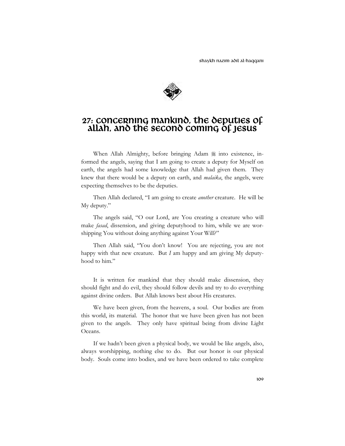

### 27: CONCERNING MANKINO, the deputies of allah, and the second coming of jesus

When Allah Almighty, before bringing Adam  $\frac{1}{20}$  into existence, informed the angels, saying that I am going to create a deputy for Myself on earth, the angels had some knowledge that Allah had given them. They knew that there would be a deputy on earth, and *malaika*, the angels, were expecting themselves to be the deputies.

Then Allah declared, "I am going to create *another* creature. He will be My deputy."

The angels said, "O our Lord, are You creating a creature who will make *fasad*, dissension, and giving deputyhood to him, while we are worshipping You without doing anything against Your Will?"

Then Allah said, "You don't know! You are rejecting, you are not happy with that new creature. But *I* am happy and am giving My deputyhood to him."

It is written for mankind that they should make dissension, they should fight and do evil, they should follow devils and try to do everything against divine orders. But Allah knows best about His creatures.

We have been given, from the heavens, a soul. Our bodies are from this world, its material. The honor that we have been given has not been given to the angels. They only have spiritual being from divine Light Oceans.

If we hadn't been given a physical body, we would be like angels, also, always worshipping, nothing else to do. But our honor is our physical body. Souls come into bodies, and we have been ordered to take complete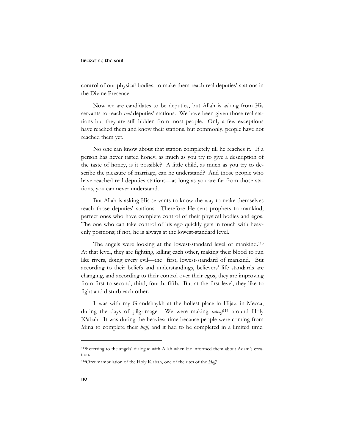control of our physical bodies, to make them reach real deputies' stations in the Divine Presence.

Now we are candidates to be deputies, but Allah is asking from His servants to reach *real* deputies' stations. We have been given those real stations but they are still hidden from most people. Only a few exceptions have reached them and know their stations, but commonly, people have not reached them yet.

No one can know about that station completely till he reaches it. If a person has never tasted honey, as much as you try to give a description of the taste of honey, is it possible? A little child, as much as you try to describe the pleasure of marriage, can he understand? And those people who have reached real deputies stations—as long as you are far from those stations, you can never understand.

But Allah is asking His servants to know the way to make themselves reach those deputies' stations. Therefore He sent prophets to mankind, perfect ones who have complete control of their physical bodies and egos. The one who can take control of his ego quickly gets in touch with heavenly positions; if not, he is always at the lowest-standard level.

The angels were looking at the lowest-standard level of mankind.<sup>113</sup> At that level, they are fighting, killing each other, making their blood to run like rivers, doing every evil—the first, lowest-standard of mankind. But according to their beliefs and understandings, believers' life standards are changing, and according to their control over their egos, they are improving from first to second, third, fourth, fifth. But at the first level, they like to fight and disturb each other.

I was with my Grandshaykh at the holiest place in Hijaz, in Mecca, during the days of pilgrimage. We were making *tawaf*114 around Holy K'abah. It was during the heaviest time because people were coming from Mina to complete their *hajj*, and it had to be completed in a limited time.

<sup>113</sup>Referring to the angels' dialogue with Allah when He informed them about Adam's creation.

<sup>114</sup>Circumambulation of the Holy K'abah, one of the rites of the *Hajj*.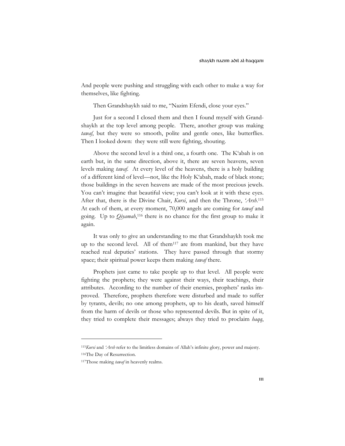And people were pushing and struggling with each other to make a way for themselves, like fighting.

Then Grandshaykh said to me, "Nazim Efendi, close your eyes."

Just for a second I closed them and then I found myself with Grandshaykh at the top level among people. There, another group was making tawaf, but they were so smooth, polite and gentle ones, like butterflies. Then I looked down: they were still were fighting, shouting.

Above the second level is a third one, a fourth one. The K'abah is on earth but, in the same direction, above it, there are seven heavens, seven levels making *tawaf*. At every level of the heavens, there is a holy building of a different kind of level—not, like the Holy K'abah, made of black stone; those buildings in the seven heavens are made of the most precious jewels. You can't imagine that beautiful view; you can't look at it with these eyes. After that, there is the Divine Chair, *Kursi*, and then the Throne, *'Arsh*. 115 At each of them, at every moment, 70,000 angels are coming for *tawaf* and going. Up to *Qiyamah*,<sup>116</sup> there is no chance for the first group to make it again.

It was only to give an understanding to me that Grandshaykh took me up to the second level. All of them<sup>117</sup> are from mankind, but they have reached real deputies' stations. They have passed through that stormy space; their spiritual power keeps them making *tawaf* there.

Prophets just came to take people up to that level. All people were fighting the prophets; they were against their ways, their teachings, their attributes. According to the number of their enemies, prophets' ranks improved. Therefore, prophets therefore were disturbed and made to suffer by tyrants, devils; no one among prophets, up to his death, saved himself from the harm of devils or those who represented devils. But in spite of it, they tried to complete their messages; always they tried to proclaim *haqq*,

<sup>115</sup>*Kursi* and *'Arsh* refer to the limitless domains of Allah's infinite glory, power and majesty. 116The Day of Resurrection.

<sup>117</sup>Those making *tawaf* in heavenly realms.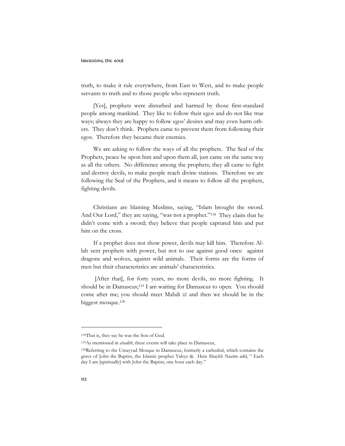truth, to make it rule everywhere, from East to West, and to make people servants to truth and to those people who represent truth.

[Yes], prophets were disturbed and harmed by those first-standard people among mankind. They like to follow their egos and do not like true ways; always they are happy to follow egos' desires and may even harm others. They don't think. Prophets came to prevent them from following their egos. Therefore they became their enemies.

We are asking to follow the ways of all the prophets. The Seal of the Prophets, peace be upon him and upon them all, just came on the same way as all the others. No difference among the prophets; they all came to fight and destroy devils, to make people reach divine stations. Therefore we are following the Seal of the Prophets, and it means to follow all the prophets, fighting devils.

Christians are blaming Muslims, saying, "Islam brought the sword. And Our Lord," they are saying, "was not a prophet."118 They claim that he didn't come with a sword; they believe that people captured him and put him on the cross.

If a prophet does not show power, devils may kill him. Therefore Allah sent prophets with power, but not to use against good ones: against dragons and wolves, against wild animals. Their forms are the forms of men but their characteristics are animals' characteristics.

 [After that], for forty years, no more devils, no more fighting. It should be in Damascus;<sup>119</sup> I am waiting for Damascus to open. You should come after me; you should meet Mahdi  $\frac{1}{60}$  and then we should be in the biggest mosque.120

<sup>118</sup>That is, they say he was the Son of God.

<sup>119</sup>As mentioned in *ahadith,* these events will take place in Damascus,

<sup>120</sup>Referring to the Umayyad Mosque in Damascus, formerly a cathedral, which contains the grave of John the Baptist, the Islamic prophet Yahya . Here Shaykh Nazim add, " Each day I am [spiritually] with John the Baptist, one hour each day."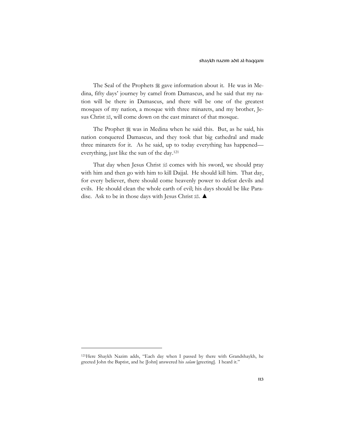The Seal of the Prophets  $\frac{46}{36}$  gave information about it. He was in Medina, fifty days' journey by camel from Damascus, and he said that my nation will be there in Damascus, and there will be one of the greatest mosques of my nation, a mosque with three minarets, and my brother, Jesus Christ  $\sharp$ , will come down on the east minaret of that mosque.

The Prophet  $\frac{46}{36}$  was in Medina when he said this. But, as he said, his nation conquered Damascus, and they took that big cathedral and made three minarets for it. As he said, up to today everything has happened everything, just like the sun of the day.121

That day when Jesus Christ  $\frac{1}{60}$  comes with his sword, we should pray with him and then go with him to kill Dajjal. He should kill him. That day, for every believer, there should come heavenly power to defeat devils and evils. He should clean the whole earth of evil; his days should be like Paradise. Ask to be in those days with Jesus Christ ¡. *▲*

<sup>121</sup>Here Shaykh Nazim adds, "Each day when I passed by there with Grandshaykh, he greeted John the Baptist, and he [John] answered his *salam* [greeting]. I heard it."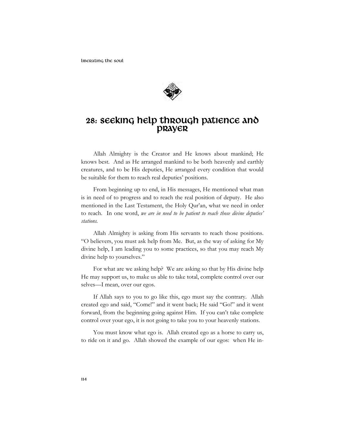

### 28: seeking help through patience and PRAYER

Allah Almighty is the Creator and He knows about mankind; He knows best. And as He arranged mankind to be both heavenly and earthly creatures, and to be His deputies, He arranged every condition that would be suitable for them to reach real deputies' positions.

From beginning up to end, in His messages, He mentioned what man is in need of to progress and to reach the real position of deputy. He also mentioned in the Last Testament, the Holy Qur'an, what we need in order to reach. In one word, *we are in need to be patient to reach those divine deputies' stations.*

Allah Almighty is asking from His servants to reach those positions. "O believers, you must ask help from Me. But, as the way of asking for My divine help, I am leading you to some practices, so that you may reach My divine help to yourselves."

For what are we asking help? We are asking so that by His divine help He may support us, to make us able to take total, complete control over our selves—I mean, over our egos.

If Allah says to you to go like this, ego must say the contrary. Allah created ego and said, "Come!" and it went back; He said "Go!" and it went forward, from the beginning going against Him. If you can't take complete control over your ego, it is not going to take you to your heavenly stations.

You must know what ego is. Allah created ego as a horse to carry us, to ride on it and go. Allah showed the example of our egos: when He in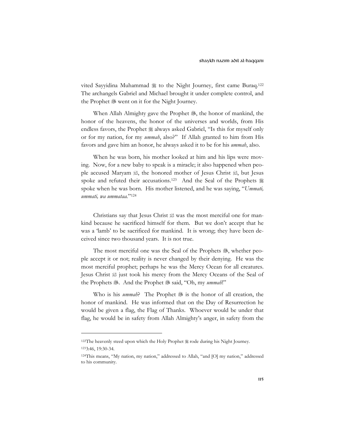vited Sayyidina Muhammad  $\frac{1}{22}$  to the Night Journey, first came Buraq.<sup>122</sup> The archangels Gabriel and Michael brought it under complete control, and the Prophet  $\mathcal{L}$  went on it for the Night Journey.

When Allah Almighty gave the Prophet  $\mathcal{L}$ , the honor of mankind, the honor of the heavens, the honor of the universes and worlds, from His endless favors, the Prophet  $*$  always asked Gabriel, "Is this for myself only or for my nation, for my *ummah*, also?" If Allah granted to him from His favors and gave him an honor, he always asked it to be for his *ummah*, also.

When he was born, his mother looked at him and his lips were moving. Now, for a new baby to speak is a miracle; it also happened when people accused Maryam  $\frac{1}{20}$ , the honored mother of Jesus Christ  $\frac{1}{20}$ , but Jesus spoke and refuted their accusations.<sup>123</sup> And the Seal of the Prophets 紫 spoke when he was born. His mother listened, and he was saying, "*Ummati, ummati, wa ummataa.*"124

Christians say that Jesus Christ  $\frac{1}{60}$  was the most merciful one for mankind because he sacrificed himself for them. But we don't accept that he was a 'lamb' to be sacrificed for mankind. It is wrong; they have been deceived since two thousand years. It is not true.

The most merciful one was the Seal of the Prophets . whether people accept it or not; reality is never changed by their denying. He was the most merciful prophet; perhaps he was the Mercy Ocean for all creatures. Jesus Christ  $\frac{1}{60}$  just took his mercy from the Mercy Oceans of the Seal of the Prophets <sup>38</sup>. And the Prophet <sup>38</sup> said, "Oh, my *ummah*!"

Who is his *ummah*? The Prophet is the honor of all creation, the honor of mankind. He was informed that on the Day of Resurrection he would be given a flag, the Flag of Thanks. Whoever would be under that flag, he would be in safety from Allah Almighty's anger, in safety from the

<sup>122</sup>The heavenly steed upon which the Holy Prophet  $\frac{46}{25}$  rode during his Night Journey. 1233:46, 19:30-34.

<sup>124</sup>This means, "My nation, my nation," addressed to Allah, "and [O] my nation," addressed to his community.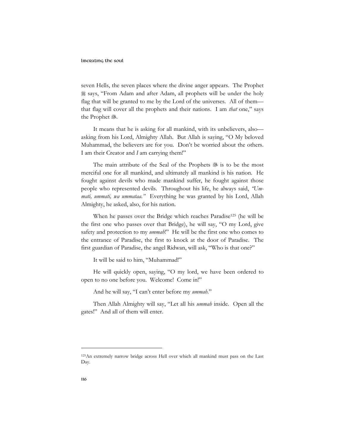seven Hells, the seven places where the divine anger appears. The Prophet says, "From Adam and after Adam, all prophets will be under the holy flag that will be granted to me by the Lord of the universes. All of them that flag will cover all the prophets and their nations. I am *that* one," says the Prophet ...

It means that he is asking for all mankind, with its unbelievers, also asking from his Lord, Almighty Allah. But Allah is saying, "O My beloved Muhammad, the believers are for you. Don't be worried about the others. I am their Creator and *I* am carrying them!"

The main attribute of the Seal of the Prophets is to be the most merciful one for all mankind, and ultimately all mankind is his nation. He fought against devils who made mankind suffer, he fought against those people who represented devils. Throughout his life, he always said, *"Ummati, ummati, wa ummataa."* Everything he was granted by his Lord, Allah Almighty, he asked, also, for his nation.

When he passes over the Bridge which reaches Paradise<sup>125</sup> (he will be the first one who passes over that Bridge), he will say, "O my Lord, give safety and protection to my *ummah*!" He will be the first one who comes to the entrance of Paradise, the first to knock at the door of Paradise. The first guardian of Paradise, the angel Ridwan, will ask, "Who is that one?"

It will be said to him, "Muhammad!"

He will quickly open, saying, "O my lord, we have been ordered to open to no one before you. Welcome! Come in!"

And he will say, "I can't enter before my *ummah*."

Then Allah Almighty will say, "Let all his *ummah* inside. Open all the gates!" And all of them will enter.

<sup>125</sup>An extremely narrow bridge across Hell over which all mankind must pass on the Last Day.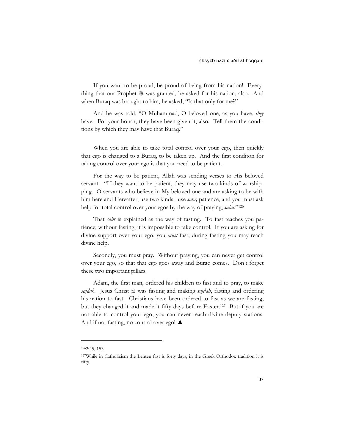If you want to be proud, be proud of being from his nation! Everything that our Prophet  $\frac{4}{360}$  was granted, he asked for his nation, also. And when Buraq was brought to him, he asked, "Is that only for me?"

And he was told, "O Muhammad, O beloved one, as you have, *they*  have. For your honor, they have been given it, also. Tell them the conditions by which they may have that Buraq."

When you are able to take total control over your ego, then quickly that ego is changed to a Buraq, to be taken up. And the first conditon for taking control over your ego is that you need to be patient.

For the way to be patient, Allah was sending verses to His beloved servant: "If they want to be patient, they may use two kinds of worshipping. O servants who believe in My beloved one and are asking to be with him here and Hereafter, use two kinds: use *sabr,* patience, and you must ask help for total control over your egos by the way of praying, *salat*."126

That *sabr* is explained as the way of fasting. To fast teaches you patience; without fasting, it is impossible to take control. If you are asking for divine support over your ego, you *must* fast; during fasting you may reach divine help.

Secondly, you must pray. Without praying, you can never get control over your ego, so that that ego goes away and Buraq comes. Don't forget these two important pillars.

Adam, the first man, ordered his children to fast and to pray, to make *sajdah*. Jesus Christ  $\frac{1}{60}$  was fasting and making *sajdah*, fasting and ordering his nation to fast. Christians have been ordered to fast as we are fasting, but they changed it and made it fifty days before Easter.127 But if you are not able to control your ego, you can never reach divine deputy stations. And if not fasting, no control over ego! *▲*

<sup>1262:45, 153.</sup> 

<sup>127</sup>While in Catholicism the Lenten fast is forty days, in the Greek Orthodox tradition it is fifty.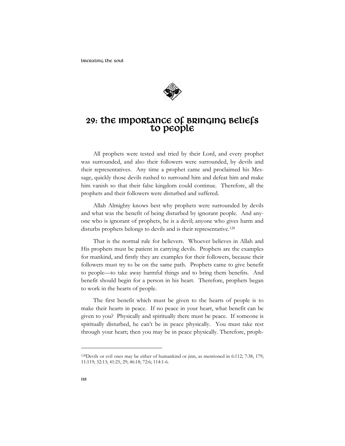

# 29: the importance of Bringing Beliefs<br>to people

All prophets were tested and tried by their Lord, and every prophet was surrounded, and also their followers were surrounded, by devils and their representatives. Any time a prophet came and proclaimed his Message, quickly those devils rushed to surround him and defeat him and make him vanish so that their false kingdom could continue. Therefore, all the prophets and their followers were disturbed and suffered.

Allah Almighty knows best why prophets were surrounded by devils and what was the benefit of being disturbed by ignorant people. And anyone who is ignorant of prophets, he is a devil; anyone who gives harm and disturbs prophets belongs to devils and is their representative.128

That is the normal rule for believers. Whoever believes in Allah and His prophets must be patient in carrying devils. Prophets are the examples for mankind, and firstly they are examples for their followers, because their followers must try to be on the same path. Prophets came to give benefit to people—to take away harmful things and to bring them benefits. And benefit should begin for a person in his heart. Therefore, prophets began to work in the hearts of people.

The first benefit which must be given to the hearts of people is to make their hearts in peace. If no peace in your heart, what benefit can be given to you? Physically and spiritually there must be peace. If someone is spiritually disturbed, he can't be in peace physically. You must take rest through your heart; then you may be in peace physically. Therefore, proph-

<sup>128</sup>Devils or evil ones may be either of humankind or jinn, as mentioned in 6:112; 7:38, 179; 11:119; 32:13; 41:25, 29; 46:18; 72:6; 114:1-6.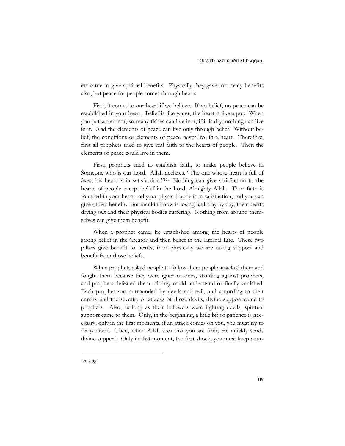ets came to give spiritual benefits. Physically they gave too many benefits also, but peace for people comes through hearts.

First, it comes to our heart if we believe. If no belief, no peace can be established in your heart. Belief is like water, the heart is like a pot. When you put water in it, so many fishes can live in it; if it is dry, nothing can live in it. And the elements of peace can live only through belief. Without belief, the conditions or elements of peace never live in a heart. Therefore, first all prophets tried to give real faith to the hearts of people. Then the elements of peace could live in them.

First, prophets tried to establish faith, to make people believe in Someone who is our Lord. Allah declares, "The one whose heart is full of *iman*, his heart is in satisfaction."<sup>129</sup> Nothing can give satisfaction to the hearts of people except belief in the Lord, Almighty Allah. Then faith is founded in your heart and your physical body is in satisfaction, and you can give others benefit. But mankind now is losing faith day by day, their hearts drying out and their physical bodies suffering. Nothing from around themselves can give them benefit.

When a prophet came, he established among the hearts of people strong belief in the Creator and then belief in the Eternal Life. These two pillars give benefit to hearts; then physically we are taking support and benefit from those beliefs.

When prophets asked people to follow them people attacked them and fought them because they were ignorant ones, standing against prophets, and prophets defeated them till they could understand or finally vanished. Each prophet was surrounded by devils and evil, and according to their enmity and the severity of attacks of those devils, divine support came to prophets. Also, as long as their followers were fighting devils, spiritual support came to them. Only, in the beginning, a little bit of patience is necessary; only in the first moments, if an attack comes on you, you must try to fix yourself. Then, when Allah sees that you are firm, He quickly sends divine support. Only in that moment, the first shock, you must keep your-

<sup>12913:28.</sup>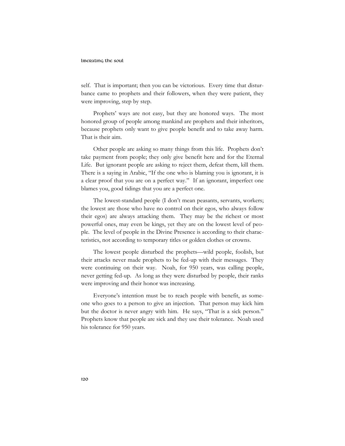self. That is important; then you can be victorious. Every time that disturbance came to prophets and their followers, when they were patient, they were improving, step by step.

Prophets' ways are not easy, but they are honored ways. The most honored group of people among mankind are prophets and their inheritors, because prophets only want to give people benefit and to take away harm. That is their aim.

Other people are asking so many things from this life. Prophets don't take payment from people; they only give benefit here and for the Eternal Life. But ignorant people are asking to reject them, defeat them, kill them. There is a saying in Arabic, "If the one who is blaming you is ignorant, it is a clear proof that you are on a perfect way." If an ignorant, imperfect one blames you, good tidings that you are a perfect one.

The lowest-standard people (I don't mean peasants, servants, workers; the lowest are those who have no control on their egos, who always follow their egos) are always attacking them. They may be the richest or most powerful ones, may even be kings, yet they are on the lowest level of people. The level of people in the Divine Presence is according to their characteristics, not according to temporary titles or golden clothes or crowns.

The lowest people disturbed the prophets—wild people, foolish, but their attacks never made prophets to be fed-up with their messages. They were continuing on their way. Noah, for 950 years, was calling people, never getting fed-up. As long as they were disturbed by people, their ranks were improving and their honor was increasing.

Everyone's intention must be to reach people with benefit, as someone who goes to a person to give an injection. That person may kick him but the doctor is never angry with him. He says, "That is a sick person." Prophets know that people are sick and they use their tolerance. Noah used his tolerance for 950 years.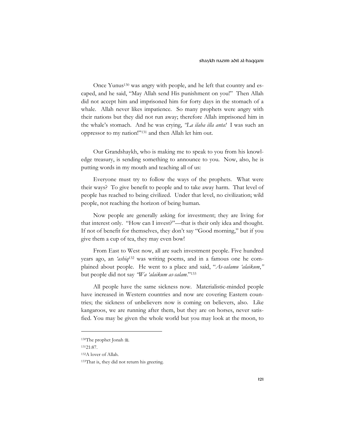Once Yunus130 was angry with people, and he left that country and escaped, and he said, "May Allah send His punishment on you!" Then Allah did not accept him and imprisoned him for forty days in the stomach of a whale. Allah never likes impatience. So many prophets were angry with their nations but they did not run away; therefore Allah imprisoned him in the whale's stomach. And he was crying, *"La ilaha illa anta!* I was such an oppressor to my nation!"131 and then Allah let him out.

Our Grandshaykh, who is making me to speak to you from his knowledge treasury, is sending something to announce to you. Now, also, he is putting words in my mouth and teaching all of us:

Everyone must try to follow the ways of the prophets. What were their ways? To give benefit to people and to take away harm. That level of people has reached to being civilized. Under that level, no civilization; wild people, not reaching the horizon of being human.

Now people are generally asking for investment; they are living for that interest only. "How can I invest?"—that is their only idea and thought. If not of benefit for themselves, they don't say "Good morning," but if you give them a cup of tea, they may even bow!

From East to West now, all are such investment people. Five hundred years ago, an *'ashiq*132 was writing poems, and in a famous one he complained about people. He went to a place and said, "*As-salamu 'alaikum*,*"* but people did not say *"Wa 'alaikum as-salam*."133

All people have the same sickness now. Materialistic-minded people have increased in Western countries and now are covering Eastern countries; the sickness of unbelievers now is coming on believers, also. Like kangaroos, we are running after them, but they are on horses, never satisfied. You may be given the whole world but you may look at the moon, to

<sup>&</sup>lt;sup>130</sup>The prophet Jonah .

<sup>13121:87.</sup> 

<sup>132</sup>A lover of Allah.

<sup>133</sup>That is, they did not return his greeting.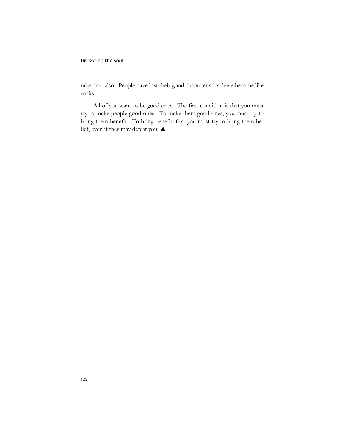take that. also. People have lost their good characteristics, have become like rocks.

All of you want to be good ones. The first condition is that you must try to make people good ones. To make them good ones, you must try to bring them benefit. To bring benefit, first you must try to bring them belief, even if they may defeat you. *▲*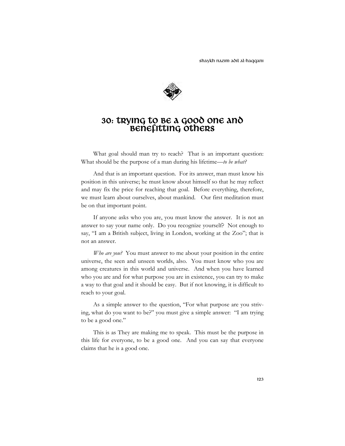shaykh nazim adil al-haqqani



# 30: TRYING TO BE A GOOD ONE AND BENEFITTING OTHERS

What goal should man try to reach? That is an important question: What should be the purpose of a man during his lifetime—*to be what?*

And that is an important question. For its answer, man must know his position in this universe; he must know about himself so that he may reflect and may fix the price for reaching that goal. Before everything, therefore, we must learn about ourselves, about mankind. Our first meditation must be on that important point.

If anyone asks who you are, you must know the answer. It is not an answer to say your name only. Do you recognize yourself? Not enough to say, "I am a British subject, living in London, working at the Zoo"; that is not an answer.

*Who are you?* You must answer to me about your position in the entire universe, the seen and unseen worlds, also. You must know who you are among creatures in this world and universe. And when you have learned who you are and for what purpose you are in existence, you can try to make a way to that goal and it should be easy. But if not knowing, it is difficult to reach to your goal.

As a simple answer to the question, "For what purpose are you striving, what do you want to be?" you must give a simple answer: "I am trying to be a good one."

This is as They are making me to speak. This must be the purpose in this life for everyone, to be a good one. And you can say that everyone claims that he is a good one.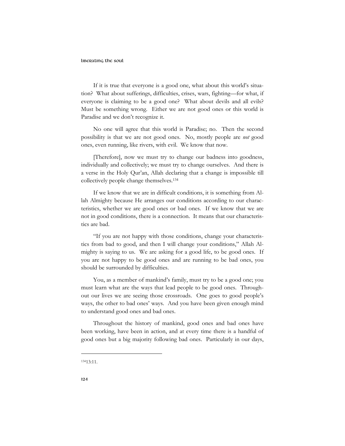If it is true that everyone is a good one, what about this world's situation? What about sufferings, difficulties, crises, wars, fighting—for what, if everyone is claiming to be a good one? What about devils and all evils? Must be something wrong. Either we are not good ones or this world is Paradise and we don't recognize it.

No one will agree that this world is Paradise; no. Then the second possibility is that we are not good ones. No, mostly people are *not* good ones, even running, like rivers, with evil. We know that now.

[Therefore], now we must try to change our badness into goodness, individually and collectively; we must try to change ourselves. And there is a verse in the Holy Qur'an, Allah declaring that a change is impossible till collectively people change themselves.134

If we know that we are in difficult conditions, it is something from Allah Almighty because He arranges our conditions according to our characteristics, whether we are good ones or bad ones. If we know that we are not in good conditions, there is a connection. It means that our characteristics are bad.

"If you are not happy with those conditions, change your characteristics from bad to good, and then I will change your conditions," Allah Almighty is saying to us. We are asking for a good life, to be good ones. If you are not happy to be good ones and are running to be bad ones, you should be surrounded by difficulties.

You, as a member of mankind's family, must try to be a good one; you must learn what are the ways that lead people to be good ones. Throughout our lives we are seeing those crossroads. One goes to good people's ways, the other to bad ones' ways. And you have been given enough mind to understand good ones and bad ones.

Throughout the history of mankind, good ones and bad ones have been working, have been in action, and at every time there is a handful of good ones but a big majority following bad ones. Particularly in our days,

<sup>13413:11.</sup>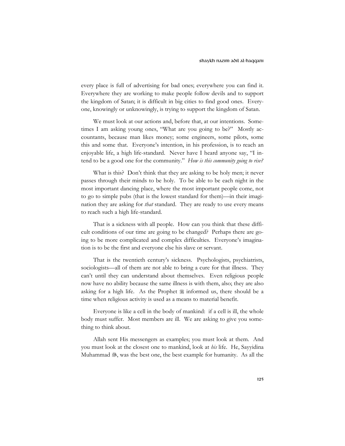every place is full of advertising for bad ones; everywhere you can find it. Everywhere they are working to make people follow devils and to support the kingdom of Satan; it is difficult in big cities to find good ones. Everyone, knowingly or unknowingly, is trying to support the kingdom of Satan.

We must look at our actions and, before that, at our intentions. Sometimes I am asking young ones, "What are you going to be?" Mostly accountants, because man likes money; some engineers, some pilots, some this and some that. Everyone's intention, in his profession, is to reach an enjoyable life, a high life-standard. Never have I heard anyone say, "I intend to be a good one for the community." *How is this community going to rise?*

What is this? Don't think that they are asking to be holy men; it never passes through their minds to be holy. To be able to be each night in the most important dancing place, where the most important people come, not to go to simple pubs (that is the lowest standard for them)—in their imagination they are asking for *that* standard. They are ready to use every means to reach such a high life-standard.

That is a sickness with all people. How can you think that these difficult conditions of our time are going to be changed? Perhaps there are going to be more complicated and complex difficulties. Everyone's imagination is to be the first and everyone else his slave or servant.

That is the twentieth century's sickness. Psychologists, psychiatrists, sociologists—all of them are not able to bring a cure for that illness. They can't until they can understand about themselves. Even religious people now have no ability because the same illness is with them, also; they are also asking for a high life. As the Prophet  $\frac{1}{20}$  informed us, there should be a time when religious activity is used as a means to material benefit.

Everyone is like a cell in the body of mankind: if a cell is ill, the whole body must suffer. Most members are ill. We are asking to give you something to think about.

Allah sent His messengers as examples; you must look at them. And you must look at the closest one to mankind, look at *his* life. He, Sayyidina Muhammad  $\mathcal{B}$ , was the best one, the best example for humanity. As all the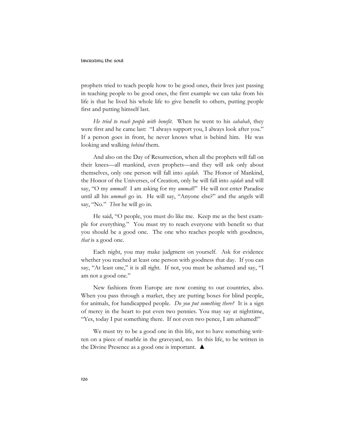prophets tried to teach people how to be good ones, their lives just passing in teaching people to be good ones, the first example we can take from his life is that he lived his whole life to give benefit to others, putting people first and putting himself last.

*He tried to reach people with benefit.* When he went to his *sahabah*, they were first and he came last: "I always support you, I always look after you." If a person goes in front, he never knows what is behind him. He was looking and walking *behind* them.

And also on the Day of Resurrection, when all the prophets will fall on their knees—all mankind, even prophets—and they will ask only about themselves, only one person will fall into *sajdah.* The Honor of Mankind, the Honor of the Universes, of Creation, only he will fall into *sajdah* and will say, "O my *ummah*! I am asking for my *ummah*!" He will not enter Paradise until all his *ummah* go in. He will say, "Anyone else?" and the angels will say, "No." *Then* he will go in.

He said, "O people, you must do like me. Keep me as the best example for everything." You must try to reach everyone with benefit so that you should be a good one. The one who reaches people with goodness, *that* is a good one.

Each night, you may make judgment on yourself. Ask for evidence whether you reached at least one person with goodness that day. If you can say, "At least one," it is all right. If not, you must be ashamed and say, "I am not a good one."

New fashions from Europe are now coming to our countries, also. When you pass through a market, they are putting boxes for blind people, for animals, for handicapped people. *Do you put something there?* It is a sign of mercy in the heart to put even two pennies. You may say at nighttime, "Yes, today I put something there. If not even two pence, I am ashamed!"

We must try to be a good one in this life, not to have something written on a piece of marble in the graveyard, no. In this life, to be written in the Divine Presence as a good one is important. *▲*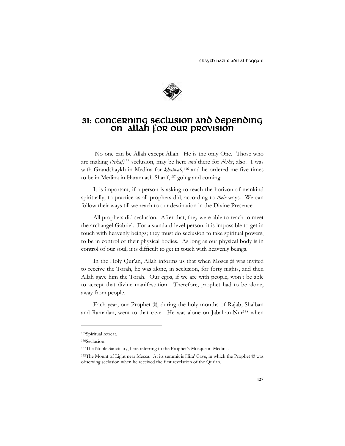shaykh nazim adil al-haqqani



# 31: concerning seclusion and depending<br>on allah for our provision

 No one can be Allah except Allah. He is the only One. Those who are making *i'tikaf*, 135 seclusion, may be here *and* there for *dhikr*, also. I was with Grandshaykh in Medina for *khalwah*, 136 and he ordered me five times to be in Medina in Haram ash-Sharif,137 going and coming.

It is important, if a person is asking to reach the horizon of mankind spiritually, to practice as all prophets did, according to *their* ways. We can follow their ways till we reach to our destination in the Divine Presence.

All prophets did seclusion. After that, they were able to reach to meet the archangel Gabriel. For a standard-level person, it is impossible to get in touch with heavenly beings; they must do seclusion to take spiritual powers, to be in control of their physical bodies. As long as our physical body is in control of our soul, it is difficult to get in touch with heavenly beings.

In the Holy Qur'an, Allah informs us that when Moses is was invited to receive the Torah, he was alone, in seclusion, for forty nights, and then Allah gave him the Torah. Our egos, if we are with people, won't be able to accept that divine manifestation. Therefore, prophet had to be alone, away from people.

Each year, our Prophet , during the holy months of Rajab, Sha'ban and Ramadan, went to that cave. He was alone on Jabal an-Nur<sup>138</sup> when

<sup>135</sup>Spiritual retreat.

<sup>136</sup>Seclusion.

<sup>137</sup>The Noble Sanctuary, here referring to the Prophet's Mosque in Medina.

<sup>138</sup>The Mount of Light near Mecca. At its summit is Hira' Cave, in which the Prophet  $\frac{4}{50}$  was observing seclusion when he received the first revelation of the Qur'an.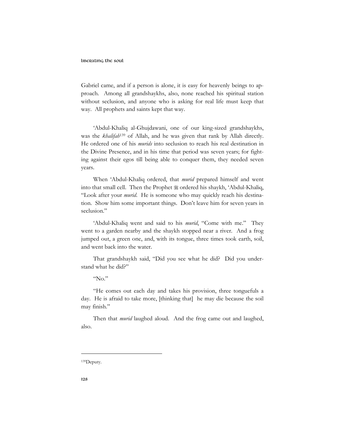Gabriel came, and if a person is alone, it is easy for heavenly beings to approach. Among all grandshaykhs, also, none reached his spiritual station without seclusion, and anyone who is asking for real life must keep that way. All prophets and saints kept that way.

'Abdul-Khaliq al-Ghujdawani, one of our king-sized grandshaykhs, was the *khalifah*139 of Allah, and he was given that rank by Allah directly. He ordered one of his *murids* into seclusion to reach his real destination in the Divine Presence, and in his time that period was seven years; for fighting against their egos till being able to conquer them, they needed seven years.

When 'Abdul-Khaliq ordered, that *murid* prepared himself and went into that small cell. Then the Prophet  $\frac{4}{36}$  ordered his shaykh, 'Abdul-Khaliq, "Look after your *murid*. He is someone who may quickly reach his destination. Show him some important things. Don't leave him for seven years in seclusion."

'Abdul-Khaliq went and said to his *murid*, "Come with me." They went to a garden nearby and the shaykh stopped near a river. And a frog jumped out, a green one, and, with its tongue, three times took earth, soil, and went back into the water.

That grandshaykh said, "Did you see what he did? Did you understand what he did?"

"No."

"He comes out each day and takes his provision, three tonguefuls a day. He is afraid to take more, [thinking that] he may die because the soil may finish."

Then that *murid* laughed aloud. And the frog came out and laughed, also.

<u>.</u>

<sup>139</sup>Deputy.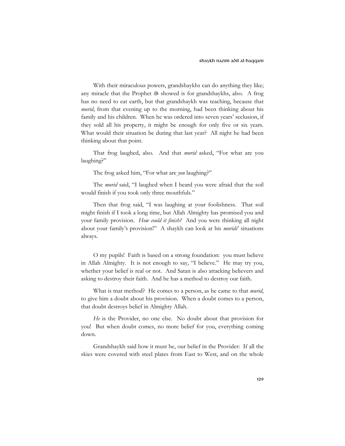With their miraculous powers, grandshaykhs can do anything they like; any miracle that the Prophet  $\frac{4}{36}$  showed is for grandshaykhs, also. A frog has no need to eat earth, but that grandshaykh was teaching, because that *murid*, from that evening up to the morning, had been thinking about his family and his children. When he was ordered into seven years' seclusion, if they sold all his property, it might be enough for only five or six years. What would their situation be during that last year? All night he had been thinking about that point.

That frog laughed, also. And that *murid* asked, "For what are you laughing?"

The frog asked him, "For what are *you* laughing?"

The *murid* said, "I laughed when I heard you were afraid that the soil would finish if you took only three mouthfuls."

Then that frog said, "I was laughing at your foolishness. That soil might finish if I took a long time, but Allah Almighty has promised you and your family provision. *How could it finish?* And you were thinking all night about your family's provision!" A shaykh can look at his *murids*' situations always.

O my pupils! Faith is based on a strong foundation: you must believe in Allah Almighty. It is not enough to say, "I believe." He may try you, whether your belief is real or not. And Satan is also attacking believers and asking to destroy their faith. And he has a method to destroy our faith.

What is tnat method? He comes to a person, as he came to that *murid*, to give him a doubt about his provision. When a doubt comes to a person, that doubt destroys belief in Almighty Allah.

*He* is the Provider, no one else. No doubt about that provision for you! But when doubt comes, no more belief for you, everything coming down.

Grandshaykh said how it must be, our belief in the Provider: If all the skies were covered with steel plates from East to West, and on the whole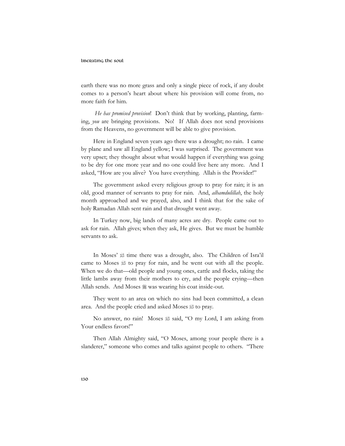earth there was no more grass and only a single piece of rock, if any doubt comes to a person's heart about where his provision will come from, no more faith for him.

*He has promised provision*! Don't think that by working, planting, farming, *you* are bringing provisions. No! If Allah does not send provisions from the Heavens, no government will be able to give provision.

Here in England seven years ago there was a drought; no rain. I came by plane and saw all England yellow; I was surprised. The government was very upset; they thought about what would happen if everything was going to be dry for one more year and no one could live here any more. And I asked, "How are you alive? You have everything. Allah is the Provider!"

The government asked every religious group to pray for rain; it is an old, good manner of servants to pray for rain. And, *alhamdulillah*, the holy month approached and we prayed, also, and I think that for the sake of holy Ramadan Allah sent rain and that drought went away.

In Turkey now, big lands of many acres are dry. People came out to ask for rain. Allah gives; when they ask, He gives. But we must be humble servants to ask.

In Moses'  $\frac{1}{60}$  time there was a drought, also. The Children of Isra'il came to Moses  $\sharp$  to pray for rain, and he went out with all the people. When we do that—old people and young ones, cattle and flocks, taking the little lambs away from their mothers to cry, and the people crying—then Allah sends. And Moses  $\frac{1}{20}$  was wearing his coat inside-out.

They went to an area on which no sins had been committed, a clean area. And the people cried and asked Moses is to pray.

No answer, no rain! Moses  $\frac{1}{60}$  said, "O my Lord, I am asking from Your endless favors!"

Then Allah Almighty said, "O Moses, among your people there is a slanderer," someone who comes and talks against people to others. "There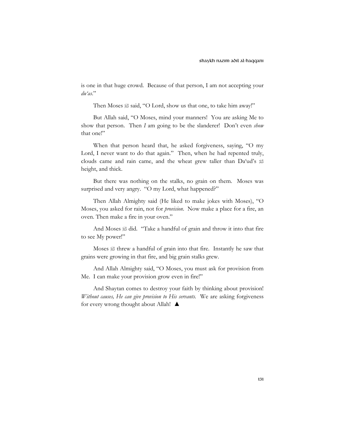is one in that huge crowd. Because of that person, I am not accepting your *du'as*."

Then Moses  $\frac{1}{60}$  said, "O Lord, show us that one, to take him away!"

But Allah said, "O Moses, mind your manners! You are asking Me to show that person. Then *I* am going to be the slanderer! Don't even *show* that one!"

When that person heard that, he asked forgiveness, saying, "O my Lord, I never want to do that again." Then, when he had repented truly, clouds came and rain came, and the wheat grew taller than Da'ud's ¡ height, and thick.

But there was nothing on the stalks, no grain on them. Moses was surprised and very angry. "O my Lord, what happened?"

Then Allah Almighty said (He liked to make jokes with Moses), "O Moses, you asked for rain, not for *provision*. Now make a place for a fire, an oven. Then make a fire in your oven."

And Moses  $\frac{1}{60}$  did. "Take a handful of grain and throw it into that fire to see My power!"

Moses  $\frac{1}{60}$  threw a handful of grain into that fire. Instantly he saw that grains were growing in that fire, and big grain stalks grew.

And Allah Almighty said, "O Moses, you must ask for provision from Me. I can make your provision grow even in fire!"

And Shaytan comes to destroy your faith by thinking about provision! *Without causes, He can give provision to His servants.* We are asking forgiveness for every wrong thought about Allah! *▲*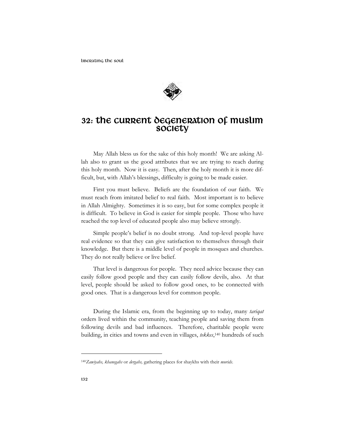

## 32: THE CURRENT DEGENERATION OF MUSLIM **SOCIETY**

May Allah bless us for the sake of this holy month! We are asking Allah also to grant us the good attributes that we are trying to reach during this holy month. Now it is easy. Then, after the holy month it is more difficult, but, with Allah's blessings, difficulty is going to be made easier.

First you must believe. Beliefs are the foundation of our faith. We must reach from imitated belief to real faith. Most important is to believe in Allah Almighty. Sometimes it is so easy, but for some complex people it is difficult. To believe in God is easier for simple people. Those who have reached the top level of educated people also may believe strongly.

Simple people's belief is no doubt strong. And top-level people have real evidence so that they can give satisfaction to themselves through their knowledge. But there is a middle level of people in mosques and churches. They do not really believe or live belief.

That level is dangerous for people. They need advice because they can easily follow good people and they can easily follow devils, also. At that level, people should be asked to follow good ones, to be connected with good ones. That is a dangerous level for common people.

During the Islamic era, from the beginning up to today, many *tariqat* orders lived within the community, teaching people and saving them from following devils and bad influences. Therefore, charitable people were building, in cities and towns and even in villages, *tekkes*, 140 hundreds of such

<sup>140</sup>*Zawiyahs, khanegahs* or *dergahs,* gathering places for shaykhs with their *murids*.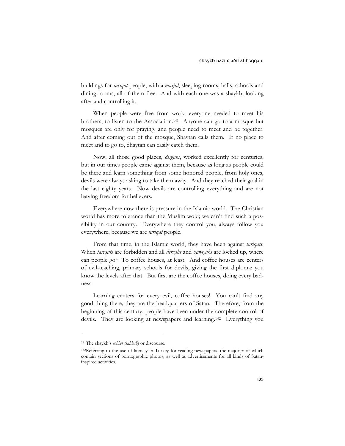buildings for *tariqat* people, with a *masjid*, sleeping rooms, halls, schools and dining rooms, all of them free. And with each one was a shaykh, looking after and controlling it.

When people were free from work, everyone needed to meet his brothers, to listen to the Association.141 Anyone can go to a mosque but mosques are only for praying, and people need to meet and be together. And after coming out of the mosque, Shaytan calls them. If no place to meet and to go to, Shaytan can easily catch them.

Now, all those good places, *dergahs*, worked excellently for centuries, but in our times people came against them, because as long as people could be there and learn something from some honored people, from holy ones, devils were always asking to take them away. And they reached their goal in the last eighty years. Now devils are controlling everything and are not leaving freedom for believers.

Everywhere now there is pressure in the Islamic world. The Christian world has more tolerance than the Muslim wold; we can't find such a possibility in our country. Everywhere they control you, always follow you everywhere, because we are *tariqat* people.

From that time, in the Islamic world, they have been against *tariqats*. When *tariqats* are forbidden and all *dergahs* and *zawiyahs* are locked up, where can people go? To coffee houses, at least. And coffee houses are centers of evil-teaching, primary schools for devils, giving the first diploma; you know the levels after that. But first are the coffee houses, doing every badness.

Learning centers for every evil, coffee houses! You can't find any good thing there; they are the headquarters of Satan. Therefore, from the beginning of this century, people have been under the complete control of devils. They are looking at newspapers and learning.142 Everything you

<sup>141</sup>The shaykh's *sohbet (suhbah*) or discourse.

<sup>142</sup>Referring to the use of literacy in Turkey for reading newspapers, the majority of which contain sections of pornographic photos, as well as advertisements for all kinds of Sataninspired activities.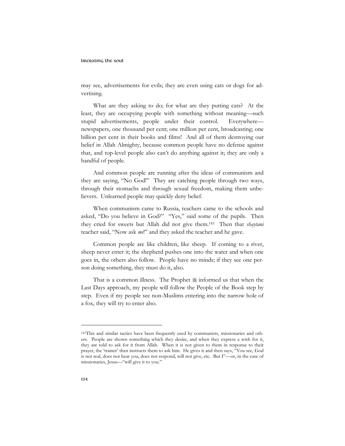may see, advertisements for evils; they are even using cats or dogs for advertising.

What are they asking to do; for what are they putting cats? At the least, they are occupying people with something without meaning—such stupid advertisements, people under their control. Everywhere newspapers, one thousand per cent; one million per cent, broadcasting; one billion per cent in their books and films! And all of them destroying our belief in Allah Almighty, because common people have no defense against that, and top-level people also can't do anything against it; they are only a handful of people.

And common people are running after the ideas of communism and they are saying, "No God!" They are catching people through two ways, through their stomachs and through sexual freedom, making them unbelievers. Unlearned people may quickly deny belief.

When communism came to Russia, teachers came to the schools and asked, "Do you believe in God?" "Yes," said some of the pupils. Then they cried for sweets but Allah did not give them.143 Then that *shaytani*  teacher said, "Now ask *me*!" and they asked the teacher and he gave.

Common people are like children, like sheep. If coming to a river, sheep never enter it; the shepherd pushes one into the water and when one goes in, the others also follow. People have no minds; if they see one person doing something, they must do it, also.

That is a common illness. The Prophet  $\frac{4}{36}$  informed us that when the Last Days approach, my people will follow the People of the Book step by step. Even if my people see non-Muslims entering into the narrow hole of a fox, they will try to enter also.

<sup>143</sup>This and similar tactics have been frequently used by communists, missionaries and others. People are shown something which they desire, and when they express a wish for it, they are told to ask for it from Allah. When it is not given to them in response to their prayer, the 'trainer' then instructs them to ask him. He gives it and then says, "You see, God is not real, does not hear you, does not respond, will not give, etc. But I"—or, in the case of missionaries, Jesus—"will give it to you."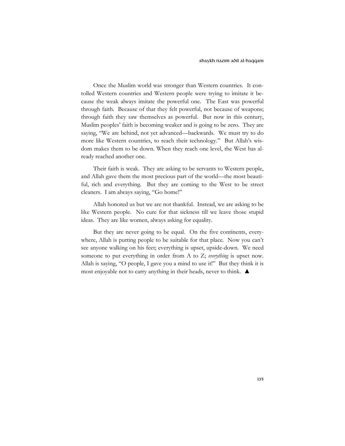Once the Muslim world was stronger than Western countries. It contolled Western countries and Western people were trying to imitate it because the weak always imitate the powerful one. The East was powerful through faith. Because of that they felt powerful, not because of weapons; through faith they saw themselves as powerful. But now in this century, Muslim peoples' faith is becoming weaker and is going to be zero. They are saying, "We are behind, not yet advanced—backwards. We must try to do more like Western countries, to reach their technology." But Allah's wisdom makes them to be down. When they reach one level, the West has already reached another one.

Their faith is weak. They are asking to be servants to Western people, and Allah gave them the most precious part of the world—the most beautiful, rich and everything. But they are coming to the West to be street cleaners. I am always saying, "Go home!"

Allah honored us but we are not thankful. Instead, we are asking to be like Western people. No cure for that sickness till we leave those stupid ideas. They are like women, always asking for equality.

But they are never going to be equal. On the five continents, everywhere, Allah is putting people to be suitable for that place. Now you can't see anyone walking on his feet; everything is upset, upside-down. We need someone to put everything in order from A to Z; *everything* is upset now. Allah is saying, "O people, I gave you a mind to use it!" But they think it is most enjoyable not to carry anything in their heads, never to think. *▲*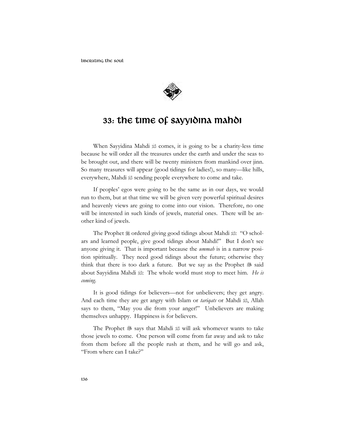

## 33: the time of sayyioina mahoi

When Sayyidina Mahdi  $\frac{1}{20}$  comes, it is going to be a charity-less time because he will order all the treasures under the earth and under the seas to be brought out, and there will be twenty ministers from mankind over jinn. So many treasures will appear (good tidings for ladies!), so many—like hills, everywhere, Mahdi  $\frac{1}{60}$  sending people everywhere to come and take.

If peoples' egos were going to be the same as in our days, we would run to them, but at that time we will be given very powerful spiritual desires and heavenly views are going to come into our vision. Therefore, no one will be interested in such kinds of jewels, material ones. There will be another kind of jewels.

The Prophet  $\frac{46}{20}$  ordered giving good tidings about Mahdi  $\frac{1}{60}$ : "O scholars and learned people, give good tidings about Mahdi!" But I don't see anyone giving it. That is important because the *ummah* is in a narrow position spiritually. They need good tidings about the future; otherwise they think that there is too dark a future. But we say as the Prophet & said about Sayyidina Mahdi ¡: The whole world must stop to meet him. *He is coming*.

It is good tidings for believers—not for unbelievers; they get angry. And each time they are get angry with Islam or *tariqats* or Mahdi  $\frac{1}{60}$ , Allah says to them, "May you die from your anger!" Unbelievers are making themselves unhappy. Happiness is for believers.

The Prophet 38 says that Mahdi  $\sharp i$  will ask whomever wants to take those jewels to come. One person will come from far away and ask to take from them before all the people rush at them, and he will go and ask, "From where can I take?"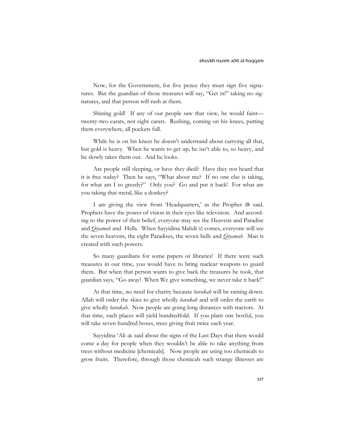Now, for the Government, for five pence they must sign five signatures. But the guardian of those treasures will say, "Get in!" taking no signatures, and that person will rush at them.

Shining gold! If any of our people saw that view, he would faint twenty-two carats, not eight carats. Rushing, coming on his knees, putting them everywhere, all pockets full.

While he is on his knees he doesn't understand about carrying all that, but gold is heavy. When he wants to get up, he isn't able to, so heavy, and he slowly takes them out. And he looks.

Are people still sleeping, or have they died? Have they not heard that it is free today? Then he says, "What about me? If no one else is taking, for what am I so greedy?" Only you? Go and put it back! For what are you taking that metal, like a donkey?

I am giving the view from 'Headquarters,' as the Prophet  $\mathcal{F}$  said. Prophets have the power of vision in their eyes like television. And according to the power of their belief, everyone may see the Heavens and Paradise and *Qiyamah* and Hells. When Sayyidina Mahdi  $\frac{1}{60}$  comes, everyone will see the seven heavens, the eight Paradises, the seven hells and *Qiyamah*. Man is created with such powers.

So many guardians for some papers or libraries! If there were such treasures in our time, you would have to bring nuclear weapons to guard them. But when that person wants to give back the treasures he took, that guardian says, "Go away! When We give something, we never take it back!"

At that time, no need for charity because *barakah* will be raining down. Allah will order the skies to give wholly *barakah* and will order the earth to give wholly *barakah*. Now people are going long distances with tractors. At that time, such places will yield hundredfold. If you plant one boxful, you will take seven hundred boxes, trees giving fruit twice each year.

Sayyidina 'Ali  $\ddot{\text{ } }$  said about the signs of the Last Days that there would come a day for people when they wouldn't be able to take anything from trees without medicine [chemicals]. Now people are using too chemicals to grow fruits. Therefore, through those chemicals such strange illnesses are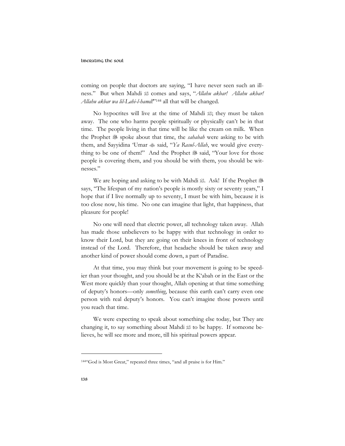coming on people that doctors are saying, "I have never seen such an illness." But when Mahdi  $\frac{1}{60}$  comes and says, "*Allahu akbar! Allahu akbar! Allahu akbar wa lil-Lahi-l-hamd!*"144 all that will be changed.

No hypocrites will live at the time of Mahdi  $\frac{1}{\sqrt{2}}$ ; they must be taken away. The one who harms people spiritually or physically can't be in that time. The people living in that time will be like the cream on milk. When the Prophet <sup>38</sup> spoke about that time, the *sahabah* were asking to be with them, and Sayyidina 'Umar  $\triangleq$  said, "*Ya Rasul-Allah*, we would give everything to be one of them!" And the Prophet  $\mathcal{L}$  said, "Your love for those people is covering them, and you should be with them, you should be witnesses."

We are hoping and asking to be with Mahdi F. Ask! If the Prophet & says, "The lifespan of my nation's people is mostly sixty or seventy years," I hope that if I live normally up to seventy, I must be with him, because it is too close now, his time. No one can imagine that light, that happiness, that pleasure for people!

No one will need that electric power, all technology taken away. Allah has made those unbelievers to be happy with that technology in order to know their Lord, but they are going on their knees in front of technology instead of the Lord. Therefore, that headache should be taken away and another kind of power should come down, a part of Paradise.

At that time, you may think but your movement is going to be speedier than your thought, and you should be at the K'abah or in the East or the West more quickly than your thought, Allah opening at that time something of deputy's honors—only *something*, because this earth can't carry even one person with real deputy's honors. You can't imagine those powers until you reach that time.

We were expecting to speak about something else today, but They are changing it, to say something about Mahdi ¡ to be happy. If someone believes, he will see more and more, till his spiritual powers appear.

<sup>144&</sup>quot;God is Most Great," repeated three times, "and all praise is for Him."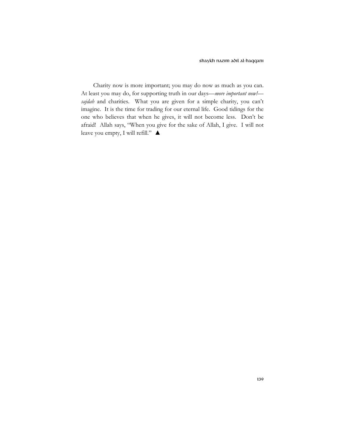Charity now is more important; you may do now as much as you can. At least you may do, for supporting truth in our days—*more important now! sajdah* and charities. What you are given for a simple charity, you can't imagine. It is the time for trading for our eternal life. Good tidings for the one who believes that when he gives, it will not become less. Don't be afraid! Allah says, "When you give for the sake of Allah, I give. I will not leave you empty, I will refill." *▲*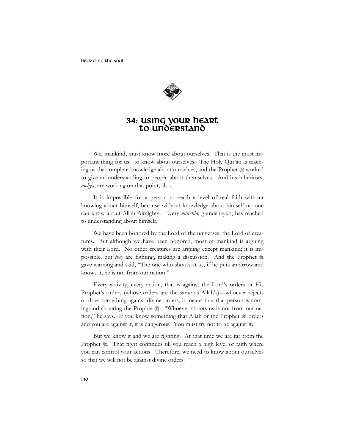

## 34: USING YOUR HEART TO UNDERSTAND

We, mankind, must know more about ourselves. That is the most important thing for us: to know about ourselves. The Holy Qur'an is teaching us the complete knowledge about ourselves, and the Prophet  $\frac{46}{28}$  worked to give an understanding to people about themselves. And his inheritors, *awliya*, are working on that point, also.

It is impossible for a person to reach a level of real faith without knowing about himself, because without knowledge about himself no one can know about Allah Almighty. Every *murshid*, grandshaykh, has reached to understanding about himself.

We have been honored by the Lord of the universes, the Lord of creatures. But although we have been honored, most of mankind is arguing with their Lord. No other creatures are arguing except mankind; it is impossible, but *they* are fighting, making a discussion. And the Prophet gave warning and said, "The one who shoots at us, if he puts an arrow and knows it, he is not from our nation."

Every activity, every action, that is against the Lord's orders or His Prophet's orders (whose orders are the same as Allah's)—whoever rejects or does something against divine orders, it means that that person is coming and shooting the Prophet . "Whoever shoots us is not from our nation," he says. If you know something that Allah or the Prophet 38 orders and you are against it, it is dangerous. You must try not to be against it.

But we know it and we are fighting. At that time we are far from the Prophet . That fight continues till you reach a high level of faith where you can control your actions. Therefore, we need to know about ourselves so that we will not be against divine orders.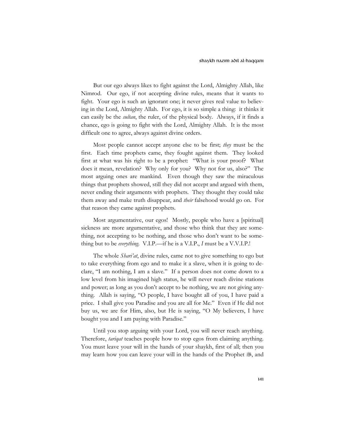But our ego always likes to fight against the Lord, Almighty Allah, like Nimrod. Our ego, if not accepting divine rules, means that it wants to fight. Your ego is such an ignorant one; it never gives real value to believing in the Lord, Almighty Allah. For ego, it is so simple a thing: it thinks it can easily be the *sultan*, the ruler, of the physical body. Always, if it finds a chance, ego is going to fight with the Lord, Almighty Allah. It is the most difficult one to agree, always against divine orders.

Most people cannot accept anyone else to be first; *they* must be the first. Each time prophets came, they fought against them. They looked first at what was his right to be a prophet: "What is your proof? What does it mean, revelation? Why only for you? Why not for us, also?" The most arguing ones are mankind. Even though they saw the miraculous things that prophets showed, still they did not accept and argued with them, never ending their arguments with prophets. They thought they could take them away and make truth disappear, and *their* falsehood would go on. For that reason they came against prophets.

Most argumentative, our egos! Mostly, people who have a [spiritual] sickness are more argumentative, and those who think that they are something, not accepting to be nothing, and those who don't want to be something but to be *everything*. V.I.P.—if he is a V.I.P., *I* must be a V.V.I.P.!

The whole *Shari'at*, divine rules, came not to give something to ego but to take everything from ego and to make it a slave, when it is going to declare, "I am nothing, I am a slave." If a person does not come down to a low level from his imagined high status, he will never reach divine stations and power; as long as you don't accept to be nothing, we are not giving anything. Allah is saying, "O people, I have bought all of you, I have paid a price. I shall give you Paradise and you are all for Me." Even if He did not buy us, we are for Him, also, but He is saying, "O My believers, I have bought you and I am paying with Paradise."

Until you stop arguing with your Lord, you will never reach anything. Therefore, *tariqat* teaches people how to stop egos from claiming anything. You must leave your will in the hands of your shaykh, first of all; then you may learn how you can leave your will in the hands of the Prophet  $\mathcal{F}_2$ , and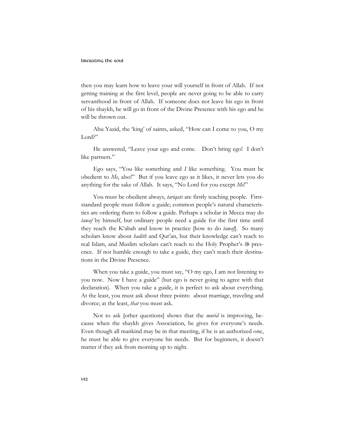then you may learn how to leave your will yourself in front of Allah. If not getting training at the first level, people are never going to be able to carry servanthood in front of Allah. If someone does not leave his ego in front of his shaykh, he will go in front of the Divine Presence with his ego and he will be thrown out.

Abu Yazid, the 'king' of saints, asked, "How can I come to you, O my Lord?"

He answered, "Leave your ego and come. Don't bring ego! I don't like partners."

Ego says, "You like something and *I* like something. You must be obedient to *Me*, also!" But if you leave ego as it likes, it never lets you do anything for the sake of Allah. It says, "No Lord for you except *Me*!"

You must be obedient always, *tariqats* are firstly teaching people. Firststandard people must follow a guide; common people's natural characteristics are ordering them to follow a guide. Perhaps a scholar in Mecca may do *tawaf* by himself, but ordinary people need a guide for the first time until they reach the K'abah and know in practice [how to do *tawaf*]. So many scholars know about *hadith* and Qur'an, but their knowledge can't reach to real Islam, and Muslim scholars can't reach to the Holy Prophet's 5 presence. If not humble enough to take a guide, they can't reach their destinations in the Divine Presence.

When you take a guide, you must say, "O my ego, I am not listening to you now. Now I have a guide" (but ego is never going to agree with that declaration). When you take a guide, it is perfect to ask about everything. At the least, you must ask about three points: about marriage, traveling and divorce; at the least, *that* you must ask.

Not to ask [other questions] shows that the *murid* is improving, because when the shaykh gives Association, he gives for everyone's needs. Even though all mankind may be in that meeting, if he is an authorized one, he must be able to give everyone his needs. But for beginners, it doesn't matter if they ask from morning up to night.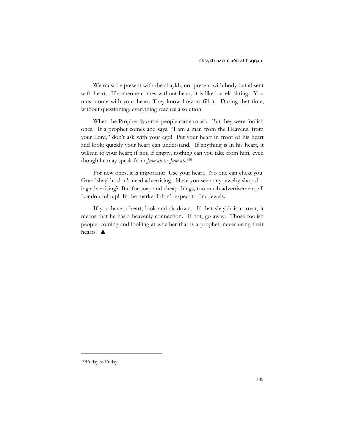We must be present with the shaykh, not present with body but absent with heart. If someone comes without heart, it is like barrels sitting. You must come with your heart; They know how to fill it. During that time, without questioning, everything reaches a solution.

When the Prophet  $\frac{4}{36}$  came, people came to ask. But they were foolish ones. If a prophet comes and says, "I am a man from the Heavens, from your Lord," don't ask with your ego! Put your heart in front of his heart and look; quickly your heart can understand. If anything is in his heart, it willrun to your heart; if not, if empty, nothing can you take from him, even though he may speak from *Jum'ah* to *Jum'ah*. 145

For new ones, it is important: Use your heart. No one can cheat you. Grandshaykhs don't need advertising. Have you seen any jewelry shop doing advertising? But for soap and cheap things, too much advertisement, all London full-up! In the market I don't expect to find jewels.

If you have a heart, look and sit down. If that shaykh is correct, it means that he has a heavenly connection. If not, go away. Those foolish people, coming and looking at whether that is a prophet, never using their hearts! *▲*

<sup>145</sup>Friday to Friday.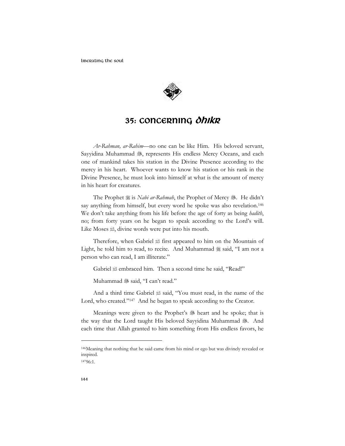

## 35: CONCERNING OhikR

*Ar-Rahman, ar-Rahim*—no one can be like Him. His beloved servant, Sayyidina Muhammad &, represents His endless Mercy Oceans, and each one of mankind takes his station in the Divine Presence according to the mercy in his heart. Whoever wants to know his station or his rank in the Divine Presence, he must look into himself at what is the amount of mercy in his heart for creatures.

The Prophet <sup>3</sup> is *Nabi ar-Rahmah*, the Prophet of Mercy 3. He didn't say anything from himself, but every word he spoke was also revelation.<sup>146</sup> We don't take anything from his life before the age of forty as being *hadith*, no; from forty years on he began to speak according to the Lord's will. Like Moses  $\frac{1}{2}$ , divine words were put into his mouth.

Therefore, when Gabriel  $\#$  first appeared to him on the Mountain of Light, he told him to read, to recite. And Muhammad # said, "I am not a person who can read, I am illiterate."

Gabriel  $\sharp i$  embraced him. Then a second time he said, "Read!"

Muhammad & said, "I can't read."

And a third time Gabriel  $\frac{1}{60}$  said, "You must read, in the name of the Lord, who created."<sup>147</sup> And he began to speak according to the Creator.

Meanings were given to the Prophet's <sup>\$\$</sup> heart and he spoke; that is the way that the Lord taught His beloved Sayyidina Muhammad . And each time that Allah granted to him something from His endless favors, he

14796:1.

<sup>146</sup>Meaning that nothing that he said came from his mind or ego but was divinely revealed or inspired.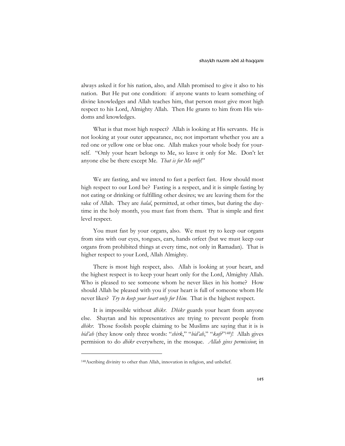always asked it for his nation, also, and Allah promised to give it also to his nation. But He put one condition: if anyone wants to learn something of divine knowledges and Allah teaches him, that person must give most high respect to his Lord, Almighty Allah. Then He grants to him from His wisdoms and knowledges.

What is that most high respect? Allah is looking at His servants. He is not looking at your outer appearance, no; not important whether you are a red one or yellow one or blue one. Allah makes your whole body for yourself. "Only your heart belongs to Me, so leave it only for Me. Don't let anyone else be there except Me. *That is for Me only*!"

We are fasting, and we intend to fast a perfect fast. How should most high respect to our Lord be? Fasting is a respect, and it is simple fasting by not eating or drinking or fulfilling other desires; we are leaving them for the sake of Allah. They are *halal*, permitted, at other times, but during the daytime in the holy month, you must fast from them. That is simple and first level respect.

You must fast by your organs, also. We must try to keep our organs from sins with our eyes, tongues, ears, hands orfeet (but we must keep our organs from prohibited things at every time, not only in Ramadan). That is higher respect to your Lord, Allah Almighty.

There is most high respect, also. Allah is looking at your heart, and the highest respect is to keep your heart only for the Lord, Almighty Allah. Who is pleased to see someone whom he never likes in his home? How should Allah be pleased with you if your heart is full of someone whom He never likes? *Try to keep your heart only for Him.* That is the highest respect.

It is impossible without *dhikr*. *Dhikr* guards your heart from anyone else. Shaytan and his representatives are trying to prevent people from *dhikr.* Those foolish people claiming to be Muslims are saying that it is is *bid'ah* (they know only three words: "*shirk*," "*bid'ah*," "*kufr*"148)! Allah gives permision to do *dhikr* everywhere, in the mosque. *Allah gives permission*; in

<sup>148</sup>Ascribing divinity to other than Allah, innovation in religion, and unbelief.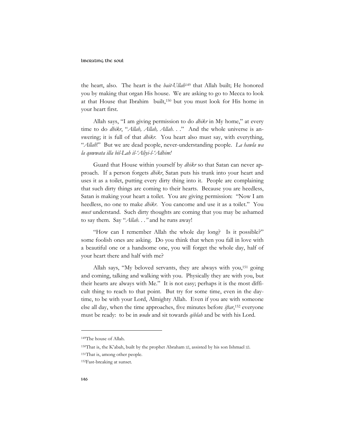the heart, also. The heart is the *bait-Ullah*149 that Allah built; He honored you by making that organ His house. We are asking to go to Mecca to look at that House that Ibrahim built,<sup>150</sup> but you must look for His home in your heart first.

Allah says, "I am giving permission to do *dhikr* in My home," at every time to do *dhikr*, "*Allah, Allah, Allah. . .*"And the whole universe is answering; it is full of that *dhikr*. You heart also must say, with everything, "*Allah*!" But we are dead people, never-understanding people. *La hawla wa la quwwata illa bil-Lah il-'Aliyi-l-'Adhim!* 

Guard that House within yourself by *dhikr* so that Satan can never approach. If a person forgets *dhikr*, Satan puts his trunk into your heart and uses it as a toilet, putting every dirty thing into it. People are complaining that such dirty things are coming to their hearts. Because you are heedless, Satan is making your heart a toilet. You are giving permission: "Now I am heedless, no one to make *dhikr*. You cancome and use it as a toilet." You *must* understand. Such dirty thoughts are coming that you may be ashamed to say them. Say "*Allah. . ."* and he runs away!

"How can I remember Allah the whole day long? Is it possible?" some foolish ones are asking. Do you think that when you fall in love with a beautiful one or a handsome one, you will forget the whole day, half of your heart there and half with me?

Allah says, "My beloved servants, they are always with you,<sup>151</sup> going and coming, talking and walking with you. Physically they are with you, but their hearts are always with Me." It is not easy; perhaps it is the most difficult thing to reach to that point. But try for some time, even in the daytime, to be with your Lord, Almighty Allah. Even if you are with someone else all day, when the time approaches, five minutes before *iftar*, 152 everyone must be ready: to be in *wudu* and sit towards *qiblah* and be with his Lord.

<sup>149</sup>The house of Allah.

<sup>150</sup>That is, the K'abah, built by the prophet Abraham  $\frac{4}{60}$ , assisted by his son Ishmael  $\frac{4}{60}$ . 151That is, among other people.

<sup>152</sup>Fast-breaking at sunset.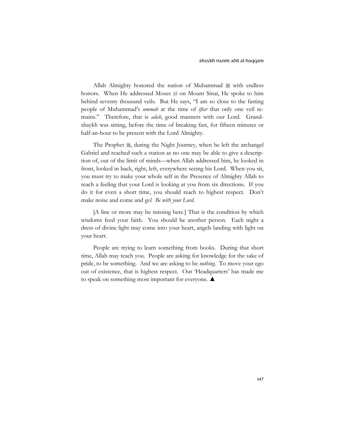Allah Almighty honored the nation of Muhammad  $\frac{16}{26}$  with endless honors. When He addressed Moses  $\frac{1}{60}$  on Mount Sinai, He spoke to him behind seventy thousand veils. But He says, "I am so close to the fasting people of Muhammad's *ummah* at the time of *iftar* that only one veil remains." Therefore, that is *adab*, good manners with our Lord*.* Grandshaykh was sitting, before the time of breaking fast, for fifteen minutes or half-an-hour to be present with the Lord Almighty.

The Prophet , during the Night Journey, when he left the archangel Gabriel and reached such a station as no one may be able to give a description of, out of the limit of minds—when Allah addressed him, he looked in front, looked in back, right, left, everywhere seeing his Lord. When you sit, you must try to make your whole self in the Presence of Almighty Allah to reach a feeling that your Lord is looking at you from six directions. If you do it for even a short time, you should reach to highest respect. Don't make noise and come and go! *Be with your Lord.* 

[A line or more may be missing here.] That is the condition by which wisdoms feed your faith. You should be another person. Each night a dress of divine light may come into your heart, angels landing with light on your heart.

People are trying to learn something from books. During that short time, Allah may teach you. People are asking for knowledge for the sake of pride, to be something. And we are asking to be *nothing*. To move your ego out of existence, that is highest respect. Our 'Headquarters' has made me to speak on something most important for everyone. *▲*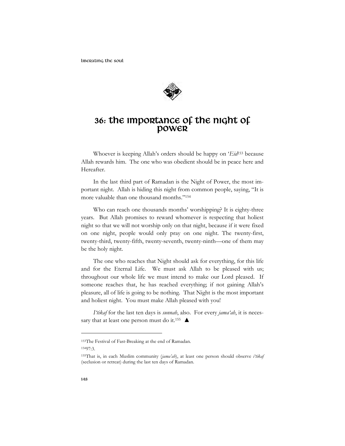

## 36: the importance of the night of POWER

Whoever is keeping Allah's orders should be happy on '*Eid*<sup>153</sup> because Allah rewards him. The one who was obedient should be in peace here and Hereafter.

In the last third part of Ramadan is the Night of Power, the most important night. Allah is hiding this night from common people, saying, "It is more valuable than one thousand months."154

Who can reach one thousands months' worshipping? It is eighty-three years. But Allah promises to reward whomever is respecting that holiest night so that we will not worship only on that night, because if it were fixed on one night, people would only pray on one night. The twenty-first, twenty-third, twenty-fifth, twenty-seventh, twenty-ninth—one of them may be the holy night.

The one who reaches that Night should ask for everything, for this life and for the Eternal Life. We must ask Allah to be pleased with us; throughout our whole life we must intend to make our Lord pleased. If someone reaches that, he has reached everything; if not gaining Allah's pleasure, all of life is going to be nothing. That Night is the most important and holiest night. You must make Allah pleased with you!

*I'tikaf* for the last ten days is *sunnah*, also. For every *jama'ah*, it is necessary that at least one person must do it.155 *▲*

<u>.</u>

<sup>153</sup>The Festival of Fast-Breaking at the end of Ramadan. 15497:3.

<sup>155</sup>That is, in each Muslim community (*jama'ah*), at least one person should observe *i'tikaf* (seclusion or retreat) during the last ten days of Ramadan.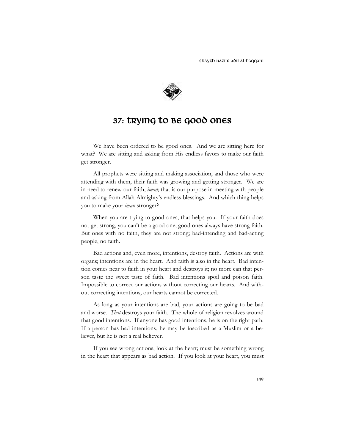

## 37: TRYING TO BE GOOD ONES

We have been ordered to be good ones. And we are sitting here for what? We are sitting and asking from His endless favors to make our faith get stronger.

All prophets were sitting and making association, and those who were attending with them, their faith was growing and getting stronger. We are in need to renew our faith, *iman*; that is our purpose in meeting with people and asking from Allah Almighty's endless blessings. And which thing helps you to make your *iman* stronger?

When you are trying to good ones, that helps you. If your faith does not get strong, you can't be a good one; good ones always have strong faith. But ones with no faith, they are not strong; bad-intending and bad-acting people, no faith.

Bad actions and, even more, intentions, destroy faith. Actions are with organs; intentions are in the heart. And faith is also in the heart. Bad intention comes near to faith in your heart and destroys it; no more can that person taste the sweet taste of faith. Bad intentions spoil and poison faith. Impossible to correct our actions without correcting our hearts. And without correcting intentions, our hearts cannot be corrected.

As long as your intentions are bad, your actions are going to be bad and worse. *That* destroys your faith. The whole of religion revolves around that good intentions. If anyone has good intentions, he is on the right path. If a person has bad intentions, he may be inscribed as a Muslim or a believer, but he is not a real believer.

If you see wrong actions, look at the heart; must be something wrong in the heart that appears as bad action. If you look at your heart, you must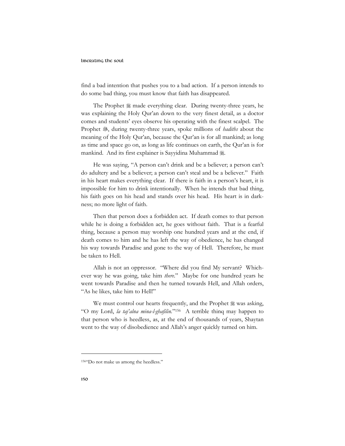find a bad intention that pushes you to a bad action. If a person intends to do some bad thing, you must know that faith has disappeared.

The Prophet  $\frac{4}{36}$  made everything clear. During twenty-three years, he was explaining the Holy Qur'an down to the very finest detail, as a doctor comes and students' eyes observe his operating with the finest scalpel. The Prophet .\$, during twenty-three years, spoke millions of *hadiths* about the meaning of the Holy Qur'an, because the Qur'an is for all mankind; as long as time and space go on, as long as life continues on earth, the Qur'an is for mankind. And its first explainer is Sayyidina Muhammad .

He was saying, "A person can't drink and be a believer; a person can't do adultery and be a believer; a person can't steal and be a believer." Faith in his heart makes everything clear. If there is faith in a person's heart, it is impossible for him to drink intentionally. When he intends that bad thing, his faith goes on his head and stands over his head. His heart is in darkness; no more light of faith.

Then that person does a forbidden act. If death comes to that person while he is doing a forbidden act, he goes without faith. That is a fearful thing, because a person may worship one hundred years and at the end, if death comes to him and he has left the way of obedience, he has changed his way towards Paradise and gone to the way of Hell. Therefore, he must be taken to Hell.

Allah is not an oppressor. "Where did you find My servant? Whichever way he was going, take him *there*." Maybe for one hundred years he went towards Paradise and then he turned towards Hell, and Allah orders, "As he likes, take him to Hell!"

We must control our hearts frequently, and the Prophet  $\frac{46}{28}$  was asking, "O my Lord, *la taj'alna mina-l-ghafilin.*"156 A terrible thinq may happen to that person who is heedless, as, at the end of thousands of years, Shaytan went to the way of disobedience and Allah's anger quickly turned on him.

<sup>156&</sup>quot;Do not make us among the heedless."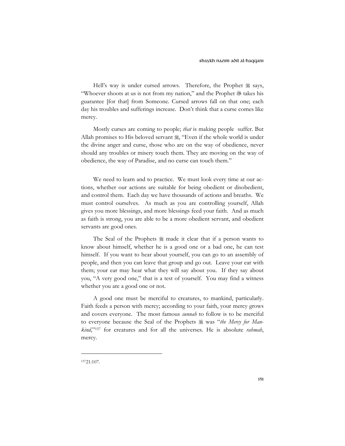Hell's way is under cursed arrows. Therefore, the Prophet  $\frac{46}{25}$  says, "Whoever shoots at us is not from my nation," and the Prophet  $\mathcal{F}$  takes his guarantee [for that] from Someone. Cursed arrows fall on that one; each day his troubles and sufferings increase. Don't think that a curse comes like mercy.

Mostly curses are coming to people; *that* is making people suffer. But Allah promises to His beloved servant  $\frac{46}{35}$ , "Even if the whole world is under the divine anger and curse, those who are on the way of obedience, never should any troubles or misery touch them. They are moving on the way of obedience, the way of Paradise, and no curse can touch them."

We need to learn and to practice. We must look every time at our actions, whether our actions are suitable for being obedient or disobedient, and control them. Each day we have thousands of actions and breaths. We must control ourselves. As much as you are controlling yourself, Allah gives you more blessings, and more blessings feed your faith. And as much as faith is strong, you are able to be a more obedient servant, and obedient servants are good ones.

The Seal of the Prophets  $\frac{4}{36}$  made it clear that if a person wants to know about himself, whether he is a good one or a bad one, he can test himself. If you want to hear about yourself, you can go to an assembly of people, and then you can leave that group and go out. Leave your ear with them; your ear may hear what they will say about you. If they say about you, "A very good one," that is a test of yourself. You may find a witness whether you are a good one or not.

A good one must be merciful to creatures, to mankind, particularly. Faith feeds a person with mercy; according to your faith, your mercy grows and covers everyone. The most famous *sunnah* to follow is to be merciful to everyone because the Seal of the Prophets  $*$  was "the Mercy for Man*kind*,"157 for creatures and for all the universes. He is absolute *rahmah*, mercy.

15721:107.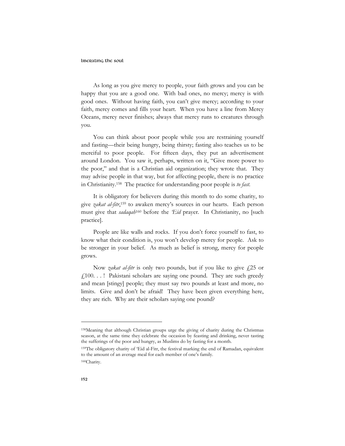As long as you give mercy to people, your faith grows and you can be happy that you are a good one. With bad ones, no mercy; mercy is with good ones. Without having faith, you can't give mercy; according to your faith, mercy comes and fills your heart. When you have a line from Mercy Oceans, mercy never finishes; always that mercy runs to creatures through you.

You can think about poor people while you are restraining yourself and fasting—their being hungry, being thirsty; fasting also teaches us to be merciful to poor people. For fifteen days, they put an advertisement around London. You saw it, perhaps, written on it, "Give more power to the poor," and that is a Christian aid organization; they wrote that. They may advise people in that way, but for affecting people, there is no practice in Christianity.158 The practice for understanding poor people is *to fast.*

It is obligatory for believers during this month to do some charity, to give *zakat al-fitr*, 159 to awaken mercy's sources in our hearts. Each person must give that *sadaqah*<sup>160</sup> before the 'Eid prayer. In Christianity, no [such practice].

People are like walls and rocks. If you don't force yourself to fast, to know what their condition is, you won't develop mercy for people. Ask to be stronger in your belief. As much as belief is strong, mercy for people grows.

Now *zakat al-fitr* is only two pounds, but if you like to give  $\ell$ 25 or  $f<sub>100</sub>$ ...! Pakistani scholars are saying one pound. They are such greedy and mean [stingy] people; they must say two pounds at least and more, no limits. Give and don't be afraid! They have been given everything here, they are rich. Why are their scholars saying one pound?

<sup>158</sup>Meaning that although Christian groups urge the giving of charity during the Christmas season, at the same time they celebrate the occasion by feasting and drinking, never tasting the sufferings of the poor and hungry, as Muslims do by fasting for a month.

<sup>159</sup>The obligatory charity of 'Eid al-Fitr, the festival marking the end of Ramadan, equivalent to the amount of an average meal for each member of one's family. 160Charity.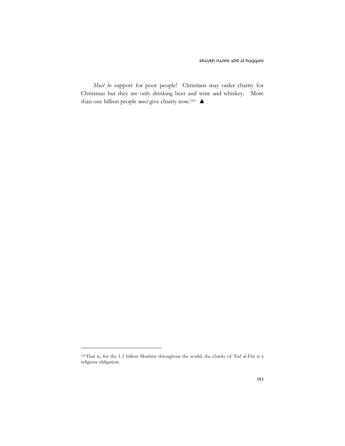shaykh nazim adil al-haqqani

*Must be* support for poor people! Christians may order charity for Christmas but they are only drinking beer and wine and whiskey. More than one billion people *must* give charity now.161 *▲*

<u>.</u>

<sup>161</sup>That is, for the 1.3 billion Muslims throughout the world, the charity of 'Eid al-Fitr is a religious obligation.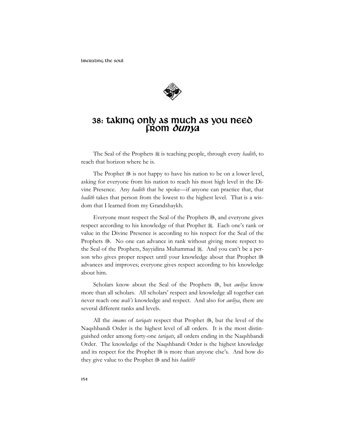

# 38: taking only as much as you need<br>from *ounya*

The Seal of the Prophets is teaching people, through every *hadith*, to reach that horizon where he is.

The Prophet  $\mathcal{F}$  is not happy to have his nation to be on a lower level, asking for everyone from his nation to reach his most high level in the Divine Presence. Any *hadith* that he spoke—if anyone can practice that, that *hadith* takes that person from the lowest to the highest level. That is a wisdom that I learned from my Grandshaykh.

Everyone must respect the Seal of the Prophets  $\mathcal{B}$ , and everyone gives respect according to his knowledge of that Prophet  $\frac{46}{26}$ . Each one's rank or value in the Divine Presence is according to his respect for the Seal of the Prophets . No one can advance in rank without giving more respect to the Seal of the Prophets, Sayyidina Muhammad  $\frac{16}{36}$ . And you can't be a person who gives proper respect until your knowledge about that Prophet advances and improves; everyone gives respect according to his knowledge about him.

Scholars know about the Seal of the Prophets , but *awliya* know more than all scholars. All scholars' respect and knowledge all together can never reach one *wali's* knowledge and respect. And also for *awliya*, there are several different ranks and levels.

All the *imams* of *tariqats* respect that Prophet  $\ddot{\mathcal{B}}$ , but the level of the Naqshbandi Order is the highest level of all orders. It is the most distinguished order among forty-one *tariqats*, all orders ending in the Naqshbandi Order. The knowledge of the Naqshbandi Order is the highest knowledge and its respect for the Prophet is more than anyone else's. And how do they give value to the Prophet <sup>38</sup> and his *hadith*?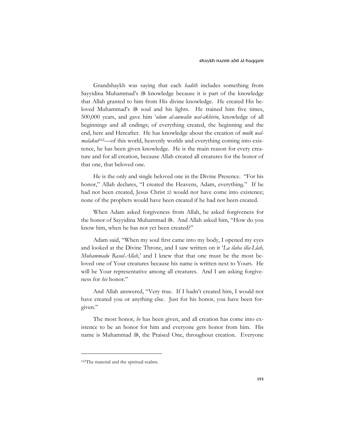Grandshaykh was saying that each *hadith* includes something from Sayyidina Muhammad's States knowledge because it is part of the knowledge that Allah granted to him from His divine knowledge. He created His beloved Muhammad's 38 soul and his lights. He trained him five times, 500,000 years, and gave him '*ulum al-awwalin wal-akhirin*, knowledge of all beginnings and all endings; of everything created, the beginning and the end, here and Hereafter. He has knowledge about the creation of *mulk walmalakut*<sup>162</sup>—of this world, heavenly worlds and everything coming into existence, he has been given knowledge. He is the main reason for every creature and for all creation, because Allah created all creatures for the honor of that one, that beloved one.

He is the only and single beloved one in the Divine Presence. "For his honor," Allah declares, "I created the Heavens, Adam, everything." If he had not been created, Jesus Christ  $\frac{1}{60}$  would not have come into existence; none of the prophets would have been created if he had not been created.

When Adam asked forgiveness from Allah, he asked forgiveness for the honor of Sayyidina Muhammad 28. And Allah asked him, "How do you know him, when he has not yet been created?"

Adam said, "When my soul first came into my body, I opened my eyes and looked at the Divine Throne, and I saw written on it '*La ilaha illa-Llah, Muhammadu Rasul-Allah*,' and I knew that that one must be the most beloved one of Your creatures because his name is written next to Yours. He will be Your representative among all creatures. And I am asking forgiveness for *his* honor."

And Allah answered, "Very true. If I hadn't created him, I would not have created you or anything else. Just for his honor, you have been forgiven."

The most honor, *he* has been given, and all creation has come into existence to be an honor for him and everyone gets honor from him. His name is Muhammad 3, the Praised One, throughout creation. Everyone

<sup>162</sup>The material and the spiritual realms.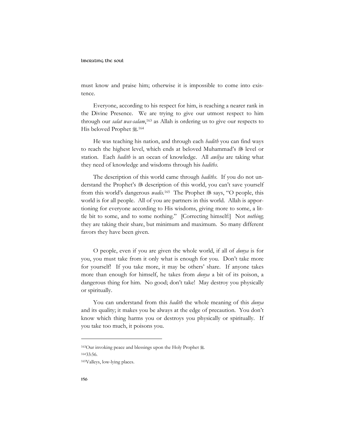must know and praise him; otherwise it is impossible to come into existence.

Everyone, according to his respect for him, is reaching a nearer rank in the Divine Presence. We are trying to give our utmost respect to him through our *salat was-salam*, 163 as Allah is ordering us to give our respects to His beloved Prophet 2.164

He was teaching his nation, and through each *hadith* you can find ways to reach the highest level, which ends at beloved Muhammad's Subset or station. Each *hadith* is an ocean of knowledge. All *awliya* are taking what they need of knowledge and wisdoms through his *hadiths*.

The description of this world came through *hadiths*. If you do not understand the Prophet's  $\mathcal{L}$  description of this world, you can't save yourself from this world's dangerous *wadis*.<sup>165</sup> The Prophet & says, "O people, this world is for all people. All of you are partners in this world. Allah is apportioning for everyone according to His wisdoms, giving more to some, a little bit to some, and to some nothing." [Correcting himself:] Not *nothing*; they are taking their share, but minimum and maximum. So many different favors they have been given.

O people, even if you are given the whole world, if all of *dunya* is for you, you must take from it only what is enough for you. Don't take more for yourself! If you take more, it may be others' share. If anyone takes more than enough for himself, he takes from *dunya* a bit of its poison, a dangerous thing for him. No good; don't take! May destroy you physically or spiritually.

You can understand from this *hadith* the whole meaning of this *dunya* and its quality; it makes you be always at the edge of precaution. You don't know which thing harms you or destroys you physically or spiritually. If you take too much, it poisons you.

<u>.</u>

<sup>163</sup>Our invoking peace and blessings upon the Holy Prophet . 16433:56.

<sup>165</sup>Valleys, low-lying places.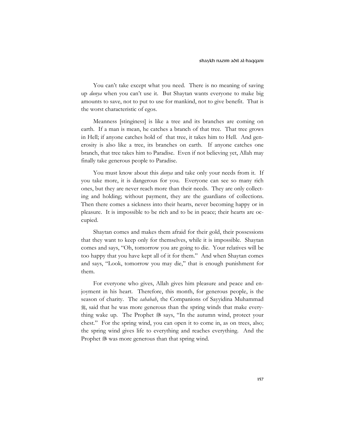You can't take except what you need. There is no meaning of saving up *dunya* when you can't use it. But Shaytan wants everyone to make big amounts to save, not to put to use for mankind, not to give benefit. That is the worst characteristic of egos.

Meanness [stinginess] is like a tree and its branches are coming on earth. If a man is mean, he catches a branch of that tree. That tree grows in Hell; if anyone catches hold of that tree, it takes him to Hell. And generosity is also like a tree, its branches on earth. If anyone catches one branch, that tree takes him to Paradise. Even if not believing yet, Allah may finally take generous people to Paradise.

You must know about this *dunya* and take only your needs from it. If you take more, it is dangerous for you. Everyone can see so many rich ones, but they are never reach more than their needs. They are only collecting and holding; without payment, they are the guardians of collections. Then there comes a sickness into their hearts, never becoming happy or in pleasure. It is impossible to be rich and to be in peace; their hearts are occupied.

Shaytan comes and makes them afraid for their gold, their possessions that they want to keep only for themselves, while it is impossible. Shaytan comes and says, "Oh, tomorrow you are going to die. Your relatives will be too happy that you have kept all of it for them." And when Shaytan comes and says, "Look, tomorrow you may die," that is enough punishment for them.

For everyone who gives, Allah gives him pleasure and peace and enjoyment in his heart. Therefore, this month, for generous people, is the season of charity. The *sahabah*, the Companions of Sayyidina Muhammad , said that he was more generous than the spring winds that make everything wake up. The Prophet & says, "In the autumn wind, protect your chest." For the spring wind, you can open it to come in, as on trees, also; the spring wind gives life to everything and reaches everything. And the Prophet 38 was more generous than that spring wind.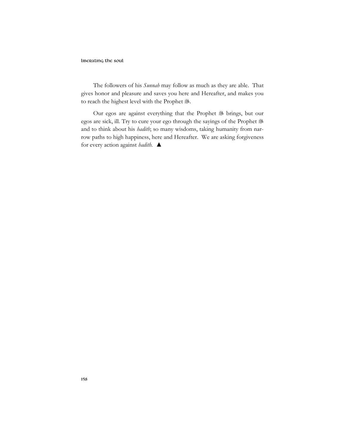The followers of his *Sunnah* may follow as much as they are able. That gives honor and pleasure and saves you here and Hereafter, and makes you to reach the highest level with the Prophet ...

Our egos are against everything that the Prophet 5 brings, but our egos are sick, ill. Try to cure your ego through the sayings of the Prophet and to think about his *hadith*; so many wisdoms, taking humanity from narrow paths to high happiness, here and Hereafter. We are asking forgiveness for every action against *hadith. ▲*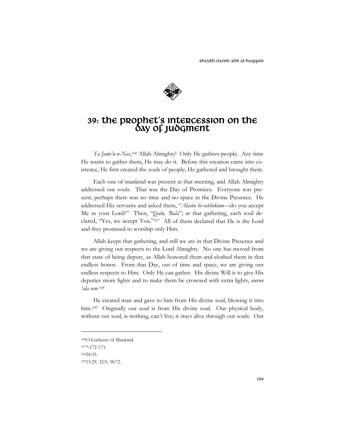shaykh nazim adil al-haqqani



## 39: the prophet's intercession on the<br>day of judgment

*Ya Jami'u-n-Nas*, 166 Allah Almighty! Only He gathers people. Any time He wants to gather them, He may do it. Before this creation came into existence, He first created the souls of people; He gathered and brought them.

Each one of mankind was present at that meeting, and Allah Almighty addressed our souls. That was the Day of Promises. Everyone was present; perhaps there was no time and no space in the Divine Presence. He addressed His servants and asked them, "*Alastu bi-rabbikum*—do you accept Me as your Lord?" Then, "*Qalu*, 'Bala"; at that gathering, each soul declared, "Yes, we accept You."167 All of them declared that He is the Lord and they promised to worship only Him.

Allah keeps that gathering, and still we are in that Divine Presence and we are giving our respects to the Lord Almighty. No one has moved from that state of being deputy, as Allah honored them and clothed them in that endless honor. From that Day, out of time and space, we are giving our endless respects to Him. Only He can gather. His divine Will is to give His deputies more lights and to make them be crowned with extra lights, *nurun 'ala nur*. 168

He created man and gave to him from His divine soul, blowing it into him.<sup>169</sup> Originally our soul is from His divine soul. Our physical body, without our soul, is nothing, can't live; it stays alive through our souls. Our

<u>.</u>

16824:35.

<sup>166</sup>O Gatherer of Mankind.

<sup>1677:172-173.</sup> 

<sup>16915:29, 32:9, 38:72.</sup>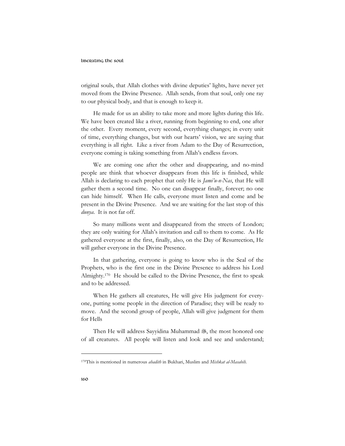original souls, that Allah clothes with divine deputies' lights, have never yet moved from the Divine Presence. Allah sends, from that soul, only one ray to our physical body, and that is enough to keep it.

He made for us an ability to take more and more lights during this life. We have been created like a river, running from beginning to end, one after the other. Every moment, every second, everything changes; in every unit of time, everything changes, but with our hearts' vision, we are saying that everything is all right. Like a river from Adam to the Day of Resurrection, everyone coming is taking something from Allah's endless favors.

We are coming one after the other and disappearing, and no-mind people are think that whoever disappears from this life is finished, while Allah is declaring to each prophet that only He is *Jami'u-n-Nas*, that He will gather them a second time. No one can disappear finally, forever; no one can hide himself. When He calls, everyone must listen and come and be present in the Divine Presence. And we are waiting for the last stop of this *dunya*. It is not far off.

So many millions went and disappeared from the streets of London; they are only waiting for Allah's invitation and call to them to come. As He gathered everyone at the first, finally, also, on the Day of Resurrection, He will gather everyone in the Divine Presence.

In that gathering, everyone is going to know who is the Seal of the Prophets, who is the first one in the Divine Presence to address his Lord Almighty.170 He should be called to the Divine Presence, the first to speak and to be addressed.

When He gathers all creatures, He will give His judgment for everyone, putting some people in the direction of Paradise; they will be ready to move. And the second group of people, Allah will give judgment for them for Hells

Then He will address Sayyidina Muhammad . the most honored one of all creatures. All people will listen and look and see and understand;

<sup>170</sup>This is mentioned in numerous *ahadith* in Bukhari, Muslim and *Mishkat al-Masabih.*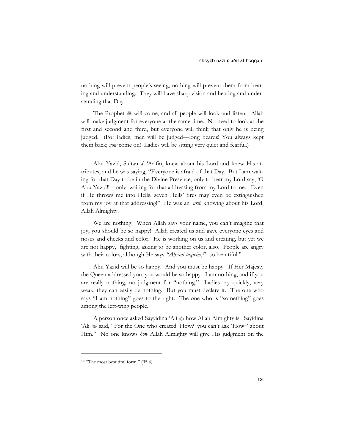nothing will prevent people's seeing, nothing will prevent them from hearing and understanding. They will have sharp vision and hearing and understanding that Day.

The Prophet  $\mathcal{L}$  will come, and all people will look and listen. Allah will make judgment for everyone at the same time. No need to look at the first and second and third, but everyone will think that only he is being judged. (For ladies, men will be judged—long beards! You always kept them back; *now* come on! Ladies will be sitting very quiet and fearful.)

Abu Yazid, Sultan al-'Arifin, knew about his Lord and knew His attributes, and he was saying, "Everyone is afraid of that Day. But I am waiting for that Day to be in the Divine Presence, only to hear my Lord say, 'O Abu Yazid!'—only waiting for that addressing from my Lord to me. Even if He throws me into Hells, seven Hells' fires may even be extinguished from my joy at that addressing!" He was an *'arif*, knowing about his Lord, Allah Almighty.

We are nothing. When Allah says your name, you can't imagine that joy, you should be so happy! Allah created us and gave everyone eyes and noses and cheeks and color. He is working on us and creating, but yet we are not happy, fighting, asking to be another color, also. People are angry with their colors, although He says *"Ahsani taqwim*, 171 so beautiful."

Abu Yazid will be so happy. And you must be happy! If Her Majesty the Queen addressed you, you would be so happy. I am nothing, and if you are really nothing, no judgment for "nothing." Ladies cry quickly, very weak; they can easily be nothing. But you must declare it. The one who says "I am nothing" goes to the right. The one who is "something" goes among the left-wing people.

A person once asked Sayyidina 'Ali  $\triangleq$  how Allah Almighty is. Sayidina 'Ali  $\triangleq$  said, "For the One who created 'How?' you can't ask 'How?' about Him." No one knows *how* Allah Almighty will give His judgment on the

<sup>171&</sup>quot;The most beautiful form." (95:4)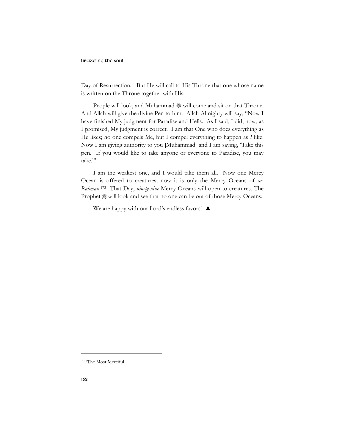Day of Resurrection. But He will call to His Throne that one whose name is written on the Throne together with His.

People will look, and Muhammad & will come and sit on that Throne. And Allah will give the divine Pen to him. Allah Almighty will say, "Now I have finished My judgment for Paradise and Hells. As I said, I did; now, as I promised, My judgment is correct. I am that One who does everything as He likes; no one compels Me, but I compel everything to happen as *I* like. Now I am giving authority to you [Muhammad] and I am saying, 'Take this pen. If you would like to take anyone or everyone to Paradise, you may take."

I am the weakest one, and I would take them all. Now one Mercy Ocean is offered to creatures; now it is only the Mercy Oceans of *ar-Rahman*. 172 That Day, *ninety-nine* Mercy Oceans will open to creatures. The Prophet  $\frac{1}{28}$  will look and see that no one can be out of those Mercy Oceans.

We are happy with our Lord's endless favors! *▲*

<u>.</u>

<sup>172</sup>The Most Merciful.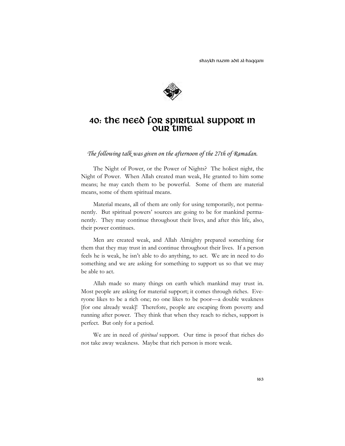shaykh nazim adil al-haqqani



## 40: THE NEED FOR SPIRITUAL SUPPORT IN OUR TIME

*The following talk was given on the afternoon of the 27th of Ramadan.* 

The Night of Power, or the Power of Nights? The holiest night, the Night of Power. When Allah created man weak, He granted to him some means; he may catch them to be powerful. Some of them are material means, some of them spiritual means.

Material means, all of them are only for using temporarily, not permanently. But spiritual powers' sources are going to be for mankind permanently. They may continue throughout their lives, and after this life, also, their power continues.

Men are created weak, and Allah Almighty prepared something for them that they may trust in and continue throughout their lives. If a person feels he is weak, he isn't able to do anything, to act. We are in need to do something and we are asking for something to support us so that we may be able to act.

Allah made so many things on earth which mankind may trust in. Most people are asking for material support; it comes through riches. Everyone likes to be a rich one; no one likes to be poor—a double weakness [for one already weak]! Therefore, people are escaping from poverty and running after power. They think that when they reach to riches, support is perfect. But only for a period.

We are in need of *spiritual* support. Our time is proof that riches do not take away weakness. Maybe that rich person is more weak.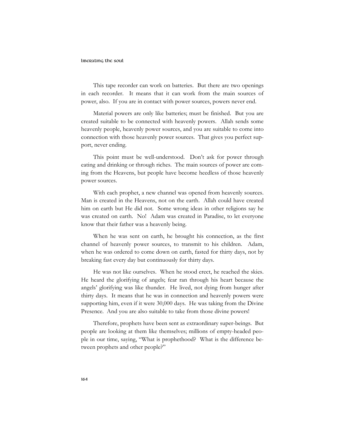This tape recorder can work on batteries. But there are two openings in each recorder. It means that it can work from the main sources of power, also. If you are in contact with power sources, powers never end.

Material powers are only like batteries; must be finished. But you are created suitable to be connected with heavenly powers. Allah sends some heavenly people, heavenly power sources, and you are suitable to come into connection with those heavenly power sources. That gives you perfect support, never ending.

This point must be well-understood. Don't ask for power through eating and drinking or through riches. The main sources of power are coming from the Heavens, but people have become heedless of those heavenly power sources.

With each prophet, a new channel was opened from heavenly sources. Man is created in the Heavens, not on the earth. Allah could have created him on earth but He did not. Some wrong ideas in other religions say he was created on earth. No! Adam was created in Paradise, to let everyone know that their father was a heavenly being.

When he was sent on earth, he brought his connection, as the first channel of heavenly power sources, to transmit to his children. Adam, when he was ordered to come down on earth, fasted for thirty days, not by breaking fast every day but continuously for thirty days.

He was not like ourselves. When he stood erect, he reached the skies. He heard the glorifying of angels; fear ran through his heart because the angels' glorifying was like thunder. He lived, not dying from hunger after thirty days. It means that he was in connection and heavenly powers were supporting him, even if it were 30,000 days. He was taking from the Divine Presence. And you are also suitable to take from those divine powers!

Therefore, prophets have been sent as extraordinary super-beings. But people are looking at them like themselves; millions of empty-headed people in our time, saying, "What is prophethood? What is the difference between prophets and other people?"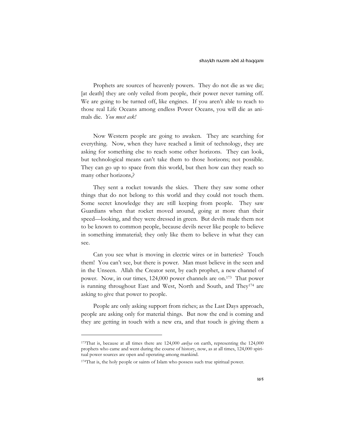Prophets are sources of heavenly powers. They do not die as we die; [at death] they are only veiled from people, their power never turning off. We are going to be turned off, like engines. If you aren't able to reach to those real Life Oceans among endless Power Oceans, you will die as animals die. *You must ask!*

Now Western people are going to awaken. They are searching for everything. Now, when they have reached a limit of technology, they are asking for something else to reach some other horizons. They can look, but technological means can't take them to those horizons; not possible. They can go up to space from this world, but then how can they reach so many other horizons,?

They sent a rocket towards the skies. There they saw some other things that do not belong to this world and they could not touch them. Some secret knowledge they are still keeping from people. They saw Guardians when that rocket moved around, going at more than their speed—looking, and they were dressed in green. But devils made them not to be known to common people, because devils never like people to believe in something immaterial; they only like them to believe in what they can see.

Can you see what is moving in electric wires or in batteries? Touch them! You can't see, but there is power. Man must believe in the seen and in the Unseen. Allah the Creator sent, by each prophet, a new channel of power. Now, in our times, 124,000 power channels are on.173 That power is running throughout East and West, North and South, and They174 are asking to give that power to people.

People are only asking support from riches; as the Last Days approach, people are asking only for material things. But now the end is coming and they are getting in touch with a new era, and that touch is giving them a

<sup>173</sup>That is, because at all times there are 124,000 *awliya* on earth, representing the 124,000 prophets who came and went during the course of history, now, as at all times, 124,000 spiritual power sources are open and operating among mankind.

<sup>174</sup>That is, the holy people or saints of Islam who possess such true spiritual power.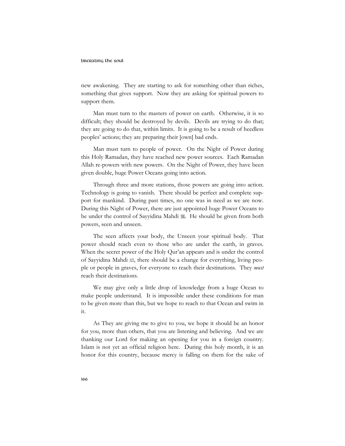new awakening. They are starting to ask for something other than riches, something that gives support. Now they are asking for spiritual powers to support them.

Man must turn to the masters of power on earth. Otherwise, it is so difficult; they should be destroyed by devils. Devils are trying to do that; they are going to do that, within limits. It is going to be a result of heedless peoples' actions; they are preparing their [own] bad ends.

Man must turn to people of power. On the Night of Power during this Holy Ramadan, they have reached new power sources. Each Ramadan Allah re-powers with new powers. On the Night of Power, they have been given double, huge Power Oceans going into action.

Through three and more stations, those powers are going into action. Technology is going to vanish. There should be perfect and complete support for mankind. During past times, no one was in need as we are now. During this Night of Power, there are just appointed huge Power Oceans to be under the control of Sayyidina Mahdi . He should be given from both powers, seen and unseen.

The seen affects your body, the Unseen your spiritual body. That power should reach even to those who are under the earth, in graves. When the secret power of the Holy Qur'an appears and is under the control of Sayyidina Mahdi  $\frac{1}{60}$ , there should be a change for everything, living people or people in graves, for everyone to reach their destinations. They *must* reach their destinations.

We may give only a little drop of knowledge from a huge Ocean to make people understand. It is impossible under these conditions for man to be given more than this, but we hope to reach to that Ocean and swim in it.

As They are giving me to give to you, we hope it should be an honor for you, more than others, that you are listening and believing. And we are thanking our Lord for making an opening for you in a foreign country. Islam is not yet an official religion here. During this holy month, it is an honor for this country, because mercy is falling on them for the sake of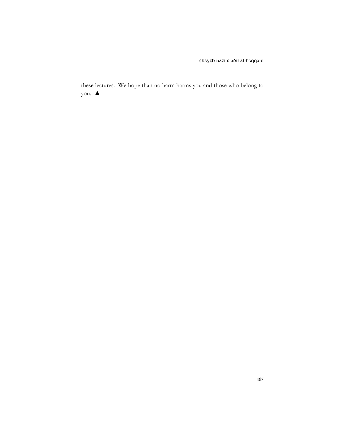#### shaykh nazim adil al-haqqani

these lectures. We hope than no harm harms you and those who belong to you. *▲*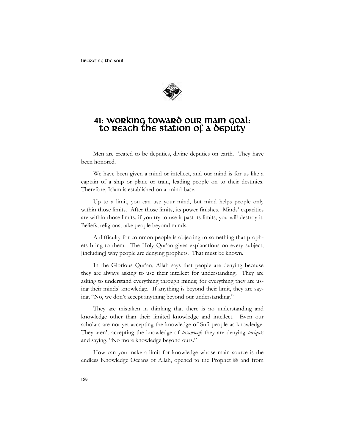

# 41: WORKING TOWARD OUR MAIN GOAL: TO REACH THE STATION OF A DEPUTY

Men are created to be deputies, divine deputies on earth. They have been honored.

We have been given a mind or intellect, and our mind is for us like a captain of a ship or plane or train, leading people on to their destinies. Therefore, Islam is established on a mind-base.

Up to a limit, you can use your mind, but mind helps people only within those limits. After those limits, its power finishes. Minds' capacities are within those limits; if you try to use it past its limits, you will destroy it. Beliefs, religions, take people beyond minds.

A difficulty for common people is objecting to something that prophets bring to them. The Holy Qur'an gives explanations on every subject, [including] why people are denying prophets. That must be known.

In the Glorious Qur'an, Allah says that people are denying because they are always asking to use their intellect for understanding. They are asking to understand everything through minds; for everything they are using their minds' knowledge. If anything is beyond their limit, they are saying, "No, we don't accept anything beyond our understanding."

They are mistaken in thinking that there is no understanding and knowledge other than their limited knowledge and intellect. Even our scholars are not yet accepting the knowledge of Sufi people as knowledge. They aren't accepting the knowledge of *tasawwuf*; they are denying *tariqats* and saying, "No more knowledge beyond ours."

How can you make a limit for knowledge whose main source is the endless Knowledge Oceans of Allah, opened to the Prophet & and from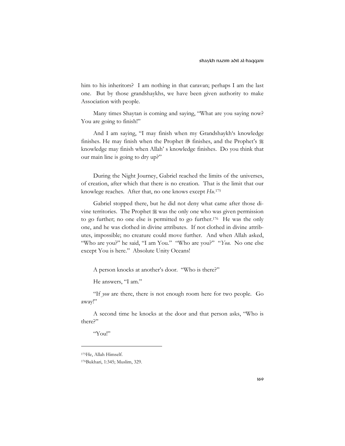him to his inheritors? I am nothing in that caravan; perhaps I am the last one. But by those grandshaykhs, we have been given authority to make Association with people.

Many times Shaytan is coming and saying, "What are you saying now? You are going to finish!"

And I am saying, "I may finish when my Grandshaykh's knowledge finishes. He may finish when the Prophet  $\mathcal{F}$  finishes, and the Prophet's  $\mathcal{F}$ knowledge may finish when Allah' s knowledge finishes. Do you think that our main line is going to dry up?"

During the Night Journey, Gabriel reached the limits of the universes, of creation, after which that there is no creation. That is the limit that our knowlege reaches. After that, no one knows except *Hu*. 175

Gabriel stopped there, but he did not deny what came after those divine territories. The Prophet  $\frac{1}{28}$  was the only one who was given permission to go further; no one else is permitted to go further.176 He was the only one, and he was clothed in divine attributes. If not clothed in divine attributes, impossible; no creature could move further. And when Allah asked, "Who are you?" he said, "I am You." "Who are you?" "You. No one else except You is here." Absolute Unity Oceans!

A person knocks at another's door. "Who is there?"

He answers, "I am."

"If *you* are there, there is not enough room here for two people. Go away!"

A second time he knocks at the door and that person asks, "Who is there?"

"You!"

<sup>175</sup>He, Allah Himself.

<sup>176</sup>Bukhari, 1:345; Muslim, 329.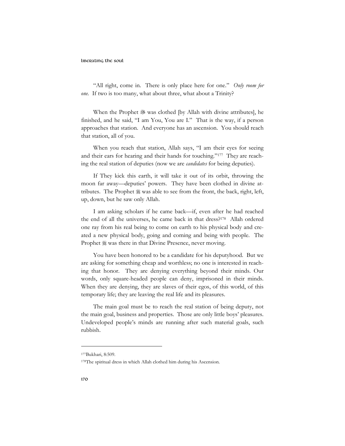"All right, come in. There is only place here for one." *Only room for one.* If two is too many, what about three, what about a Trinity?

When the Prophet 38 was clothed [by Allah with divine attributes], he finished, and he said, "I am You, You are I." That is the way, if a person approaches that station. And everyone has an ascension. You should reach that station, all of you.

When you reach that station, Allah says, "I am their eyes for seeing and their ears for hearing and their hands for touching."177 The*y* are reaching the real station of deputies (now we are *candidates* for being deputies).

If They kick this earth, it will take it out of its orbit, throwing the moon far away—deputies' powers. They have been clothed in divine attributes. The Prophet  $\frac{1}{20}$  was able to see from the front, the back, right, left, up, down, but he saw only Allah.

I am asking scholars if he came back—if, even after he had reached the end of all the universes, he came back in that dress?178 Allah ordered one ray from his real being to come on earth to his physical body and created a new physical body, going and coming and being with people. The Prophet  $\frac{1}{20}$  was there in that Divine Presence, never moving.

You have been honored to be a candidate for his deputyhood. But we are asking for something cheap and worthless; no one is interested in reaching that honor. They are denying everything beyond their minds. Our words, only square-headed people can deny, imprisoned in their minds. When they are denying, they are slaves of their egos, of this world, of this temporary life; they are leaving the real life and its pleasures.

The main goal must be to reach the real station of being deputy, not the main goal, business and properties. Those are only little boys' pleasures. Undeveloped people's minds are running after such material goals, such rubbish.

<sup>177</sup>Bukhari, 8:509.

<sup>178</sup>The spiritual dress in which Allah clothed him during his Ascension.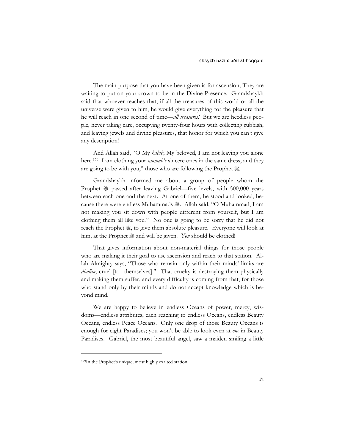The main purpose that you have been given is for ascension; They are waiting to put on your crown to be in the Divine Presence. Grandshaykh said that whoever reaches that, if all the treasures of this world or all the universe were given to him, he would give everything for the pleasure that he will reach in one second of time—*all treasures!* But we are heedless people, never taking care, occupying twenty-four hours with collecting rubbish, and leaving jewels and divine pleasures, that honor for which you can't give any description!

And Allah said, "O My *habib*, My beloved, I am not leaving you alone here.179 I am clothing your *ummah's* sincere ones in the same dress, and they are going to be with you," those who are following the Prophet  $\frac{4}{36}$ .

Grandshaykh informed me about a group of people whom the Prophet 3 passed after leaving Gabriel—five levels, with 500,000 years between each one and the next. At one of them, he stood and looked, because there were endless Muhammads &. Allah said, "O Muhammad, I am not making you sit down with people different from yourself, but I am clothing them all like you." No one is going to be sorry that he did not reach the Prophet  $\frac{4}{35}$ , to give them absolute pleasure. Everyone will look at him, at the Prophet <sup>38</sup> and will be given. *You* should be clothed!

That gives information about non-material things for those people who are making it their goal to use ascension and reach to that station. Allah Almighty says, "Those who remain only within their minds' limits are *dhalim*, cruel [to themselves]." That cruelty is destroying them physically and making them suffer, and every difficulty is coming from that, for those who stand only by their minds and do not accept knowledge which is beyond mind.

We are happy to believe in endless Oceans of power, mercy, wisdoms—endless attributes, each reaching to endless Oceans, endless Beauty Oceans, endless Peace Oceans. Only one drop of those Beauty Oceans is enough for eight Paradises; you won't be able to look even at *one* in Beauty Paradises. Gabriel, the most beautiful angel, saw a maiden smiling a little

<sup>179</sup>In the Prophet's unique, most highly exalted station.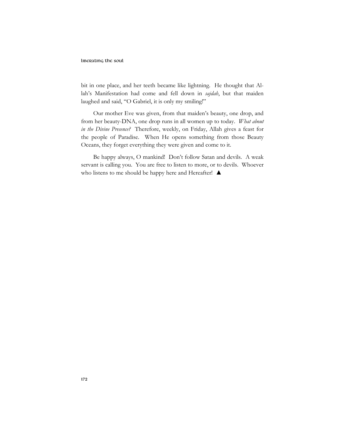bit in one place, and her teeth became like lightning. He thought that Allah's Manifestation had come and fell down in *sajdah*, but that maiden laughed and said, "O Gabriel, it is only my smiling!"

Our mother Eve was given, from that maiden's beauty, one drop, and from her beauty-DNA, one drop runs in all women up to today. *What about in the Divine Presence?* Therefore, weekly, on Friday, Allah gives a feast for the people of Paradise. When He opens something from those Beauty Oceans, they forget everything they were given and come to it.

Be happy always, O mankind! Don't follow Satan and devils. A weak servant is calling you. You are free to listen to more, or to devils. Whoever who listens to me should be happy here and Hereafter! *▲*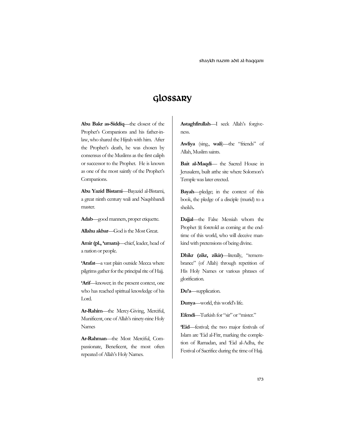# GLOSSARY

**Abu Bakr as-Siddiq**—the closest of the Prophet's Companions and his father-inlaw, who shared the Hijrah with him. After the Prophet's death, he was chosen by consensus of the Muslims as the first caliph or successor to the Prophet. He is known as one of the most saintly of the Prophet's Companions.

**Abu Yazid Bistami**—Bayazid al-Bistami, a great ninth century wali and Naqshbandi master.

**Adab**—good manners, proper etiquette.

**Allahu akbar**—God is the Most Great.

**Amir (pl., 'umara)**—chief, leader, head of a nation or people.

**'Arafat**—a vast plain outside Mecca where pilgrims gather for the principal rite of Hajj.

**'Arif**—knower; in the present context, one who has reached spiritual knowledge of his Lord.

**Ar-Rahim**—the Mercy-Giving, Merciful, Munificent, one of Allah's ninety-nine Holy Names

**Ar-Rahman**—the Most Merciful, Compassionate, Beneficent, the most often repeated of Allah's Holy Names.

**Astaghfirullah**—I seek Allah's forgiveness.

**Awliya** (sing., **wali**)—the "friends" of Allah, Muslim saints.

**Bait al-Maqdi**— the Sacred House in Jerusalem, built atthe site where Solomon's Temple was later erected.

**Bayah**—pledge; in the context of this book, the pledge of a disciple (murid) to a sheikh**.**

**Dajjal**—the False Messiah whom the Prophet  $*$  foretold as coming at the endtime of this world, who will deceive mankind with pretensions of being divine.

**Dhikr (zikr, zikir)**—literally, "remembrance" (of Allah) through repetition of His Holy Names or various phrases of glorification.

**Du'a**—supplication.

**Dunya**—world, this world's life.

Efendi—Turkish for "sir" or "mister."

**'Eid**—festival; the two major festivals of Islam are 'Eid al-Fitr, marking the completion of Ramadan, and 'Eid al-Adha, the Festival of Sacrifice during the time of Hajj.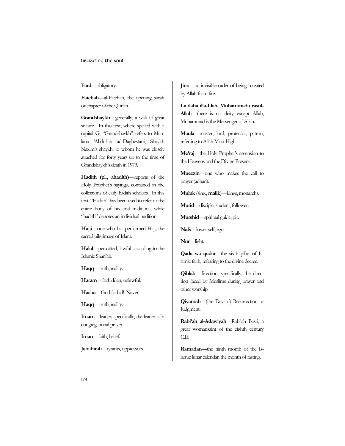**Fard**—obligatory.

**Fatehah**—al-Fatehah, the opening surah or chapter of the Qur'an.

**Grandshaykh**—generally, a wali of great stature. In this text, where spelled with a capital G, "Grandshaykh" refers to Maulana 'Abdullah ad-Daghestani, Shaykh Nazim's shaykh, to whom he was closely attached for forty years up to the time of Grandshaykh's death in 1973.

**Hadith (pl., ahadith)**—reports of the Holy Prophet's sayings, contained in the collections of early hadith scholars. In this text, "Hadith" has been used to refer to the entire body of his oral traditions, while "hadith" denotes an individual tradition.

**Hajji**—one who has performed Hajj, the sacred pilgrimage of Islam.

**Halal**—permitted, lawful according to the Islamic Shari'ah.

**Haqq**—truth, reality.

**Haram**—forbidden, unlawful.

**Hasha**—God forbid! Never!

**Haqq**—truth, reality.

**Imam**—leader; specifically, the leader of a congregational prayer.

**Iman**—faith, belief.

**Jababirah**—tyrants, oppressors.

**Jinn**—an invisible order of beings created by Allah from fire.

**La ilaha illa-Llah, Muhammadu rasul-Allah**—there is no deity except Allah, Muhammad is the Messenger of Allah.

**Maula**—master, lord, protector, patron, referring to Allah Most High.

**Me'raj**—the Holy Prophet's ascension to the Heavens and the Divine Presenc.

**Muezzin**—one who makes the call to prayer (adhan).

**Muluk** (sing., **malik**)—kings, monarchs.

**Murid**—disciple, student, follower.

**Murshid**—spiritual guide, pir.

**Nafs**—lower self, ego.

**Nur**—light.

**Qada wa qadar**—the sixth pillar of Islamic faith, referring to the divine decree.

**Qiblah**—direction, specifically, the direction faced by Muslims during prayer and other worship.

**Qiyamah**—(the Day of) Resurrection or Judgment.

**Rabi'ah al-Adawiyah**—Rabi'ah Basri, a great womansaint of the eighth century C.E.

**Ramadan**—the ninth month of the Islamic lunar calendar, the month of fasting.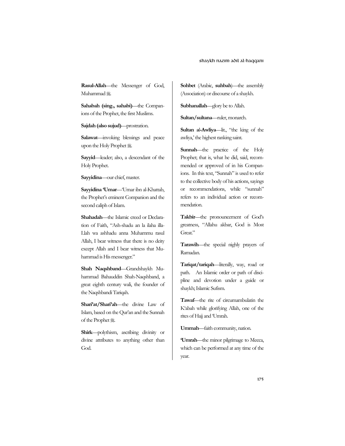**Rasul-Allah**—the Messenger of God, Muhammad ※

**Sahabah (sing., sahabi)**—the Companions of the Prophet, the first Muslims.

**Sajdah (also sujud)**—prostration.

**Salawat**—invoking blessings and peace upon the Holy Prophet ...

**Sayyid**—leader; also, a descendant of the Holy Prophet.

**Sayyidina**—our chief, master.

**Sayyidina 'Umar**—'Umar ibn al-Khattab, the Prophet's eminent Companion and the second caliph of Islam.

**Shahadah**—the Islamic creed or Declaration of Faith, "Ash-shadu an la ilaha illa-Llah wa ashhadu anna Muhammu rasul Allah, I bear witness that there is no deity except Allah and I bear witness that Muhammad is His messenger."

**Shah Naqshband**—Grandshaykh Muhammad Bahauddin Shah-Naqshband, a great eighth century wali, the founder of the Naqshbandi Tariqah.

**Shari'at/Shari'ah**—the divine Law of Islam, based on the Qur'an and the Sunnah of the Prophet 囊.

**Shirk**—polythism, ascribing divinity or divine attributes to anything other than God.

**Sohbet** (Arabic, **suhbah**)—the assembly (Association) or discourse of a shaykh.

**Subhanallah**—glory be to Allah.

**Sultan/sultana**—ruler, monarch.

**Sultan a**l**-Awliya**—lit., "the king of the awliya,' the highest ranking saint.

**Sunnah**—the practice of the Holy Prophet; that is, what he did, said, recommended or approved of in his Companions. In this text, "Sunnah" is used to refer to the collective body of his actions, sayings or recommendations, while "sunnah" refers to an individual action or recommendation.

**Takbir**—the pronouncement of God's greatness, "Allahu akbar, God is Most Great."

**Tarawih**—the special nighly prayers of Ramadan.

**Tariqat/tariqah**—literally, way, road or path. An Islamic order or path of discipline and devotion under a guide or shaykh; Islamic Sufism.

**Tawaf**—the rite of circumambulatin the K'abah while glorifying Allah, one of the rites of Hajj and 'Umrah.

**Ummah**—faith community, nation.

**'Umrah**—the minor pilgrimage to Mecca, which can be performed at any time of the year.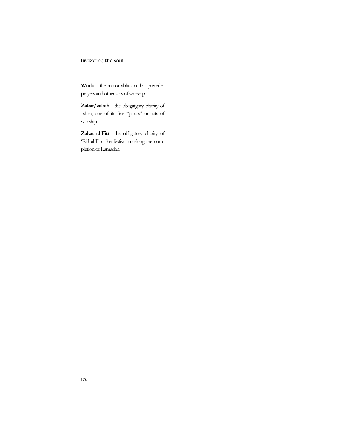**Wudu**—the minor ablution that precedes prayers and other acts of worship.

**Zakat/zakah**—the obligatgory charity of Islam, one of its five "pillars" or acts of worship.

**Zakat al-Fitr**—the obligatory charity of 'Eid al-Fitr, the festival marking the completion of Ramadan.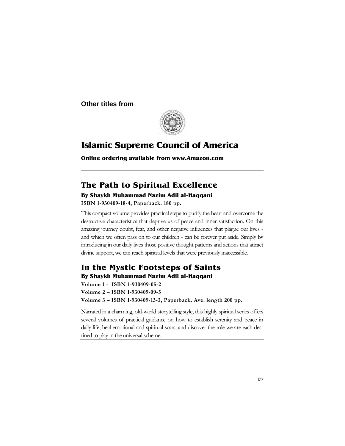**Other titles from** 



# **Islamic Supreme Council of America**

**Online ordering available from www.Amazon.com** 

# **The Path to Spiritual Excellence**

#### **By Shaykh Muhammad Nazim Adil al-Haqqani**

**ISBN 1-930409-18-4, Paperback. 180 pp.** 

This compact volume provides practical steps to purify the heart and overcome the destructive characteristics that deprive us of peace and inner satisfaction. On this amazing journey doubt, fear, and other negative influences that plague our lives and which we often pass on to our children - can be forever put aside. Simply by introducing in our daily lives those positive thought patterns and actions that attract divine support, we can reach spiritual levels that were previously inaccessible.

# **In the Mystic Footsteps of Saints**

**By Shaykh Muhammad Nazim Adil al-Haqqani** 

**Volume 1 - ISBN 1-930409-05-2** 

**Volume 2 – ISBN 1-930409-09-5** 

**Volume 3 – ISBN 1-930409-13-3, Paperback. Ave. length 200 pp.**

Narrated in a charming, old-world storytelling style, this highly spiritual series offers several volumes of practical guidance on how to establish serenity and peace in daily life, heal emotional and spiritual scars, and discover the role we are each destined to play in the universal scheme.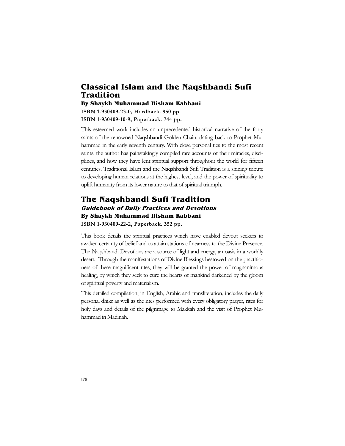## **Classical Islam and the Naqshbandi Sufi Tradition**

**By Shaykh Muhammad Hisham Kabbani** 

**ISBN 1-930409-23-0, Hardback. 950 pp. ISBN 1-930409-10-9, Paperback. 744 pp.** 

This esteemed work includes an unprecedented historical narrative of the forty saints of the renowned Naqshbandi Golden Chain, dating back to Prophet Muhammad in the early seventh century. With close personal ties to the most recent saints, the author has painstakingly compiled rare accounts of their miracles, disciplines, and how they have lent spiritual support throughout the world for fifteen centuries. Traditional Islam and the Naqshbandi Sufi Tradition is a shining tribute to developing human relations at the highest level, and the power of spirituality to uplift humanity from its lower nature to that of spiritual triumph.

## **The Naqshbandi Sufi Tradition Guidebook of Daily Practices and Devotions By Shaykh Muhammad Hisham Kabbani ISBN 1-930409-22-2, Paperback. 352 pp.**

This book details the spiritual practices which have enabled devout seekers to awaken certainty of belief and to attain stations of nearness to the Divine Presence. The Naqshbandi Devotions are a source of light and energy, an oasis in a worldly desert. Through the manifestations of Divine Blessings bestowed on the practitioners of these magnificent rites, they will be granted the power of magnanimous healing, by which they seek to cure the hearts of mankind darkened by the gloom of spiritual poverty and materialism.

This detailed compilation, in English, Arabic and transliteration, includes the daily personal dhikr as well as the rites performed with every obligatory prayer, rites for holy days and details of the pilgrimage to Makkah and the visit of Prophet Muhammad in Madinah.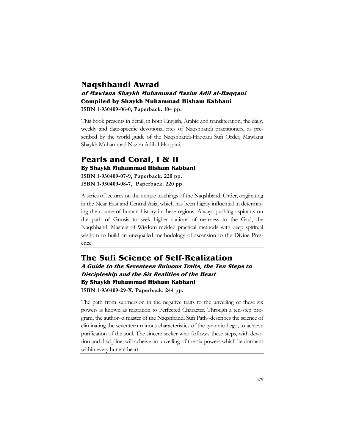### **Naqshbandi Awrad**

**of Mawlana Shaykh Muhammad Nazim Adil al-Haqqani Compiled by Shaykh Muhammad Hisham Kabbani ISBN 1-930409-06-0, Paperback. 104 pp.** 

This book presents in detail, in both English, Arabic and transliteration, the daily, weekly and date-specific devotional rites of Naqshbandi practitioners, as prescribed by the world guide of the Naqshbandi-Haqqani Sufi Order, Mawlana Shaykh Muhammad Nazim Adil al-Haqqani.

### **Pearls and Coral, I & II By Shaykh Muhammad Hisham Kabbani**

**ISBN 1-930409-07-9, Paperback. 220 pp. ISBN 1-930409-08-7, Paperback. 220 pp.**

A series of lectures on the unique teachings of the Naqshbandi Order, originating in the Near East and Central Asia, which has been highly influential in determining the course of human history in these regions. Always pushing aspirants on the path of Gnosis to seek higher stations of nearness to the God, the Naqshbandi Masters of Wisdom melded practical methods with deep spiritual wisdom to build an unequalled methodology of ascension to the Divine Presence.

## **The Sufi Science of Self-Realization**

**A Guide to the Seventeen Ruinous Traits, the Ten Steps to Discipleship and the Six Realities of the Heart By Shaykh Muhammad Hisham Kabbani ISBN 1-930409-29-X, Paperback. 244 pp.** 

The path from submersion in the negative traits to the unveiling of these six powers is known as migration to Perfected Character. Through a ten-step program, the author--a master of the Naqshbandi Sufi Path--describes the science of eliminating the seventeen ruinous characteristics of the tyrannical ego, to achieve purification of the soul. The sincere seeker who follows these steps, with devotion and discipline, will acheive an unveiling of the six powers which lie dormant within every human heart.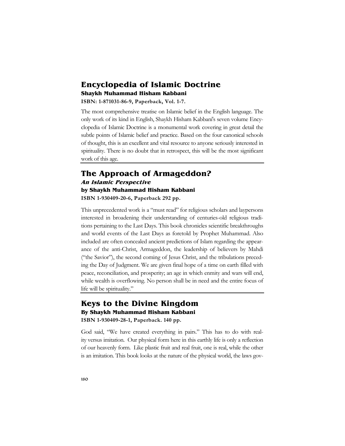# **Encyclopedia of Islamic Doctrine Shaykh Muhammad Hisham Kabbani**

**ISBN: 1-871031-86-9, Paperback, Vol. 1-7.** 

The most comprehensive treatise on Islamic belief in the English language. The only work of its kind in English, Shaykh Hisham Kabbani's seven volume Encyclopedia of Islamic Doctrine is a monumental work covering in great detail the subtle points of Islamic belief and practice. Based on the four canonical schools of thought, this is an excellent and vital resource to anyone seriously interested in spirituality. There is no doubt that in retrospect, this will be the most significant work of this age.

## **The Approach of Armageddon? An Islamic Perspective by Shaykh Muhammad Hisham Kabbani ISBN 1-930409-20-6, Paperback 292 pp.**

This unprecedented work is a "must read" for religious scholars and laypersons interested in broadening their understanding of centuries-old religious traditions pertaining to the Last Days. This book chronicles scientific breakthroughs and world events of the Last Days as foretold by Prophet Muhammad. Also included are often concealed ancient predictions of Islam regarding the appearance of the anti-Christ, Armageddon, the leadership of believers by Mahdi ("the Savior"), the second coming of Jesus Christ, and the tribulations preceding the Day of Judgment. We are given final hope of a time on earth filled with peace, reconciliation, and prosperity; an age in which enmity and wars will end, while wealth is overflowing. No person shall be in need and the entire focus of life will be spirituality."

### **Keys to the Divine Kingdom By Shaykh Muhammad Hisham Kabbani ISBN 1-930409-28-1, Paperback. 140 pp.**

God said, "We have created everything in pairs." This has to do with reality versus imitation. Our physical form here in this earthly life is only a reflection of our heavenly form. Like plastic fruit and real fruit, one is real, while the other is an imitation. This book looks at the nature of the physical world, the laws gov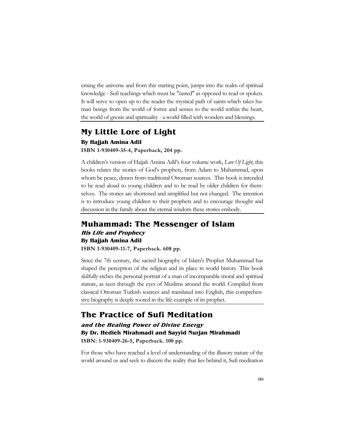erning the universe and from this starting point, jumps into the realm of spiritual knowledge - Sufi teachings which must be "tasted" as opposed to read or spoken. It will serve to open up to the reader the mystical path of saints which takes human beings from the world of forms and senses to the world within the heart, the world of gnosis and spirituality - a world filled with wonders and blessings.

## **My Little Lore of Light**

**By Hajjah Amina Adil ISBN 1-930409-35-4, Paperback, 204 pp.** 

A children's version of Hajjah Amina Adil's four volume work, *Lore Of Light*, this books relates the stories of God's prophets, from Adam to Muhammad, upon whom be peace, drawn from traditional Ottoman sources. This book is intended to be read aloud to young children and to be read by older children for themselves. The stories are shortened and simplified but not changed. The intention is to introduce young children to their prophets and to encourage thought and discussion in the family about the eternal wisdom these stories embody.

# **Muhammad: The Messenger of Islam His Life and Prophecy By Hajjah Amina Adil**

**ISBN 1-930409-11-7, Paperback. 608 pp.** 

Since the 7th century, the sacred biography of Islam's Prophet Muhammad has shaped the perception of the religion and its place in world history. This book skilfully etches the personal portrait of a man of incomparable moral and spiritual stature, as seen through the eyes of Muslims around the world. Compiled from classical Ottoman Turkish sources and translated into English, this comprehensive biography is deeply rooted in the life example of its prophet.

## **The Practice of Sufi Meditation**

### **and the Healing Power of Divine Energy By Dr. Hedieh Mirahmadi and Sayyid Nurjan Mirahmadi ISBN: 1-930409-26-5, Paperback. 100 pp.**

For those who have reached a level of understanding of the illusory nature of the world around us and seek to discern the reality that lies behind it, Sufi meditation